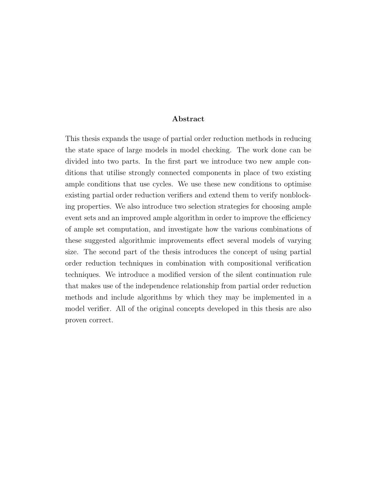#### Abstract

This thesis expands the usage of partial order reduction methods in reducing the state space of large models in model checking. The work done can be divided into two parts. In the first part we introduce two new ample conditions that utilise strongly connected components in place of two existing ample conditions that use cycles. We use these new conditions to optimise existing partial order reduction verifiers and extend them to verify nonblocking properties. We also introduce two selection strategies for choosing ample event sets and an improved ample algorithm in order to improve the efficiency of ample set computation, and investigate how the various combinations of these suggested algorithmic improvements effect several models of varying size. The second part of the thesis introduces the concept of using partial order reduction techniques in combination with compositional verification techniques. We introduce a modified version of the silent continuation rule that makes use of the independence relationship from partial order reduction methods and include algorithms by which they may be implemented in a model verifier. All of the original concepts developed in this thesis are also proven correct.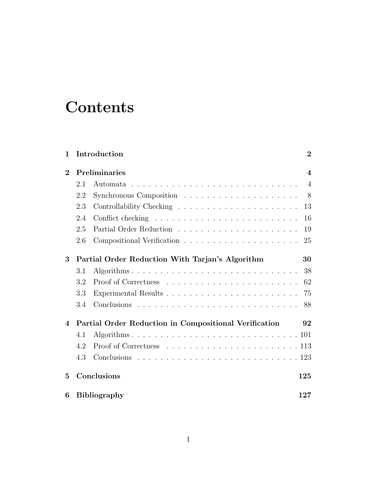# **Contents**

| $\mathbf{1}$           |                                                 | Introduction<br>$\overline{2}$                                                     |  |
|------------------------|-------------------------------------------------|------------------------------------------------------------------------------------|--|
| $\bf{2}$               |                                                 | Preliminaries<br>$\overline{\mathbf{4}}$                                           |  |
|                        | 2.1                                             | $\overline{4}$<br>Automata                                                         |  |
|                        | 2.2                                             | 8                                                                                  |  |
|                        | 2.3                                             | 13                                                                                 |  |
|                        | 2.4                                             | 16                                                                                 |  |
|                        | 2.5                                             | 19                                                                                 |  |
|                        | 2.6                                             | 25                                                                                 |  |
| 3                      | Partial Order Reduction With Tarjan's Algorithm |                                                                                    |  |
|                        | 3.1                                             | 38                                                                                 |  |
|                        | 3.2                                             | 62                                                                                 |  |
|                        | 3.3                                             | 75                                                                                 |  |
|                        | 3.4                                             | 88                                                                                 |  |
| $\boldsymbol{\Lambda}$ |                                                 | Partial Order Reduction in Compositional Verification<br>92                        |  |
|                        | 4.1                                             |                                                                                    |  |
|                        | 4.2                                             | Proof of Correctness $\ldots \ldots \ldots \ldots \ldots \ldots \ldots \ldots 113$ |  |
|                        | 4.3                                             |                                                                                    |  |
| 5                      | Conclusions<br>125                              |                                                                                    |  |
| 6                      | <b>Bibliography</b><br>127                      |                                                                                    |  |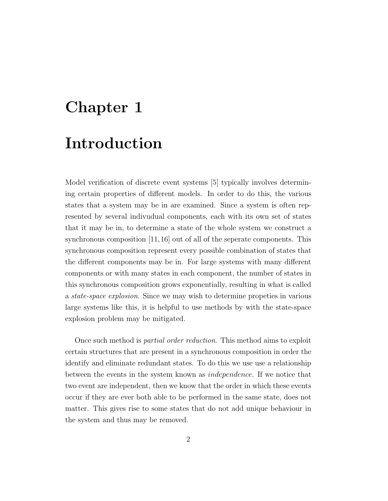# Chapter 1 Introduction

Model verification of discrete event systems [5] typically involves determining certain properties of different models. In order to do this, the various states that a system may be in are examined. Since a system is often represented by several indivudual components, each with its own set of states that it may be in, to determine a state of the whole system we construct a synchronous composition [11,16] out of all of the seperate components. This synchronous composition represent every possible combination of states that the different components may be in. For large systems with many different components or with many states in each component, the number of states in this synchronous composition grows exponentially, resulting in what is called a state-space explosion. Since we may wish to determine propeties in various large systems like this, it is helpful to use methods by with the state-space explosion problem may be mitigated.

Once such method is partial order reduction. This method aims to exploit certain structures that are present in a synchronous composition in order the identify and eliminate redundant states. To do this we use use a relationship between the events in the system known as independence. If we notice that two event are independent, then we know that the order in which these events occur if they are ever both able to be performed in the same state, does not matter. This gives rise to some states that do not add unique behaviour in the system and thus may be removed.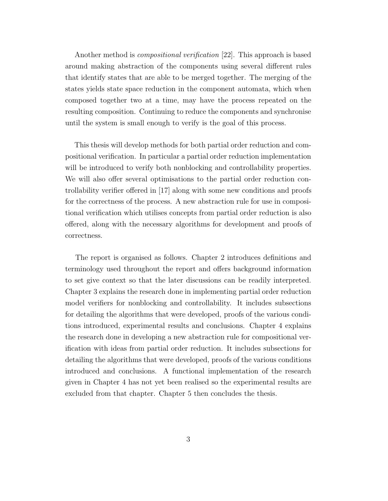Another method is *compositional verification* [22]. This approach is based around making abstraction of the components using several different rules that identify states that are able to be merged together. The merging of the states yields state space reduction in the component automata, which when composed together two at a time, may have the process repeated on the resulting composition. Continuing to reduce the components and synchronise until the system is small enough to verify is the goal of this process.

This thesis will develop methods for both partial order reduction and compositional verification. In particular a partial order reduction implementation will be introduced to verify both nonblocking and controllability properties. We will also offer several optimisations to the partial order reduction controllability verifier offered in [17] along with some new conditions and proofs for the correctness of the process. A new abstraction rule for use in compositional verification which utilises concepts from partial order reduction is also offered, along with the necessary algorithms for development and proofs of correctness.

The report is organised as follows. Chapter 2 introduces definitions and terminology used throughout the report and offers background information to set give context so that the later discussions can be readily interpreted. Chapter 3 explains the research done in implementing partial order reduction model verifiers for nonblocking and controllability. It includes subsections for detailing the algorithms that were developed, proofs of the various conditions introduced, experimental results and conclusions. Chapter 4 explains the research done in developing a new abstraction rule for compositional verification with ideas from partial order reduction. It includes subsections for detailing the algorithms that were developed, proofs of the various conditions introduced and conclusions. A functional implementation of the research given in Chapter 4 has not yet been realised so the experimental results are excluded from that chapter. Chapter 5 then concludes the thesis.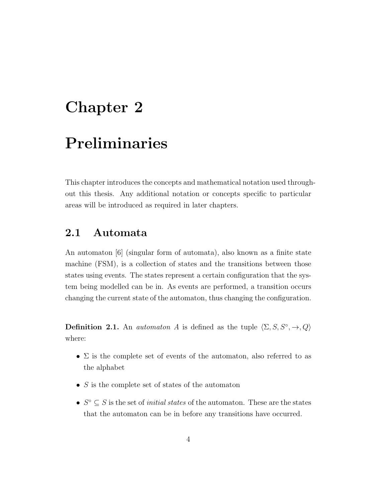# Chapter 2 Preliminaries

This chapter introduces the concepts and mathematical notation used throughout this thesis. Any additional notation or concepts specific to particular areas will be introduced as required in later chapters.

## 2.1 Automata

An automaton [6] (singular form of automata), also known as a finite state machine (FSM), is a collection of states and the transitions between those states using events. The states represent a certain configuration that the system being modelled can be in. As events are performed, a transition occurs changing the current state of the automaton, thus changing the configuration.

**Definition 2.1.** An *automaton A* is defined as the tuple  $\langle \Sigma, S, S^\circ, \to, Q \rangle$ where:

- $\Sigma$  is the complete set of events of the automaton, also referred to as the alphabet
- $S$  is the complete set of states of the automaton
- $S^{\circ} \subseteq S$  is the set of *initial states* of the automaton. These are the states that the automaton can be in before any transitions have occurred.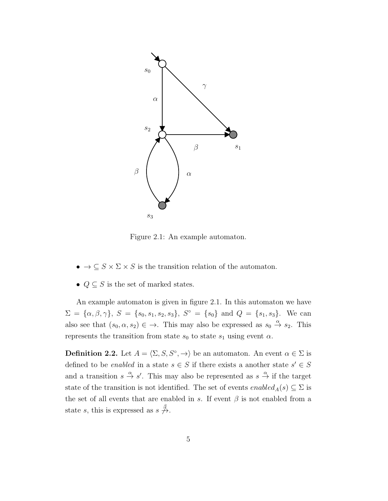

Figure 2.1: An example automaton.

- $\bullet \to \subseteq S \times \Sigma \times S$  is the transition relation of the automaton.
- $Q \subseteq S$  is the set of marked states.

An example automaton is given in figure 2.1. In this automaton we have  $\Sigma = {\alpha, \beta, \gamma}, S = {s_0, s_1, s_2, s_3}, S^{\circ} = {s_0} \text{ and } Q = {s_1, s_3}.$  We can also see that  $(s_0, \alpha, s_2) \in \rightarrow$ . This may also be expressed as  $s_0 \stackrel{\alpha}{\rightarrow} s_2$ . This represents the transition from state  $s_0$  to state  $s_1$  using event  $\alpha$ .

**Definition 2.2.** Let  $A = \langle \Sigma, S, S^\circ, \to \rangle$  be an automaton. An event  $\alpha \in \Sigma$  is defined to be *enabled* in a state  $s \in S$  if there exists a another state  $s' \in S$ and a transition  $s \stackrel{\alpha}{\to} s'$ . This may also be represented as  $s \stackrel{\alpha}{\to}$  if the target state of the transition is not identified. The set of events  $enabled_A(s) \subseteq \Sigma$  is the set of all events that are enabled in s. If event  $\beta$  is not enabled from a state s, this is expressed as  $s \notin \mathcal{A}$ .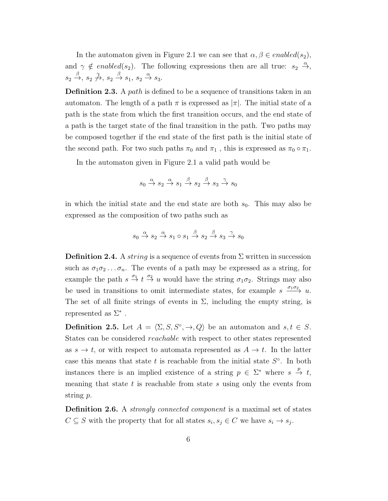In the automaton given in Figure 2.1 we can see that  $\alpha, \beta \in enabled(s_2)$ , and  $\gamma \notin enabled(s_2)$ . The following expressions then are all true:  $s_2 \stackrel{\alpha}{\rightarrow}$ ,  $s_2 \xrightarrow{\beta} s_2 \xrightarrow{\gamma} s_2 \xrightarrow{\beta} s_1, s_2 \xrightarrow{\alpha} s_3.$ 

Definition 2.3. A path is defined to be a sequence of transitions taken in an automaton. The length of a path  $\pi$  is expressed as  $|\pi|$ . The initial state of a path is the state from which the first transition occurs, and the end state of a path is the target state of the final transition in the path. Two paths may be composed together if the end state of the first path is the initial state of the second path. For two such paths  $\pi_0$  and  $\pi_1$ , this is expressed as  $\pi_0 \circ \pi_1$ .

In the automaton given in Figure 2.1 a valid path would be

$$
s_0 \xrightarrow{\alpha} s_2 \xrightarrow{\alpha} s_1 \xrightarrow{\beta} s_2 \xrightarrow{\beta} s_3 \xrightarrow{\gamma} s_0
$$

in which the initial state and the end state are both  $s_0$ . This may also be expressed as the composition of two paths such as

$$
s_0 \xrightarrow{\alpha} s_2 \xrightarrow{\alpha} s_1 \circ s_1 \xrightarrow{\beta} s_2 \xrightarrow{\beta} s_3 \xrightarrow{\gamma} s_0
$$

**Definition 2.4.** A *string* is a sequence of events from  $\Sigma$  written in succession such as  $\sigma_1 \sigma_2 \ldots \sigma_n$ . The events of a path may be expressed as a string, for example the path  $s \stackrel{\sigma_1}{\rightarrow} t \stackrel{\sigma_2}{\rightarrow} u$  would have the string  $\sigma_1 \sigma_2$ . Strings may also be used in transitions to omit intermediate states, for example  $s \xrightarrow{\sigma_1 \sigma_2} u$ . The set of all finite strings of events in  $\Sigma$ , including the empty string, is represented as  $\Sigma^*$ .

**Definition 2.5.** Let  $A = \langle \Sigma, S, S^\circ, \to, Q \rangle$  be an automaton and  $s, t \in S$ . States can be considered reachable with respect to other states represented as  $s \to t$ , or with respect to automata represented as  $A \to t$ . In the latter case this means that state t is reachable from the initial state  $S^{\circ}$ . In both instances there is an implied existence of a string  $p \in \Sigma^*$  where  $s \stackrel{p}{\to} t$ , meaning that state  $t$  is reachable from state  $s$  using only the events from string p.

Definition 2.6. A *strongly connected component* is a maximal set of states  $C \subseteq S$  with the property that for all states  $s_i, s_j \in C$  we have  $s_i \to s_j$ .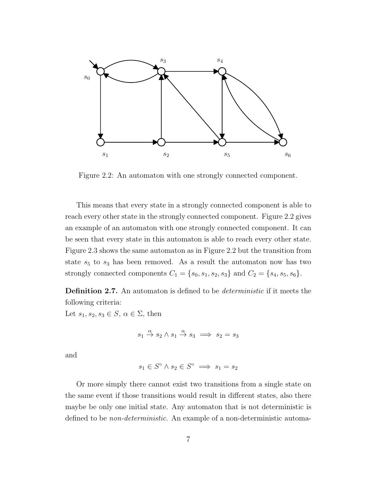

Figure 2.2: An automaton with one strongly connected component.

This means that every state in a strongly connected component is able to reach every other state in the strongly connected component. Figure 2.2 gives an example of an automaton with one strongly connected component. It can be seen that every state in this automaton is able to reach every other state. Figure 2.3 shows the same automaton as in Figure 2.2 but the transition from state  $s_5$  to  $s_3$  has been removed. As a result the automaton now has two strongly connected components  $C_1 = \{s_0, s_1, s_2, s_3\}$  and  $C_2 = \{s_4, s_5, s_6\}.$ 

Definition 2.7. An automaton is defined to be *deterministic* if it meets the following criteria:

Let  $s_1, s_2, s_3 \in S$ ,  $\alpha \in \Sigma$ , then

$$
s_1 \stackrel{\alpha}{\to} s_2 \wedge s_1 \stackrel{\alpha}{\to} s_3 \implies s_2 = s_3
$$

and

$$
s_1 \in S^\circ \land s_2 \in S^\circ \implies s_1 = s_2
$$

Or more simply there cannot exist two transitions from a single state on the same event if those transitions would result in different states, also there maybe be only one initial state. Any automaton that is not deterministic is defined to be non-deterministic. An example of a non-deterministic automa-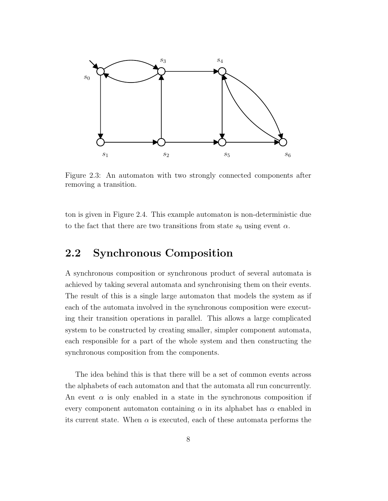

Figure 2.3: An automaton with two strongly connected components after removing a transition.

ton is given in Figure 2.4. This example automaton is non-deterministic due to the fact that there are two transitions from state  $s_0$  using event  $\alpha$ .

#### 2.2 Synchronous Composition

A synchronous composition or synchronous product of several automata is achieved by taking several automata and synchronising them on their events. The result of this is a single large automaton that models the system as if each of the automata involved in the synchronous composition were executing their transition operations in parallel. This allows a large complicated system to be constructed by creating smaller, simpler component automata, each responsible for a part of the whole system and then constructing the synchronous composition from the components.

The idea behind this is that there will be a set of common events across the alphabets of each automaton and that the automata all run concurrently. An event  $\alpha$  is only enabled in a state in the synchronous composition if every component automaton containing  $\alpha$  in its alphabet has  $\alpha$  enabled in its current state. When  $\alpha$  is executed, each of these automata performs the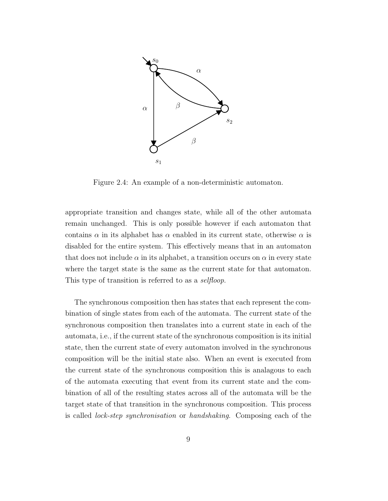

Figure 2.4: An example of a non-deterministic automaton.

appropriate transition and changes state, while all of the other automata remain unchanged. This is only possible however if each automaton that contains  $\alpha$  in its alphabet has  $\alpha$  enabled in its current state, otherwise  $\alpha$  is disabled for the entire system. This effectively means that in an automaton that does not include  $\alpha$  in its alphabet, a transition occurs on  $\alpha$  in every state where the target state is the same as the current state for that automaton. This type of transition is referred to as a *selfloop*.

The synchronous composition then has states that each represent the combination of single states from each of the automata. The current state of the synchronous composition then translates into a current state in each of the automata, i.e., if the current state of the synchronous composition is its initial state, then the current state of every automaton involved in the synchronous composition will be the initial state also. When an event is executed from the current state of the synchronous composition this is analagous to each of the automata executing that event from its current state and the combination of all of the resulting states across all of the automata will be the target state of that transition in the synchronous composition. This process is called lock-step synchronisation or handshaking. Composing each of the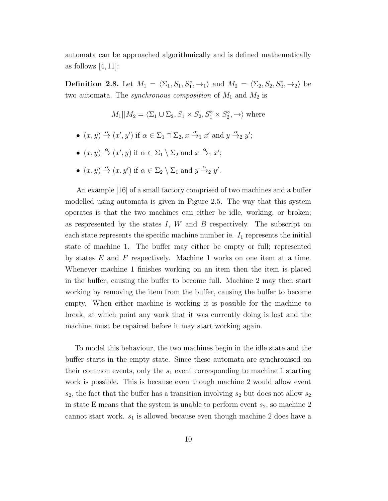automata can be approached algorithmically and is defined mathematically as follows  $[4, 11]$ :

**Definition 2.8.** Let  $M_1 = \langle \Sigma_1, S_1, S_1^{\circ}, \rightarrow_1 \rangle$  and  $M_2 = \langle \Sigma_2, S_2, S_2^{\circ}, \rightarrow_2 \rangle$  be two automata. The *synchronous composition* of  $M_1$  and  $M_2$  is

- $M_1||M_2 = \langle \Sigma_1 \cup \Sigma_2, S_1 \times S_2, S_1^{\circ} \times S_2^{\circ}$  $\binom{10}{2}$ ,  $\rightarrow$  where
- $(x, y) \stackrel{\alpha}{\rightarrow} (x', y')$  if  $\alpha \in \Sigma_1 \cap \Sigma_2$ ,  $x \stackrel{\alpha}{\rightarrow}_1 x'$  and  $y \stackrel{\alpha}{\rightarrow}_2 y'$ ;
- $(x, y) \stackrel{\alpha}{\rightarrow} (x', y)$  if  $\alpha \in \Sigma_1 \setminus \Sigma_2$  and  $x \stackrel{\alpha}{\rightarrow}_1 x'$ ;
- $(x, y) \stackrel{\alpha}{\rightarrow} (x, y')$  if  $\alpha \in \Sigma_2 \setminus \Sigma_1$  and  $y \stackrel{\alpha}{\rightarrow}_2 y'$ .

An example [16] of a small factory comprised of two machines and a buffer modelled using automata is given in Figure 2.5. The way that this system operates is that the two machines can either be idle, working, or broken; as respresented by the states  $I, W$  and  $B$  respectively. The subscript on each state represents the specific machine number ie.  $I_1$  represents the initial state of machine 1. The buffer may either be empty or full; represented by states  $E$  and  $F$  respectively. Machine 1 works on one item at a time. Whenever machine 1 finishes working on an item then the item is placed in the buffer, causing the buffer to become full. Machine 2 may then start working by removing the item from the buffer, causing the buffer to become empty. When either machine is working it is possible for the machine to break, at which point any work that it was currently doing is lost and the machine must be repaired before it may start working again.

To model this behaviour, the two machines begin in the idle state and the buffer starts in the empty state. Since these automata are synchronised on their common events, only the  $s_1$  event corresponding to machine 1 starting work is possible. This is because even though machine 2 would allow event  $s_2$ , the fact that the buffer has a transition involving  $s_2$  but does not allow  $s_2$ in state E means that the system is unable to perform event  $s_2$ , so machine 2 cannot start work.  $s_1$  is allowed because even though machine 2 does have a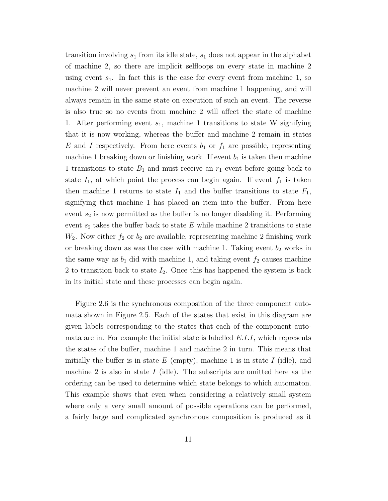transition involving  $s_1$  from its idle state,  $s_1$  does not appear in the alphabet of machine 2, so there are implicit selfloops on every state in machine 2 using event  $s_1$ . In fact this is the case for every event from machine 1, so machine 2 will never prevent an event from machine 1 happening, and will always remain in the same state on execution of such an event. The reverse is also true so no events from machine 2 will affect the state of machine 1. After performing event  $s_1$ , machine 1 transitions to state W signifying that it is now working, whereas the buffer and machine 2 remain in states E and I respectively. From here events  $b_1$  or  $f_1$  are possible, representing machine 1 breaking down or finishing work. If event  $b_1$  is taken then machine 1 tranistions to state  $B_1$  and must receive an  $r_1$  event before going back to state  $I_1$ , at which point the process can begin again. If event  $f_1$  is taken then machine 1 returns to state  $I_1$  and the buffer transitions to state  $F_1$ , signifying that machine 1 has placed an item into the buffer. From here event  $s_2$  is now permitted as the buffer is no longer disabling it. Performing event  $s_2$  takes the buffer back to state E while machine 2 transitions to state  $W_2$ . Now either  $f_2$  or  $b_2$  are available, representing machine 2 finishing work or breaking down as was the case with machine 1. Taking event  $b_2$  works in the same way as  $b_1$  did with machine 1, and taking event  $f_2$  causes machine 2 to transition back to state  $I_2$ . Once this has happened the system is back in its initial state and these processes can begin again.

Figure 2.6 is the synchronous composition of the three component automata shown in Figure 2.5. Each of the states that exist in this diagram are given labels corresponding to the states that each of the component automata are in. For example the initial state is labelled  $E.I.I$ , which represents the states of the buffer, machine 1 and machine 2 in turn. This means that initially the buffer is in state  $E$  (empty), machine 1 is in state  $I$  (idle), and machine 2 is also in state I (idle). The subscripts are omitted here as the ordering can be used to determine which state belongs to which automaton. This example shows that even when considering a relatively small system where only a very small amount of possible operations can be performed, a fairly large and complicated synchronous composition is produced as it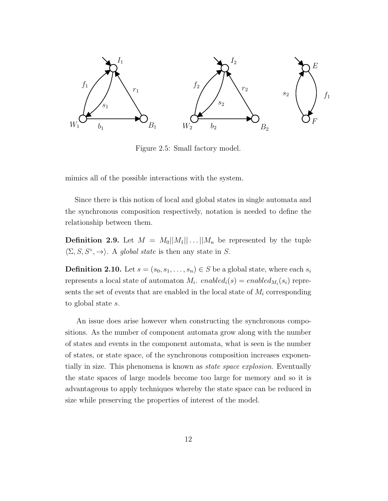

Figure 2.5: Small factory model.

mimics all of the possible interactions with the system.

Since there is this notion of local and global states in single automata and the synchronous composition respectively, notation is needed to define the relationship between them.

**Definition 2.9.** Let  $M = M_0||M_1|| \dots ||M_n$  be represented by the tuple  $\langle \Sigma, S, S^\circ, \rightarrow \rangle$ . A global state is then any state in S.

**Definition 2.10.** Let  $s = (s_0, s_1, \ldots, s_n) \in S$  be a global state, where each  $s_i$ represents a local state of automaton  $M_i$ .  $enabled_i(s) = enabled_{M_i}(s_i)$  represents the set of events that are enabled in the local state of  $M_i$  corresponding to global state s.

An issue does arise however when constructing the synchronous compositions. As the number of component automata grow along with the number of states and events in the component automata, what is seen is the number of states, or state space, of the synchronous composition increases exponentially in size. This phenomena is known as state space explosion. Eventually the state spaces of large models become too large for memory and so it is advantageous to apply techniques whereby the state space can be reduced in size while preserving the properties of interest of the model.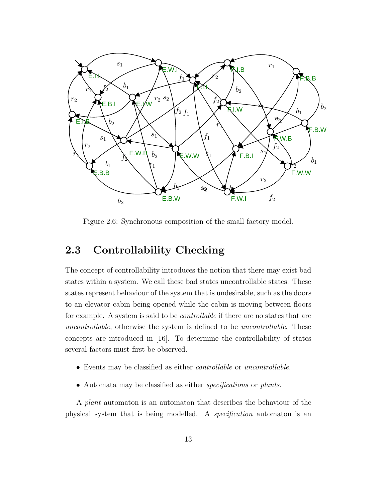

Figure 2.6: Synchronous composition of the small factory model.

## 2.3 Controllability Checking

The concept of controllability introduces the notion that there may exist bad states within a system. We call these bad states uncontrollable states. These states represent behaviour of the system that is undesirable, such as the doors to an elevator cabin being opened while the cabin is moving between floors for example. A system is said to be controllable if there are no states that are uncontrollable, otherwise the system is defined to be uncontrollable. These concepts are introduced in [16]. To determine the controllability of states several factors must first be observed.

- Events may be classified as either *controllable* or *uncontrollable*.
- Automata may be classified as either *specifications* or *plants*.

A plant automaton is an automaton that describes the behaviour of the physical system that is being modelled. A specification automaton is an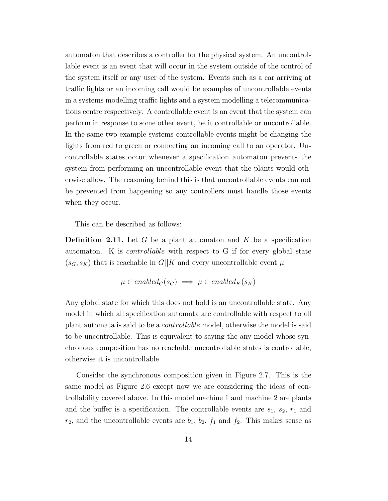automaton that describes a controller for the physical system. An uncontrollable event is an event that will occur in the system outside of the control of the system itself or any user of the system. Events such as a car arriving at traffic lights or an incoming call would be examples of uncontrollable events in a systems modelling traffic lights and a system modelling a telecommunications centre respectively. A controllable event is an event that the system can perform in response to some other event, be it controllable or uncontrollable. In the same two example systems controllable events might be changing the lights from red to green or connecting an incoming call to an operator. Uncontrollable states occur whenever a specification automaton prevents the system from performing an uncontrollable event that the plants would otherwise allow. The reasoning behind this is that uncontrollable events can not be prevented from happening so any controllers must handle those events when they occur.

This can be described as follows:

**Definition 2.11.** Let G be a plant automaton and K be a specification automaton. K is controllable with respect to G if for every global state  $(s_G, s_K)$  that is reachable in  $G||K$  and every uncontrollable event  $\mu$ 

$$
\mu \in enabled_G(s_G) \implies \mu \in enabled_K(s_K)
$$

Any global state for which this does not hold is an uncontrollable state. Any model in which all specification automata are controllable with respect to all plant automata is said to be a controllable model, otherwise the model is said to be uncontrollable. This is equivalent to saying the any model whose synchronous composition has no reachable uncontrollable states is controllable, otherwise it is uncontrollable.

Consider the synchronous composition given in Figure 2.7. This is the same model as Figure 2.6 except now we are considering the ideas of controllability covered above. In this model machine 1 and machine 2 are plants and the buffer is a specification. The controllable events are  $s_1$ ,  $s_2$ ,  $r_1$  and  $r_2$ , and the uncontrollable events are  $b_1$ ,  $b_2$ ,  $f_1$  and  $f_2$ . This makes sense as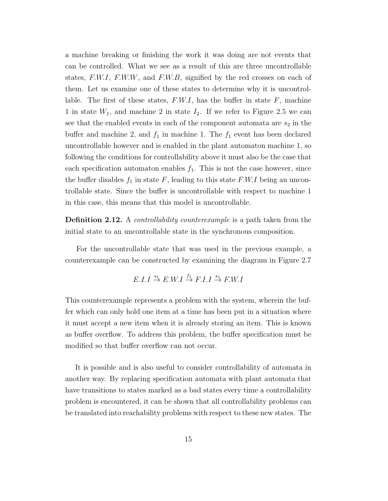a machine breaking or finishing the work it was doing are not events that can be controlled. What we see as a result of this are three uncontrollable states,  $F.W.I$ ,  $F.W.W$ , and  $F.W.B$ , signified by the red crosses on each of them. Let us examine one of these states to determine why it is uncontrollable. The first of these states,  $F.W.I$ , has the buffer in state  $F$ , machine 1 in state  $W_1$ , and machine 2 in state  $I_2$ . If we refer to Figure 2.5 we can see that the enabled events in each of the component automata are  $s_2$  in the buffer and machine 2, and  $f_1$  in machine 1. The  $f_1$  event has been declared uncontrollable however and is enabled in the plant automaton machine 1, so following the conditions for controllability above it must also be the case that each specification automaton enables  $f_1$ . This is not the case however, since the buffer disables  $f_1$  in state F, leading to this state F.W.I being an uncontrollable state. Since the buffer is uncontrollable with respect to machine 1 in this case, this means that this model is uncontrollable.

Definition 2.12. A *controllability counterexample* is a path taken from the initial state to an uncontrollable state in the synchronous composition.

For the uncontrollable state that was used in the previous example, a counterexample can be constructed by examining the diagram in Figure 2.7

$$
E.I.I \stackrel{s_1}{\rightarrow} E.W.I \stackrel{f_1}{\rightarrow} F.I.I \stackrel{s_1}{\rightarrow} F.W.I
$$

This counterexample represents a problem with the system, wherein the buffer which can only hold one item at a time has been put in a situation where it must accept a new item when it is already storing an item. This is known as buffer overflow. To address this problem, the buffer specification must be modified so that buffer overflow can not occur.

It is possible and is also useful to consider controllability of automata in another way. By replacing specification automata with plant automata that have transitions to states marked as a bad states every time a controllability problem is encountered, it can be shown that all controllability problems can be translated into reachability problems with respect to these new states. The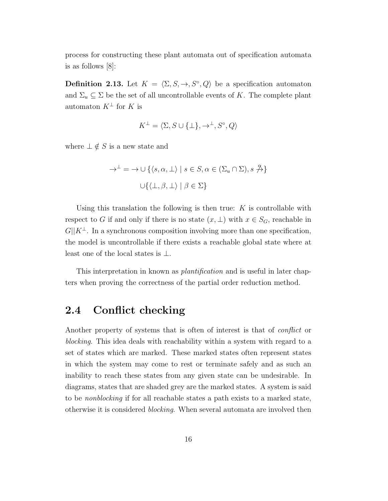process for constructing these plant automata out of specification automata is as follows [8]:

**Definition 2.13.** Let  $K = \langle \Sigma, S, \to, S^{\circ}, Q \rangle$  be a specification automaton and  $\Sigma_u \subseteq \Sigma$  be the set of all uncontrollable events of K. The complete plant automaton  $K^{\perp}$  for K is

$$
K^{\perp} = \langle \Sigma, S \cup \{\perp\}, \rightarrow^{\perp}, S^{\circ}, Q \rangle
$$

where  $\bot \notin S$  is a new state and

$$
\rightarrow^{\perp} = \rightarrow \cup \{ \langle s, \alpha, \perp \rangle \mid s \in S, \alpha \in (\Sigma_u \cap \Sigma), s \stackrel{\alpha}{\rightarrow} \}
$$

$$
\cup \{ \langle \perp, \beta, \perp \rangle \mid \beta \in \Sigma \}
$$

Using this translation the following is then true:  $K$  is controllable with respect to G if and only if there is no state  $(x, \perp)$  with  $x \in S_G$ , reachable in  $G||K^{\perp}$ . In a synchronous composition involving more than one specification, the model is uncontrollable if there exists a reachable global state where at least one of the local states is  $\perp$ .

This interpretation in known as *plantification* and is useful in later chapters when proving the correctness of the partial order reduction method.

### 2.4 Conflict checking

Another property of systems that is often of interest is that of *conflict* or blocking. This idea deals with reachability within a system with regard to a set of states which are marked. These marked states often represent states in which the system may come to rest or terminate safely and as such an inability to reach these states from any given state can be undesirable. In diagrams, states that are shaded grey are the marked states. A system is said to be nonblocking if for all reachable states a path exists to a marked state, otherwise it is considered blocking. When several automata are involved then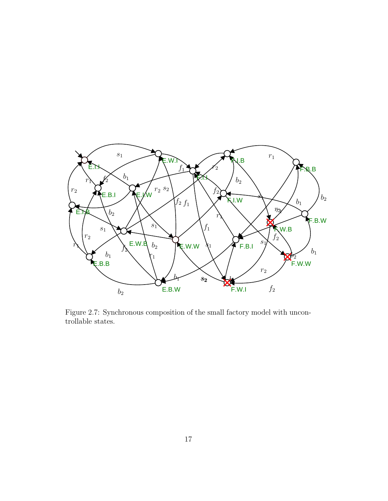

Figure 2.7: Synchronous composition of the small factory model with uncontrollable states.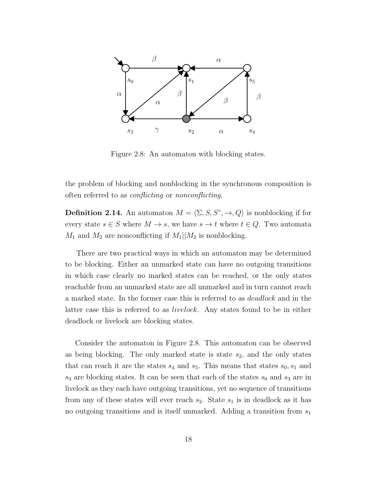

Figure 2.8: An automaton with blocking states.

the problem of blocking and nonblocking in the synchronous composition is often referred to as conflicting or nonconflicting.

**Definition 2.14.** An automaton  $M = \langle \Sigma, S, S^\circ, \to, Q \rangle$  is nonblocking if for every state  $s \in S$  where  $M \to s$ , we have  $s \to t$  where  $t \in Q$ . Two automata  $M_1$  and  $M_2$  are nonconflicting if  $M_1||M_2$  is nonblocking.

There are two practical ways in which an automaton may be determined to be blocking. Either an unmarked state can have no outgoing transitions in which case clearly no marked states can be reached, or the only states reachable from an unmarked state are all unmarked and in turn cannot reach a marked state. In the former case this is referred to as deadlock and in the latter case this is referred to as livelock. Any states found to be in either deadlock or livelock are blocking states.

Consider the automaton in Figure 2.8. This automaton can be observed as being blocking. The only marked state is state  $s_2$ , and the only states that can reach it are the states  $s_4$  and  $s_5$ . This means that states  $s_0, s_1$  and  $s_3$  are blocking states. It can be seen that each of the states  $s_0$  and  $s_3$  are in livelock as they each have outgoing transitions, yet no sequence of transitions from any of these states will ever reach  $s_2$ . State  $s_1$  is in deadlock as it has no outgoing transitions and is itself unmarked. Adding a transition from  $s_1$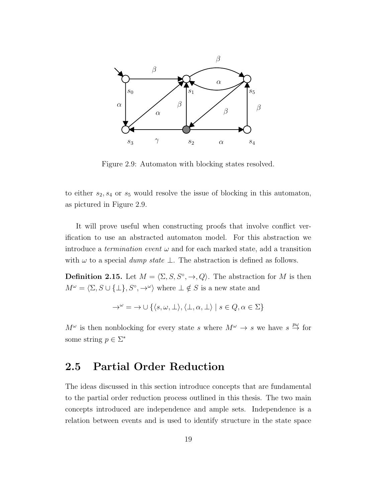

Figure 2.9: Automaton with blocking states resolved.

to either  $s_2, s_4$  or  $s_5$  would resolve the issue of blocking in this automaton, as pictured in Figure 2.9.

It will prove useful when constructing proofs that involve conflict verification to use an abstracted automaton model. For this abstraction we introduce a *termination event*  $\omega$  and for each marked state, add a transition with  $\omega$  to a special *dump state*  $\bot$ . The abstraction is defined as follows.

**Definition 2.15.** Let  $M = \langle \Sigma, S, S^\circ, \to, Q \rangle$ . The abstraction for M is then  $M^{\omega} = \langle \Sigma, S \cup \{\bot\}, S^{\circ}, \rightarrow^{\omega} \rangle$  where  $\bot \notin S$  is a new state and

$$
\rightarrow^{\omega} = \rightarrow \cup \{ \langle s, \omega, \bot \rangle, \langle \bot, \alpha, \bot \rangle \mid s \in Q, \alpha \in \Sigma \}
$$

 $M^{\omega}$  is then nonblocking for every state s where  $M^{\omega} \to s$  we have  $s \stackrel{p\omega}{\to}$  for some string  $p \in \Sigma^*$ 

### 2.5 Partial Order Reduction

The ideas discussed in this section introduce concepts that are fundamental to the partial order reduction process outlined in this thesis. The two main concepts introduced are independence and ample sets. Independence is a relation between events and is used to identify structure in the state space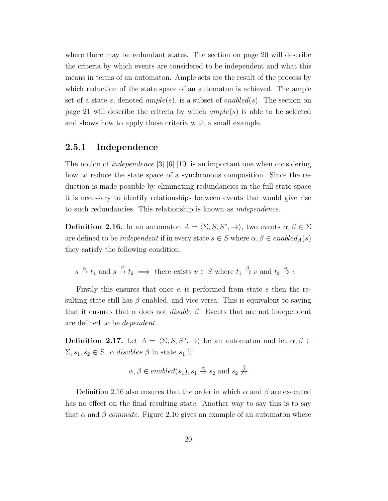where there may be redundant states. The section on page 20 will describe the criteria by which events are considered to be independent and what this means in terms of an automaton. Ample sets are the result of the process by which reduction of the state space of an automaton is achieved. The ample set of a state s, denoted  $ample(s)$ , is a subset of enabled(s). The section on page 21 will describe the criteria by which  $ample(s)$  is able to be selected and shows how to apply those criteria with a small example.

#### 2.5.1 Independence

The notion of *independence* [3] [6] [10] is an important one when considering how to reduce the state space of a synchronous composition. Since the reduction is made possible by eliminating redundancies in the full state space it is necessary to identify relationships between events that would give rise to such redundancies. This relationship is known as independence.

**Definition 2.16.** In an automaton  $A = \langle \Sigma, S, S^\circ, \to \rangle$ , two events  $\alpha, \beta \in \Sigma$ are defined to be *independent* if in every state  $s \in S$  where  $\alpha, \beta \in enabled_A(s)$ they satisfy the following condition:

$$
s \stackrel{\alpha}{\to} t_1
$$
 and  $s \stackrel{\beta}{\to} t_2 \implies$  there exists  $v \in S$  where  $t_1 \stackrel{\beta}{\to} v$  and  $t_2 \stackrel{\alpha}{\to} v$ 

Firstly this ensures that once  $\alpha$  is performed from state s then the resulting state still has  $\beta$  enabled, and vice versa. This is equivalent to saying that it ensures that  $\alpha$  does not *disable*  $\beta$ . Events that are not independent are defined to be dependent.

**Definition 2.17.** Let  $A = \langle \Sigma, S, S^\circ, \to \rangle$  be an automaton and let  $\alpha, \beta \in$  $\Sigma, s_1, s_2 \in S$ .  $\alpha$  disables  $\beta$  in state  $s_1$  if

$$
\alpha, \beta \in enabled(s_1), s_1 \stackrel{\alpha}{\rightarrow} s_2 \text{ and } s_2 \stackrel{\beta}{\nrightarrow}
$$

Definition 2.16 also ensures that the order in which  $\alpha$  and  $\beta$  are executed has no effect on the final resulting state. Another way to say this is to say that  $\alpha$  and  $\beta$  commute. Figure 2.10 gives an example of an automaton where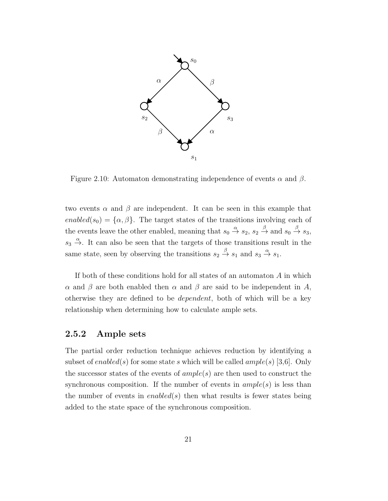

Figure 2.10: Automaton demonstrating independence of events  $\alpha$  and  $\beta$ .

two events  $\alpha$  and  $\beta$  are independent. It can be seen in this example that enabled(s<sub>0</sub>) = { $\alpha$ ,  $\beta$ }. The target states of the transitions involving each of the events leave the other enabled, meaning that  $s_0 \stackrel{\alpha}{\to} s_2$ ,  $s_2 \stackrel{\beta}{\to}$  and  $s_0 \stackrel{\beta}{\to} s_3$ ,  $s_3 \stackrel{\alpha}{\rightarrow}$ . It can also be seen that the targets of those transitions result in the same state, seen by observing the transitions  $s_2 \stackrel{\beta}{\rightarrow} s_1$  and  $s_3 \stackrel{\alpha}{\rightarrow} s_1$ .

If both of these conditions hold for all states of an automaton  $A$  in which α and β are both enabled then  $\alpha$  and β are said to be independent in A, otherwise they are defined to be dependent, both of which will be a key relationship when determining how to calculate ample sets.

#### 2.5.2 Ample sets

The partial order reduction technique achieves reduction by identifying a subset of enabled(s) for some state s which will be called  $ample(s)$  [3,6]. Only the successor states of the events of  $ample(s)$  are then used to construct the synchronous composition. If the number of events in  $ample(s)$  is less than the number of events in  $enabled(s)$  then what results is fewer states being added to the state space of the synchronous composition.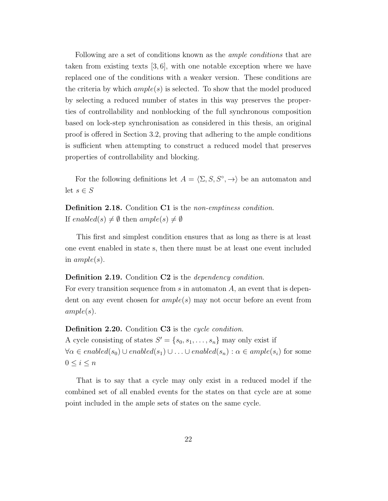Following are a set of conditions known as the *ample conditions* that are taken from existing texts [3, 6], with one notable exception where we have replaced one of the conditions with a weaker version. These conditions are the criteria by which  $ample(s)$  is selected. To show that the model produced by selecting a reduced number of states in this way preserves the properties of controllability and nonblocking of the full synchronous composition based on lock-step synchronisation as considered in this thesis, an original proof is offered in Section 3.2, proving that adhering to the ample conditions is sufficient when attempting to construct a reduced model that preserves properties of controllability and blocking.

For the following definitions let  $A = \langle \Sigma, S, S^\circ, \to \rangle$  be an automaton and let  $s \in S$ 

Definition 2.18. Condition C1 is the non-emptiness condition. If enabled(s)  $\neq \emptyset$  then ample(s)  $\neq \emptyset$ 

This first and simplest condition ensures that as long as there is at least one event enabled in state s, then there must be at least one event included in  $ample(s)$ .

#### Definition 2.19. Condition C2 is the *dependency condition*.

For every transition sequence from  $s$  in automaton  $A$ , an event that is dependent on any event chosen for  $ample(s)$  may not occur before an event from  $ample(s).$ 

Definition 2.20. Condition C3 is the cycle condition.

A cycle consisting of states  $S' = \{s_0, s_1, \ldots, s_n\}$  may only exist if  $\forall \alpha \in enabled(s_0) \cup enabled(s_1) \cup \ldots \cup enabled(s_n) : \alpha \in ample(s_i)$  for some  $0 \leq i \leq n$ 

That is to say that a cycle may only exist in a reduced model if the combined set of all enabled events for the states on that cycle are at some point included in the ample sets of states on the same cycle.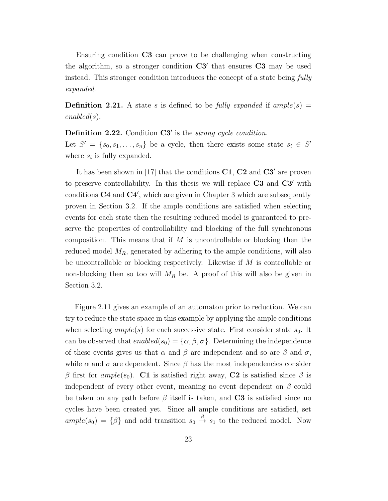Ensuring condition C3 can prove to be challenging when constructing the algorithm, so a stronger condition  $C3'$  that ensures  $C3$  may be used instead. This stronger condition introduces the concept of a state being fully expanded.

**Definition 2.21.** A state s is defined to be fully expanded if ample(s) = enabled(s).

Definition 2.22. Condition C3' is the strong cycle condition.

Let  $S' = \{s_0, s_1, \ldots, s_n\}$  be a cycle, then there exists some state  $s_i \in S'$ where  $s_i$  is fully expanded.

It has been shown in [17] that the conditions C1, C2 and C3′ are proven to preserve controllability. In this thesis we will replace C3 and C3′ with conditions C4 and C4', which are given in Chapter 3 which are subsequently proven in Section 3.2. If the ample conditions are satisfied when selecting events for each state then the resulting reduced model is guaranteed to preserve the properties of controllability and blocking of the full synchronous composition. This means that if  $M$  is uncontrollable or blocking then the reduced model  $M_R$ , generated by adhering to the ample conditions, will also be uncontrollable or blocking respectively. Likewise if M is controllable or non-blocking then so too will  $M_R$  be. A proof of this will also be given in Section 3.2.

Figure 2.11 gives an example of an automaton prior to reduction. We can try to reduce the state space in this example by applying the ample conditions when selecting  $ample(s)$  for each successive state. First consider state  $s_0$ . It can be observed that  $enabled(s_0) = {\alpha, \beta, \sigma}$ . Determining the independence of these events gives us that  $\alpha$  and  $\beta$  are independent and so are  $\beta$  and  $\sigma$ , while  $\alpha$  and  $\sigma$  are dependent. Since  $\beta$  has the most independencies consider β first for ample(s<sub>0</sub>). C1 is satisfied right away, C2 is satisfied since β is independent of every other event, meaning no event dependent on  $\beta$  could be taken on any path before  $\beta$  itself is taken, and C3 is satisfied since no cycles have been created yet. Since all ample conditions are satisfied, set  $ample(s_0) = {\beta}$  and add transition  $s_0 \stackrel{\beta}{\rightarrow} s_1$  to the reduced model. Now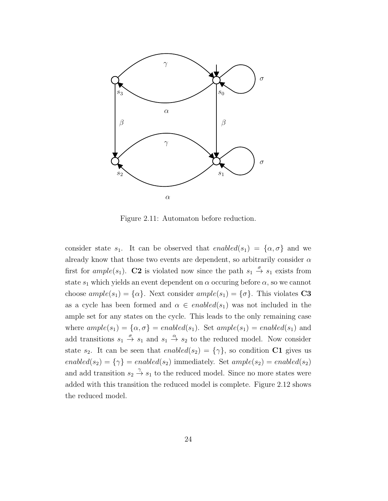

Figure 2.11: Automaton before reduction.

consider state  $s_1$ . It can be observed that  $enabled(s_1) = \{\alpha, \sigma\}$  and we already know that those two events are dependent, so arbitrarily consider  $\alpha$ first for  $ample(s_1)$ . C2 is violated now since the path  $s_1 \stackrel{\sigma}{\rightarrow} s_1$  exists from state  $s_1$  which yields an event dependent on  $\alpha$  occuring before  $\alpha$ , so we cannot choose  $ample(s_1) = {\alpha}$ . Next consider  $ample(s_1) = {\sigma}$ . This violates C3 as a cycle has been formed and  $\alpha \in enabled(s_1)$  was not included in the ample set for any states on the cycle. This leads to the only remaining case where  $ample(s_1) = {\alpha, \sigma}$  = enabled(s<sub>1</sub>). Set  $ample(s_1) = enabled(s_1)$  and add transitions  $s_1 \stackrel{\sigma}{\rightarrow} s_1$  and  $s_1 \stackrel{\alpha}{\rightarrow} s_2$  to the reduced model. Now consider state  $s_2$ . It can be seen that  $enabled(s_2) = {\gamma}$ , so condition C1 gives us enabled(s<sub>2</sub>) = { $\gamma$ } = enabled(s<sub>2</sub>) immediately. Set ample(s<sub>2</sub>) = enabled(s<sub>2</sub>) and add transition  $s_2 \stackrel{\gamma}{\rightarrow} s_1$  to the reduced model. Since no more states were added with this transition the reduced model is complete. Figure 2.12 shows the reduced model.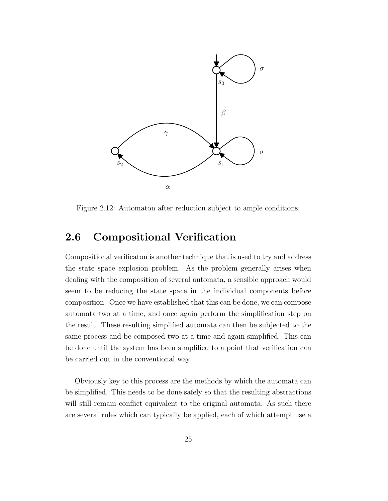

Figure 2.12: Automaton after reduction subject to ample conditions.

## 2.6 Compositional Verification

Compositional verificaton is another technique that is used to try and address the state space explosion problem. As the problem generally arises when dealing with the composition of several automata, a sensible approach would seem to be reducing the state space in the individual components before composition. Once we have established that this can be done, we can compose automata two at a time, and once again perform the simplification step on the result. These resulting simplified automata can then be subjected to the same process and be composed two at a time and again simplified. This can be done until the system has been simplified to a point that verification can be carried out in the conventional way.

Obviously key to this process are the methods by which the automata can be simplified. This needs to be done safely so that the resulting abstractions will still remain conflict equivalent to the original automata. As such there are several rules which can typically be applied, each of which attempt use a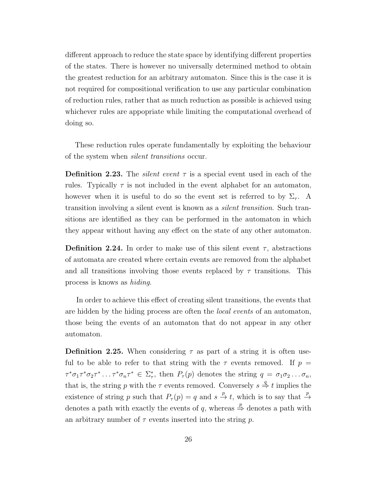different approach to reduce the state space by identifying different properties of the states. There is however no universally determined method to obtain the greatest reduction for an arbitrary automaton. Since this is the case it is not required for compositional verification to use any particular combination of reduction rules, rather that as much reduction as possible is achieved using whichever rules are appopriate while limiting the computational overhead of doing so.

These reduction rules operate fundamentally by exploiting the behaviour of the system when silent transitions occur.

**Definition 2.23.** The *silent event*  $\tau$  is a special event used in each of the rules. Typically  $\tau$  is not included in the event alphabet for an automaton, however when it is useful to do so the event set is referred to by  $\Sigma_{\tau}$ . A transition involving a silent event is known as a silent transition. Such transitions are identified as they can be performed in the automaton in which they appear without having any effect on the state of any other automaton.

**Definition 2.24.** In order to make use of this silent event  $\tau$ , abstractions of automata are created where certain events are removed from the alphabet and all transitions involving those events replaced by  $\tau$  transitions. This process is knows as hiding.

In order to achieve this effect of creating silent transitions, the events that are hidden by the hiding process are often the *local events* of an automaton, those being the events of an automaton that do not appear in any other automaton.

**Definition 2.25.** When considering  $\tau$  as part of a string it is often useful to be able to refer to that string with the  $\tau$  events removed. If  $p =$  $\tau^*\sigma_1\tau^*\sigma_2\tau^*\ldots\tau^*\sigma_n\tau^* \in \Sigma^*_\tau$ , then  $P_\tau(p)$  denotes the string  $q = \sigma_1\sigma_2\ldots\sigma_n$ , that is, the string p with the  $\tau$  events removed. Conversely  $s \stackrel{q}{\Rightarrow} t$  implies the existence of string p such that  $P_{\tau}(p) = q$  and  $s \stackrel{p}{\to} t$ , which is to say that  $\stackrel{p}{\to}$ denotes a path with exactly the events of q, whereas  $\stackrel{p}{\Rightarrow}$  denotes a path with an arbitrary number of  $\tau$  events inserted into the string p.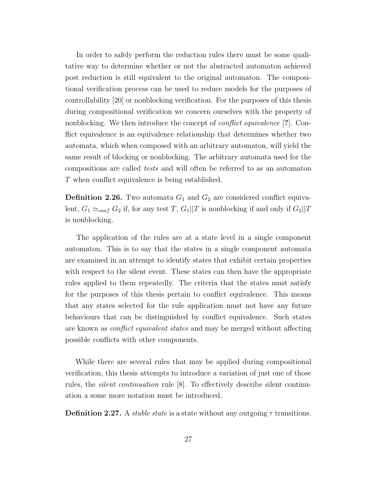In order to safely perform the reduction rules there must be some qualitative way to determine whether or not the abstracted automaton achieved post reduction is still equivalent to the original automaton. The compositional verification process can be used to reduce models for the purposes of controllability [20] or nonblocking verification. For the purposes of this thesis during compositional verification we concern ourselves with the property of nonblocking. We then introduce the concept of *conflict equivalence* [?]. Conflict equivalence is an equivalence relationship that determines whether two automata, which when composed with an arbitrary automaton, will yield the same result of blocking or nonblocking. The arbitrary automata used for the compositions are called tests and will often be referred to as an automaton T when conflict equivalence is being established.

**Definition 2.26.** Two automata  $G_1$  and  $G_2$  are considered conflict equivalent,  $G_1 \simeq_{conf} G_2$  if, for any test T,  $G_1||T$  is nonblocking if and only if  $G_2||T$ is nonblocking.

The application of the rules are at a state level in a single component automaton. This is to say that the states in a single component automata are examined in an attempt to identify states that exhibit certain properties with respect to the silent event. These states can then have the appropriate rules applied to them repeatedly. The criteria that the states must satisfy for the purposes of this thesis pertain to conflict equivalence. This means that any states selected for the rule application must not have any future behaviours that can be distinguished by conflict equivalence. Such states are known as conflict equivalent states and may be merged without affecting possible conflicts with other components.

While there are several rules that may be applied during compositional verification, this thesis attempts to introduce a variation of just one of those rules, the silent continuation rule [8]. To effectively describe silent continuation a some more notation must be introduced.

**Definition 2.27.** A *stable state* is a state without any outgoing  $\tau$  transitions.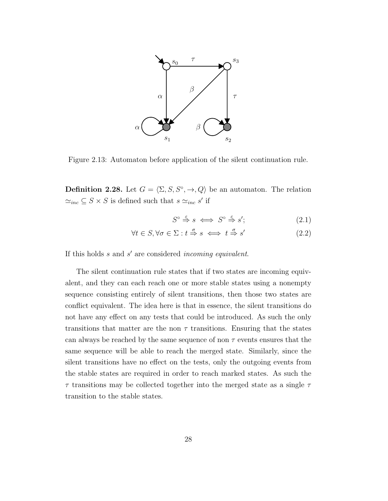

Figure 2.13: Automaton before application of the silent continuation rule.

**Definition 2.28.** Let  $G = \langle \Sigma, S, S^\circ, \to, Q \rangle$  be an automaton. The relation  $\simeq_{inc} S \times S$  is defined such that  $s \simeq_{inc} s'$  if

$$
S^{\circ} \stackrel{\varepsilon}{\Rightarrow} s \iff S^{\circ} \stackrel{\varepsilon}{\Rightarrow} s';\tag{2.1}
$$

$$
\forall t \in S, \forall \sigma \in \Sigma : t \stackrel{\sigma}{\Rightarrow} s \iff t \stackrel{\sigma}{\Rightarrow} s' \tag{2.2}
$$

If this holds  $s$  and  $s'$  are considered incoming equivalent.

The silent continuation rule states that if two states are incoming equivalent, and they can each reach one or more stable states using a nonempty sequence consisting entirely of silent transitions, then those two states are conflict equivalent. The idea here is that in essence, the silent transitions do not have any effect on any tests that could be introduced. As such the only transitions that matter are the non  $\tau$  transitions. Ensuring that the states can always be reached by the same sequence of non  $\tau$  events ensures that the same sequence will be able to reach the merged state. Similarly, since the silent transitions have no effect on the tests, only the outgoing events from the stable states are required in order to reach marked states. As such the  $\tau$  transitions may be collected together into the merged state as a single  $\tau$ transition to the stable states.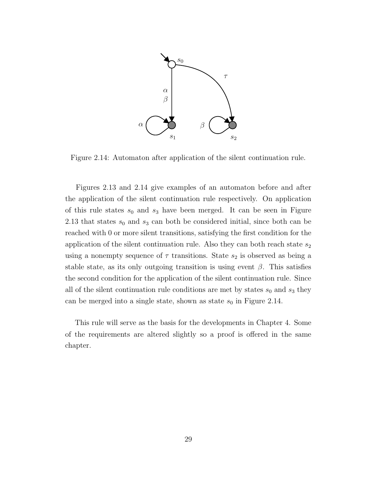

Figure 2.14: Automaton after application of the silent continuation rule.

Figures 2.13 and 2.14 give examples of an automaton before and after the application of the silent continuation rule respectively. On application of this rule states  $s_0$  and  $s_3$  have been merged. It can be seen in Figure 2.13 that states  $s_0$  and  $s_3$  can both be considered initial, since both can be reached with 0 or more silent transitions, satisfying the first condition for the application of the silent continuation rule. Also they can both reach state  $s_2$ using a nonempty sequence of  $\tau$  transitions. State  $s_2$  is observed as being a stable state, as its only outgoing transition is using event  $\beta$ . This satisfies the second condition for the application of the silent continuation rule. Since all of the silent continuation rule conditions are met by states  $s_0$  and  $s_3$  they can be merged into a single state, shown as state  $s_0$  in Figure 2.14.

This rule will serve as the basis for the developments in Chapter 4. Some of the requirements are altered slightly so a proof is offered in the same chapter.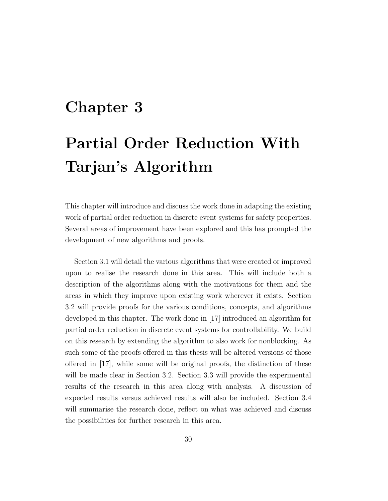## Chapter 3

# Partial Order Reduction With Tarjan's Algorithm

This chapter will introduce and discuss the work done in adapting the existing work of partial order reduction in discrete event systems for safety properties. Several areas of improvement have been explored and this has prompted the development of new algorithms and proofs.

Section 3.1 will detail the various algorithms that were created or improved upon to realise the research done in this area. This will include both a description of the algorithms along with the motivations for them and the areas in which they improve upon existing work wherever it exists. Section 3.2 will provide proofs for the various conditions, concepts, and algorithms developed in this chapter. The work done in [17] introduced an algorithm for partial order reduction in discrete event systems for controllability. We build on this research by extending the algorithm to also work for nonblocking. As such some of the proofs offered in this thesis will be altered versions of those offered in [17], while some will be original proofs, the distinction of these will be made clear in Section 3.2. Section 3.3 will provide the experimental results of the research in this area along with analysis. A discussion of expected results versus achieved results will also be included. Section 3.4 will summarise the research done, reflect on what was achieved and discuss the possibilities for further research in this area.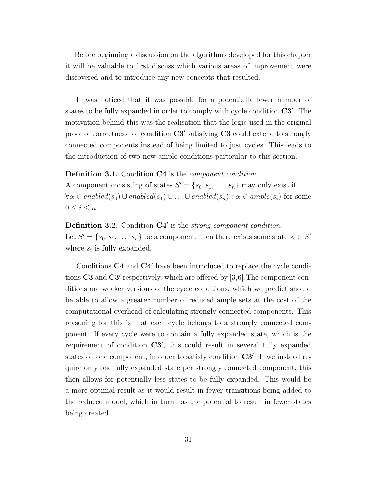Before beginning a discussion on the algorithms developed for this chapter it will be valuable to first discuss which various areas of improvement were discovered and to introduce any new concepts that resulted.

It was noticed that it was possible for a potentially fewer number of states to be fully expanded in order to comply with cycle condition  $C3'$ . The motivation behind this was the realisation that the logic used in the original proof of correctness for condition  $C3'$  satisfying  $C3$  could extend to strongly connected components instead of being limited to just cycles. This leads to the introduction of two new ample conditions particular to this section.

Definition 3.1. Condition C4 is the *component condition*.

A component consisting of states  $S' = \{s_0, s_1, \ldots, s_n\}$  may only exist if  $\forall \alpha \in enabled(s_0) \cup enabled(s_1) \cup \ldots \cup enabled(s_n) : \alpha \in ample(s_i)$  for some  $0 \leq i \leq n$ 

Definition 3.2. Condition C4' is the strong component condition. Let  $S' = \{s_0, s_1, \ldots, s_n\}$  be a component, then there exists some state  $s_i \in S'$ where  $s_i$  is fully expanded.

Conditions C4 and C4′ have been introduced to replace the cycle conditions  $C3$  and  $C3'$  respectively, which are offered by [3,6]. The component conditions are weaker versions of the cycle conditions, which we predict should be able to allow a greater number of reduced ample sets at the cost of the computational overhead of calculating strongly connected components. This reasoning for this is that each cycle belongs to a strongly connected component. If every cycle were to contain a fully expanded state, which is the requirement of condition C3', this could result in several fully expanded states on one component, in order to satisfy condition  $C3'$ . If we instead require only one fully expanded state per strongly connected component, this then allows for potentially less states to be fully expanded. This would be a more optimal result as it would result in fewer transitions being added to the reduced model, which in turn has the potential to result in fewer states being created.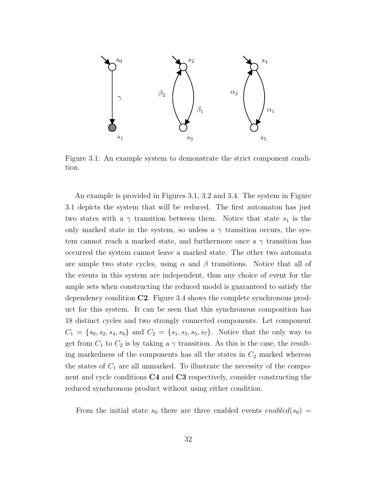

Figure 3.1: An example system to demonstrate the strict component condition.

An example is provided in Figures 3.1, 3.2 and 3.4. The system in Figure 3.1 depicts the system that will be reduced. The first automaton has just two states with a  $\gamma$  transition between them. Notice that state  $s_1$  is the only marked state in the system, so unless a  $\gamma$  transition occurs, the system cannot reach a marked state, and furthermore once a  $\gamma$  transition has occurred the system cannot leave a marked state. The other two automata are simple two state cycles, using  $\alpha$  and  $\beta$  transitions. Notice that all of the events in this system are independent, thus any choice of event for the ample sets when constructing the reduced model is guaranteed to satisfy the dependency condition C2. Figure 3.4 shows the complete synchronous product for this system. It can be seen that this synchronous composition has 18 distinct cycles and two strongly connected components. Let component  $C_1 = \{s_0, s_2, s_4, s_6\}$  and  $C_2 = \{s_1, s_3, s_5, s_7\}$ . Notice that the only way to get from  $C_1$  to  $C_2$  is by taking a  $\gamma$  transition. As this is the case, the resulting markedness of the components has all the states in  $C_2$  marked whereas the states of  $C_1$  are all unmarked. To illustrate the necessity of the component and cycle conditions C4 and C3 respectively, consider constructing the reduced synchronous product without using either condition.

From the initial state  $s_0$  there are three enabled events enabled( $s_0$ ) =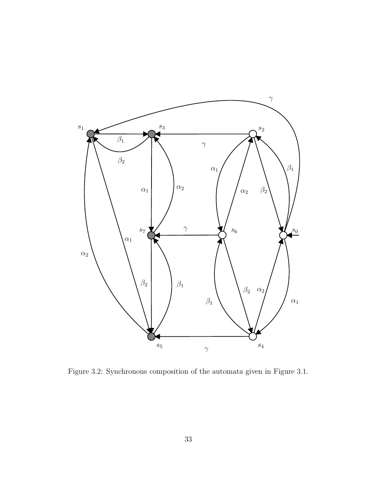

Figure 3.2: Synchronous composition of the automata given in Figure 3.1.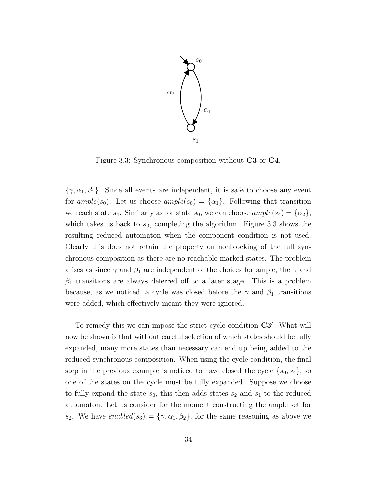

Figure 3.3: Synchronous composition without C3 or C4.

 $\{\gamma, \alpha_1, \beta_1\}$ . Since all events are independent, it is safe to choose any event for  $ample(s_0)$ . Let us choose  $ample(s_0) = {\alpha_1}$ . Following that transition we reach state  $s_4$ . Similarly as for state  $s_0$ , we can choose  $ample(s_4) = {\alpha_2}$ , which takes us back to  $s_0$ , completing the algorithm. Figure 3.3 shows the resulting reduced automaton when the component condition is not used. Clearly this does not retain the property on nonblocking of the full synchronous composition as there are no reachable marked states. The problem arises as since  $\gamma$  and  $\beta_1$  are independent of the choices for ample, the  $\gamma$  and  $\beta_1$  transitions are always deferred off to a later stage. This is a problem because, as we noticed, a cycle was closed before the  $\gamma$  and  $\beta_1$  transitions were added, which effectively meant they were ignored.

To remedy this we can impose the strict cycle condition C3′ . What will now be shown is that without careful selection of which states should be fully expanded, many more states than necessary can end up being added to the reduced synchronous composition. When using the cycle condition, the final step in the previous example is noticed to have closed the cycle  $\{s_0, s_4\}$ , so one of the states on the cycle must be fully expanded. Suppose we choose to fully expand the state  $s_0$ , this then adds states  $s_2$  and  $s_1$  to the reduced automaton. Let us consider for the moment constructing the ample set for s<sub>2</sub>. We have enabled(s<sub>6</sub>) = { $\gamma$ ,  $\alpha_1$ ,  $\beta_2$ }, for the same reasoning as above we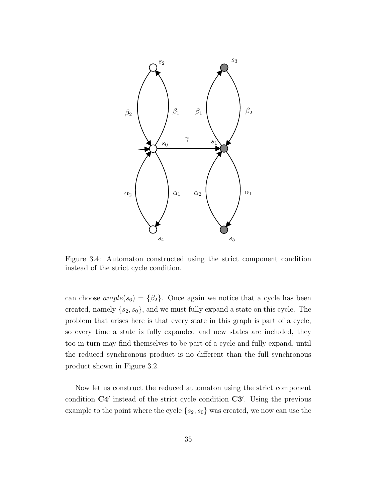

Figure 3.4: Automaton constructed using the strict component condition instead of the strict cycle condition.

can choose  $ample(s_6) = {\beta_2}$ . Once again we notice that a cycle has been created, namely  $\{s_2, s_0\}$ , and we must fully expand a state on this cycle. The problem that arises here is that every state in this graph is part of a cycle, so every time a state is fully expanded and new states are included, they too in turn may find themselves to be part of a cycle and fully expand, until the reduced synchronous product is no different than the full synchronous product shown in Figure 3.2.

Now let us construct the reduced automaton using the strict component condition  $C4'$  instead of the strict cycle condition  $C3'$ . Using the previous example to the point where the cycle  $\{s_2, s_0\}$  was created, we now can use the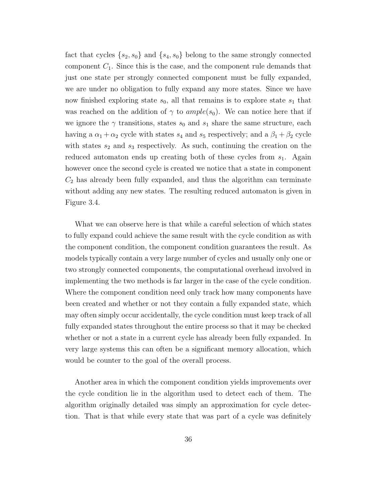fact that cycles  $\{s_2, s_0\}$  and  $\{s_4, s_0\}$  belong to the same strongly connected component  $C_1$ . Since this is the case, and the component rule demands that just one state per strongly connected component must be fully expanded, we are under no obligation to fully expand any more states. Since we have now finished exploring state  $s_0$ , all that remains is to explore state  $s_1$  that was reached on the addition of  $\gamma$  to ample(s<sub>0</sub>). We can notice here that if we ignore the  $\gamma$  transitions, states  $s_0$  and  $s_1$  share the same structure, each having a  $\alpha_1 + \alpha_2$  cycle with states  $s_4$  and  $s_5$  respectively; and a  $\beta_1 + \beta_2$  cycle with states  $s_2$  and  $s_3$  respectively. As such, continuing the creation on the reduced automaton ends up creating both of these cycles from  $s_1$ . Again however once the second cycle is created we notice that a state in component  $C_2$  has already been fully expanded, and thus the algorithm can terminate without adding any new states. The resulting reduced automaton is given in Figure 3.4.

What we can observe here is that while a careful selection of which states to fully expand could achieve the same result with the cycle condition as with the component condition, the component condition guarantees the result. As models typically contain a very large number of cycles and usually only one or two strongly connected components, the computational overhead involved in implementing the two methods is far larger in the case of the cycle condition. Where the component condition need only track how many components have been created and whether or not they contain a fully expanded state, which may often simply occur accidentally, the cycle condition must keep track of all fully expanded states throughout the entire process so that it may be checked whether or not a state in a current cycle has already been fully expanded. In very large systems this can often be a significant memory allocation, which would be counter to the goal of the overall process.

Another area in which the component condition yields improvements over the cycle condition lie in the algorithm used to detect each of them. The algorithm originally detailed was simply an approximation for cycle detection. That is that while every state that was part of a cycle was definitely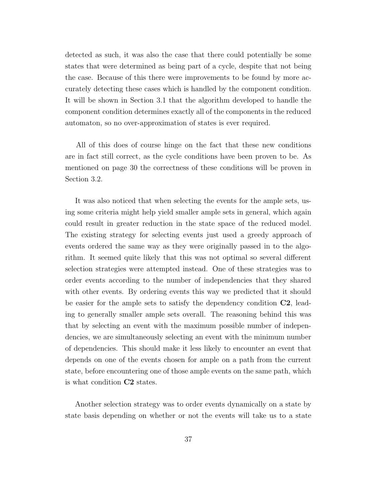detected as such, it was also the case that there could potentially be some states that were determined as being part of a cycle, despite that not being the case. Because of this there were improvements to be found by more accurately detecting these cases which is handled by the component condition. It will be shown in Section 3.1 that the algorithm developed to handle the component condition determines exactly all of the components in the reduced automaton, so no over-approximation of states is ever required.

All of this does of course hinge on the fact that these new conditions are in fact still correct, as the cycle conditions have been proven to be. As mentioned on page 30 the correctness of these conditions will be proven in Section 3.2.

It was also noticed that when selecting the events for the ample sets, using some criteria might help yield smaller ample sets in general, which again could result in greater reduction in the state space of the reduced model. The existing strategy for selecting events just used a greedy approach of events ordered the same way as they were originally passed in to the algorithm. It seemed quite likely that this was not optimal so several different selection strategies were attempted instead. One of these strategies was to order events according to the number of independencies that they shared with other events. By ordering events this way we predicted that it should be easier for the ample sets to satisfy the dependency condition C2, leading to generally smaller ample sets overall. The reasoning behind this was that by selecting an event with the maximum possible number of independencies, we are simultaneously selecting an event with the minimum number of dependencies. This should make it less likely to encounter an event that depends on one of the events chosen for ample on a path from the current state, before encountering one of those ample events on the same path, which is what condition C2 states.

Another selection strategy was to order events dynamically on a state by state basis depending on whether or not the events will take us to a state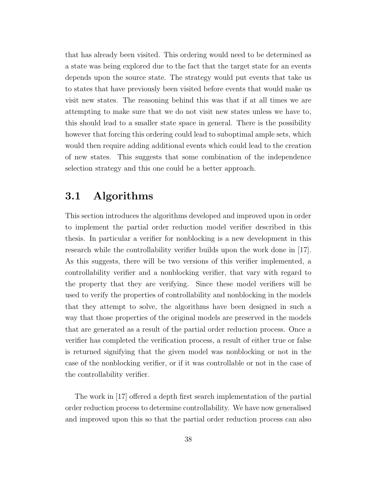that has already been visited. This ordering would need to be determined as a state was being explored due to the fact that the target state for an events depends upon the source state. The strategy would put events that take us to states that have previously been visited before events that would make us visit new states. The reasoning behind this was that if at all times we are attempting to make sure that we do not visit new states unless we have to, this should lead to a smaller state space in general. There is the possibility however that forcing this ordering could lead to suboptimal ample sets, which would then require adding additional events which could lead to the creation of new states. This suggests that some combination of the independence selection strategy and this one could be a better approach.

### 3.1 Algorithms

This section introduces the algorithms developed and improved upon in order to implement the partial order reduction model verifier described in this thesis. In particular a verifier for nonblocking is a new development in this research while the controllability verifier builds upon the work done in [17]. As this suggests, there will be two versions of this verifier implemented, a controllability verifier and a nonblocking verifier, that vary with regard to the property that they are verifying. Since these model verifiers will be used to verify the properties of controllability and nonblocking in the models that they attempt to solve, the algorithms have been designed in such a way that those properties of the original models are preserved in the models that are generated as a result of the partial order reduction process. Once a verifier has completed the verification process, a result of either true or false is returned signifying that the given model was nonblocking or not in the case of the nonblocking verifier, or if it was controllable or not in the case of the controllability verifier.

The work in [17] offered a depth first search implementation of the partial order reduction process to determine controllability. We have now generalised and improved upon this so that the partial order reduction process can also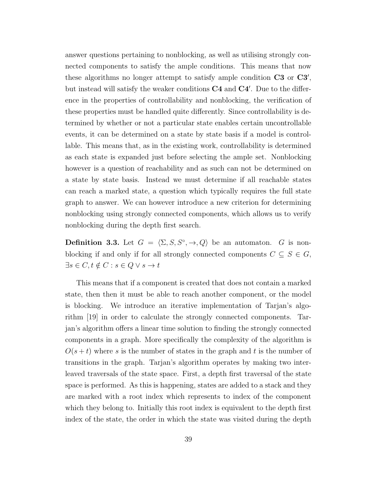answer questions pertaining to nonblocking, as well as utilising strongly connected components to satisfy the ample conditions. This means that now these algorithms no longer attempt to satisfy ample condition  $C3$  or  $C3'$ , but instead will satisfy the weaker conditions  $C4$  and  $C4'$ . Due to the difference in the properties of controllability and nonblocking, the verification of these properties must be handled quite differently. Since controllability is determined by whether or not a particular state enables certain uncontrollable events, it can be determined on a state by state basis if a model is controllable. This means that, as in the existing work, controllability is determined as each state is expanded just before selecting the ample set. Nonblocking however is a question of reachability and as such can not be determined on a state by state basis. Instead we must determine if all reachable states can reach a marked state, a question which typically requires the full state graph to answer. We can however introduce a new criterion for determining nonblocking using strongly connected components, which allows us to verify nonblocking during the depth first search.

**Definition 3.3.** Let  $G = \langle \Sigma, S, S^\circ, \to, Q \rangle$  be an automaton. G is nonblocking if and only if for all strongly connected components  $C \subseteq S \in G$ ,  $\exists s \in C, t \notin C : s \in Q \vee s \rightarrow t$ 

This means that if a component is created that does not contain a marked state, then then it must be able to reach another component, or the model is blocking. We introduce an iterative implementation of Tarjan's algorithm [19] in order to calculate the strongly connected components. Tarjan's algorithm offers a linear time solution to finding the strongly connected components in a graph. More specifically the complexity of the algorithm is  $O(s + t)$  where s is the number of states in the graph and t is the number of transitions in the graph. Tarjan's algorithm operates by making two interleaved traversals of the state space. First, a depth first traversal of the state space is performed. As this is happening, states are added to a stack and they are marked with a root index which represents to index of the component which they belong to. Initially this root index is equivalent to the depth first index of the state, the order in which the state was visited during the depth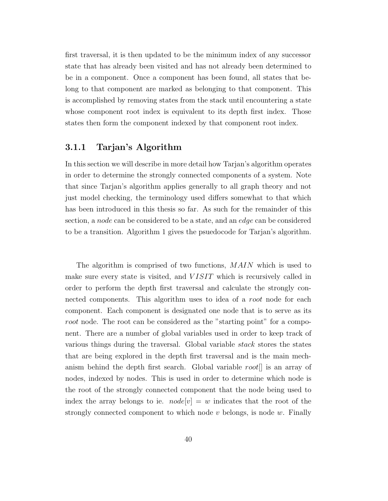first traversal, it is then updated to be the minimum index of any successor state that has already been visited and has not already been determined to be in a component. Once a component has been found, all states that belong to that component are marked as belonging to that component. This is accomplished by removing states from the stack until encountering a state whose component root index is equivalent to its depth first index. Those states then form the component indexed by that component root index.

### 3.1.1 Tarjan's Algorithm

In this section we will describe in more detail how Tarjan's algorithm operates in order to determine the strongly connected components of a system. Note that since Tarjan's algorithm applies generally to all graph theory and not just model checking, the terminology used differs somewhat to that which has been introduced in this thesis so far. As such for the remainder of this section, a node can be considered to be a state, and an edge can be considered to be a transition. Algorithm 1 gives the psuedocode for Tarjan's algorithm.

The algorithm is comprised of two functions, MAIN which is used to make sure every state is visited, and *VISIT* which is recursively called in order to perform the depth first traversal and calculate the strongly connected components. This algorithm uses to idea of a root node for each component. Each component is designated one node that is to serve as its root node. The root can be considered as the "starting point" for a component. There are a number of global variables used in order to keep track of various things during the traversal. Global variable stack stores the states that are being explored in the depth first traversal and is the main mechanism behind the depth first search. Global variable root. is an array of nodes, indexed by nodes. This is used in order to determine which node is the root of the strongly connected component that the node being used to index the array belongs to ie.  $node[v] = w$  indicates that the root of the strongly connected component to which node  $v$  belongs, is node  $w$ . Finally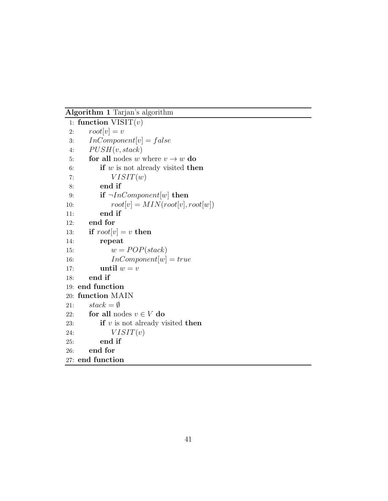Algorithm 1 Tarjan's algorithm

```
1: function VISIT(v)2: root[v] = v3: InComponent[v] = false4: PUSH(v, stack)5: for all nodes w where v \rightarrow w do
6: if w is not already visited then
7: VISIT(w)8: end if
9: if \neg InComponent[w] then
10: root[v] = MIN(root[v], root[w])11: end if
12: end for
13: if root[v] = v then
14: repeat
15: w = POP(state)16: InComponent[w] = true17: until w = v18: end if
19: end function
20: function MAIN
21: stack = \emptyset22: for all nodes v \in V do
23: if v is not already visited then
24: VISIT(v)25: end if
26: end for
27: end function
```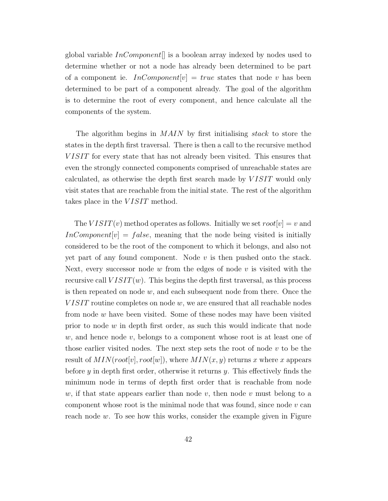global variable  $InComponent[]$  is a boolean array indexed by nodes used to determine whether or not a node has already been determined to be part of a component ie. InComponent  $[v] = true$  states that node v has been determined to be part of a component already. The goal of the algorithm is to determine the root of every component, and hence calculate all the components of the system.

The algorithm begins in MAIN by first initialising *stack* to store the states in the depth first traversal. There is then a call to the recursive method VISIT for every state that has not already been visited. This ensures that even the strongly connected components comprised of unreachable states are calculated, as otherwise the depth first search made by V ISIT would only visit states that are reachable from the initial state. The rest of the algorithm takes place in the *VISIT* method.

The  $VISTT(v)$  method operates as follows. Initially we set  $root[v] = v$  and  $InComponent[v] = false$ , meaning that the node being visited is initially considered to be the root of the component to which it belongs, and also not yet part of any found component. Node  $v$  is then pushed onto the stack. Next, every successor node  $w$  from the edges of node  $v$  is visited with the recursive call  $VIST(w)$ . This begins the depth first traversal, as this process is then repeated on node  $w$ , and each subsequent node from there. Once the  $VISIT$  routine completes on node  $w$ , we are ensured that all reachable nodes from node w have been visited. Some of these nodes may have been visited prior to node  $w$  in depth first order, as such this would indicate that node  $w$ , and hence node  $v$ , belongs to a component whose root is at least one of those earlier visited nodes. The next step sets the root of node  $v$  to be the result of  $MIN(root[v], root[w])$ , where  $MIN(x, y)$  returns x where x appears before y in depth first order, otherwise it returns y. This effectively finds the minimum node in terms of depth first order that is reachable from node  $w$ , if that state appears earlier than node  $v$ , then node  $v$  must belong to a component whose root is the minimal node that was found, since node  $v$  can reach node  $w$ . To see how this works, consider the example given in Figure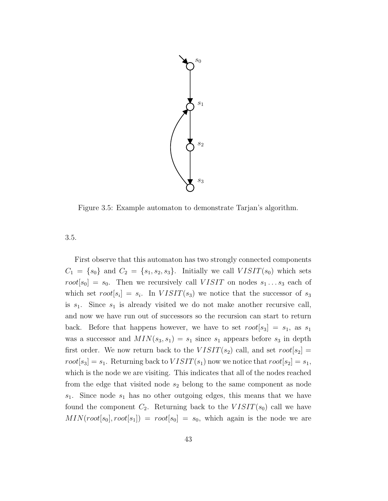

Figure 3.5: Example automaton to demonstrate Tarjan's algorithm.

3.5.

First observe that this automaton has two strongly connected components  $C_1 = \{s_0\}$  and  $C_2 = \{s_1, s_2, s_3\}$ . Initially we call  $VISIT(s_0)$  which sets  $root[s_0] = s_0$ . Then we recursively call  $VISIT$  on nodes  $s_1 \ldots s_3$  each of which set  $root[s_i] = s_i$ . In  $VISIT(s_3)$  we notice that the successor of  $s_3$ is  $s_1$ . Since  $s_1$  is already visited we do not make another recursive call, and now we have run out of successors so the recursion can start to return back. Before that happens however, we have to set  $root[s_3] = s_1$ , as  $s_1$ was a successor and  $MIN(s_3, s_1) = s_1$  since  $s_1$  appears before  $s_3$  in depth first order. We now return back to the  $VISIT(s_2)$  call, and set  $root[s_2]$  =  $root[s_3] = s_1$ . Returning back to  $VISIT(s_1)$  now we notice that  $root[s_2] = s_1$ , which is the node we are visiting. This indicates that all of the nodes reached from the edge that visited node  $s_2$  belong to the same component as node  $s_1$ . Since node  $s_1$  has no other outgoing edges, this means that we have found the component  $C_2$ . Returning back to the  $VISIT(s_0)$  call we have  $MIN(root[s_0], root[s_1]) = root[s_0] = s_0$ , which again is the node we are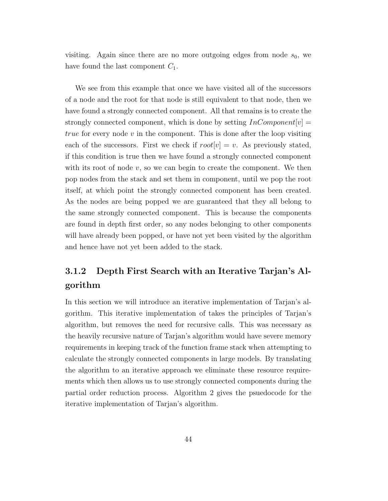visiting. Again since there are no more outgoing edges from node  $s_0$ , we have found the last component  $C_1$ .

We see from this example that once we have visited all of the successors of a node and the root for that node is still equivalent to that node, then we have found a strongly connected component. All that remains is to create the strongly connected component, which is done by setting  $InComponent[v] =$ true for every node  $v$  in the component. This is done after the loop visiting each of the successors. First we check if  $root[v] = v$ . As previously stated, if this condition is true then we have found a strongly connected component with its root of node  $v$ , so we can begin to create the component. We then pop nodes from the stack and set them in component, until we pop the root itself, at which point the strongly connected component has been created. As the nodes are being popped we are guaranteed that they all belong to the same strongly connected component. This is because the components are found in depth first order, so any nodes belonging to other components will have already been popped, or have not yet been visited by the algorithm and hence have not yet been added to the stack.

# 3.1.2 Depth First Search with an Iterative Tarjan's Algorithm

In this section we will introduce an iterative implementation of Tarjan's algorithm. This iterative implementation of takes the principles of Tarjan's algorithm, but removes the need for recursive calls. This was necessary as the heavily recursive nature of Tarjan's algorithm would have severe memory requirements in keeping track of the function frame stack when attempting to calculate the strongly connected components in large models. By translating the algorithm to an iterative approach we eliminate these resource requirements which then allows us to use strongly connected components during the partial order reduction process. Algorithm 2 gives the psuedocode for the iterative implementation of Tarjan's algorithm.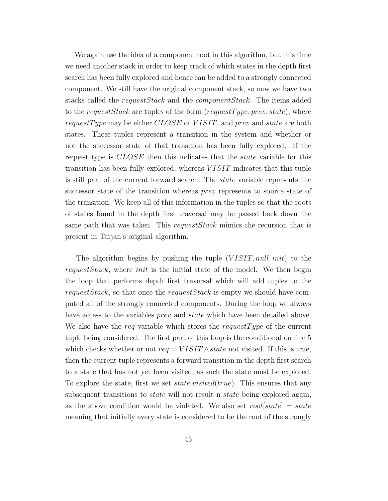We again use the idea of a component root in this algorithm, but this time we need another stack in order to keep track of which states in the depth first search has been fully explored and hence can be added to a strongly connected component. We still have the original component stack, so now we have two stacks called the *requestStack* and the *componentStack*. The items added to the request Stack are tuples of the form (request Type, prev, state), where request Type may be either CLOSE or VISIT, and prev and state are both states. These tuples represent a transition in the system and whether or not the successor state of that transition has been fully explored. If the request type is CLOSE then this indicates that the *state* variable for this transition has been fully explored, whereas  $VISIT$  indicates that this tuple is still part of the current forward search. The state variable represents the successor state of the transition whereas prev represents to source state of the transition. We keep all of this information in the tuples so that the roots of states found in the depth first traversal may be passed back down the same path that was taken. This request Stack mimics the recursion that is present in Tarjan's original algorithm.

The algorithm begins by pushing the tuple  $(VISIT, null, init)$  to the requestStack, where init is the initial state of the model. We then begin the loop that performs depth first traversal which will add tuples to the requestStack, so that once the requestStack is empty we should have computed all of the strongly connected components. During the loop we always have access to the variables *prev* and *state* which have been detailed above. We also have the req variable which stores the request Type of the current tuple being considered. The first part of this loop is the conditional on line 5 which checks whether or not  $req = VISIT \wedge state$  not visited. If this is true, then the current tuple represents a forward transition in the depth first search to a state that has not yet been visited, as such the state must be explored. To explore the state, first we set  $state.visited(true)$ . This ensures that any subsequent transitions to *state* will not result n *state* being explored again, as the above condition would be violated. We also set  $root[state] = state$ meaning that initially every state is considered to be the root of the strongly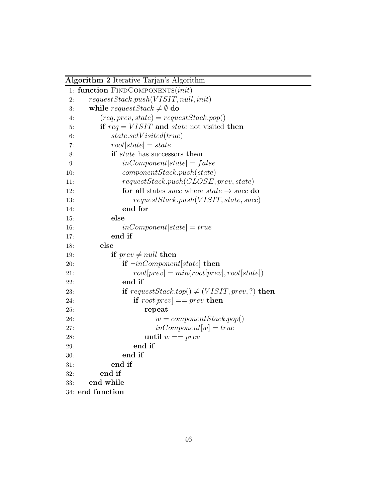| Algorithm 2 Iterative Tarjan's Algorithm |  |  |  |  |
|------------------------------------------|--|--|--|--|
|------------------------------------------|--|--|--|--|

| 1:  | function FINDCOMPONENTS(init)                                                 |
|-----|-------------------------------------------------------------------------------|
| 2:  | requestStack.push(VISIT, null, init)                                          |
| 3:  | while request Stack $\neq \emptyset$ do                                       |
| 4:  | $(\textit{req}, \textit{prev}, \textit{state}) = \textit{requestStack.pop}()$ |
| 5:  | if $req = VISIT$ and state not visited then                                   |
| 6:  | state.setV isited(true)                                                       |
| 7:  | $root[state] = state$                                                         |
| 8:  | if <i>state</i> has successors then                                           |
| 9:  | $inComponent[state] = false$                                                  |
| 10: | component Stack.push(state)                                                   |
| 11: | requestStack.push(CLOSE, prev, state)                                         |
| 12: | for all states <i>succ</i> where <i>state</i> $\rightarrow$ <i>succ</i> do    |
| 13: | requestStack.push(VISIT, state, succ)                                         |
| 14: | end for                                                                       |
| 15: | else                                                                          |
| 16: | $inComponent[state] = true$                                                   |
| 17: | end if                                                                        |
| 18: | else                                                                          |
| 19: | if $prev \neq null$ then                                                      |
| 20: | if $\neg inComponent[state]$ then                                             |
| 21: | $root[prev] = min(root[prev], root[state])$                                   |
| 22: | end if                                                                        |
| 23: | if request Stack.top() $\neq$ (VISIT, prev, ?) then                           |
| 24: | if $root[prev] == prev$ then                                                  |
| 25: | repeat                                                                        |
| 26: | $w = componentStack.pop()$                                                    |
| 27: | $inComponent[w] = true$                                                       |
| 28: | until $w == prev$                                                             |
| 29: | end if                                                                        |
| 30: | end if                                                                        |
| 31: | end if                                                                        |
| 32: | end if                                                                        |
| 33: | end while                                                                     |
|     | 34: end function                                                              |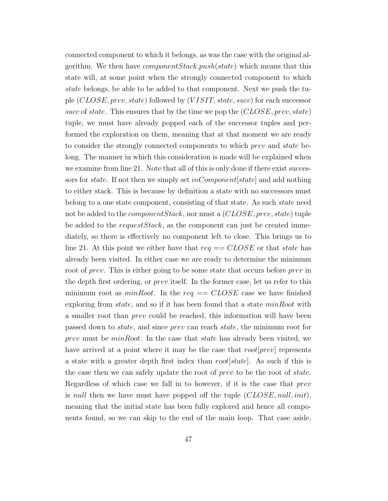connected component to which it belongs, as was the case with the original algorithm. We then have *component Stack.push(state)* which means that this state will, at some point when the strongly connected component to which state belongs, be able to be added to that component. Next we push the tuple (CLOSE, prev, state) followed by (V ISIT, state, succ) for each successor succ of state. This ensures that by the time we pop the  $(CLOSE, prev, state)$ tuple, we must have already popped each of the successor tuples and performed the exploration on them, meaning that at that moment we are ready to consider the strongly connected components to which prev and state belong. The manner in which this consideration is made will be explained when we examine from line 21. Note that all of this is only done if there exist successors for *state*. If not then we simply set  $inComponent[state]$  and add nothing to either stack. This is because by definition a state with no successors must belong to a one state component, consisting of that state. As such state need not be added to the *component Stack*, nor must a  $(CLOSE, prev, state)$  tuple be added to the request  $Stack$ , as the component can just be created immediately, so there is effectively no component left to close. This brings us to line 21. At this point we either have that  $req == CLOSE$  or that state has already been visited. In either case we are ready to determine the minimum root of prev. This is either going to be some state that occurs before prev in the depth first ordering, or prev itself. In the former case, let us refer to this minimum root as  $minRoot$ . In the req ==  $CLOSE$  case we have finished exploring from *state*, and so if it has been found that a state *minRoot* with a smaller root than prev could be reached, this information will have been passed down to state, and since prev can reach state, the minimum root for prev must be  $minRoot$ . In the case that *state* has already been visited, we have arrived at a point where it may be the case that  $root|prev|$  represents a state with a greater depth first index than  $root[state]$ . As such if this is the case then we can safely update the root of prev to be the root of state. Regardless of which case we fall in to however, if it is the case that prev is null then we have must have popped off the tuple  $(CLOSE, null, init)$ , meaning that the initial state has been fully explored and hence all components found, so we can skip to the end of the main loop. That case aside,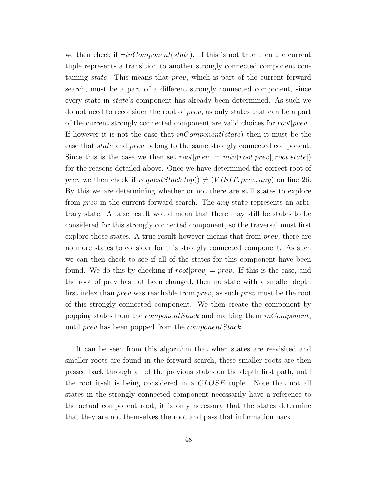we then check if  $\neg inComponent(state)$ . If this is not true then the current tuple represents a transition to another strongly connected component containing state. This means that prev, which is part of the current forward search, must be a part of a different strongly connected component, since every state in state's component has already been determined. As such we do not need to reconsider the root of prev, as only states that can be a part of the current strongly connected component are valid choices for root[prev]. If however it is not the case that  $inComponent(state)$  then it must be the case that state and prev belong to the same strongly connected component. Since this is the case we then set  $root[prev] = min(root[prev], root[state])$ for the reasons detailed above. Once we have determined the correct root of prev we then check if request Stack.top()  $\neq$  (VISIT, prev, any) on line 26. By this we are determining whether or not there are still states to explore from prev in the current forward search. The any state represents an arbitrary state. A false result would mean that there may still be states to be considered for this strongly connected component, so the traversal must first explore those states. A true result however means that from *prev*, there are no more states to consider for this strongly connected component. As such we can then check to see if all of the states for this component have been found. We do this by checking if  $root[prev] = prev$ . If this is the case, and the root of prev has not been changed, then no state with a smaller depth first index than *prev* was reachable from *prev*, as such *prev* must be the root of this strongly connected component. We then create the component by popping states from the *componentStack* and marking them *inComponent*, until prev has been popped from the *component Stack*.

It can be seen from this algorithm that when states are re-visited and smaller roots are found in the forward search, these smaller roots are then passed back through all of the previous states on the depth first path, until the root itself is being considered in a CLOSE tuple. Note that not all states in the strongly connected component necessarily have a reference to the actual component root, it is only necessary that the states determine that they are not themselves the root and pass that information back.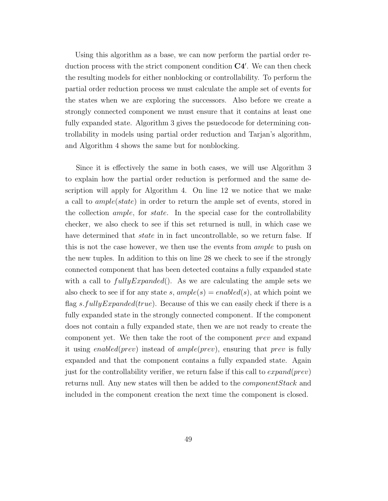Using this algorithm as a base, we can now perform the partial order reduction process with the strict component condition  $C4'$ . We can then check the resulting models for either nonblocking or controllability. To perform the partial order reduction process we must calculate the ample set of events for the states when we are exploring the successors. Also before we create a strongly connected component we must ensure that it contains at least one fully expanded state. Algorithm 3 gives the psuedocode for determining controllability in models using partial order reduction and Tarjan's algorithm, and Algorithm 4 shows the same but for nonblocking.

Since it is effectively the same in both cases, we will use Algorithm 3 to explain how the partial order reduction is performed and the same description will apply for Algorithm 4. On line 12 we notice that we make a call to ample(state) in order to return the ample set of events, stored in the collection ample, for state. In the special case for the controllability checker, we also check to see if this set returned is null, in which case we have determined that *state* in in fact uncontrollable, so we return false. If this is not the case however, we then use the events from ample to push on the new tuples. In addition to this on line 28 we check to see if the strongly connected component that has been detected contains a fully expanded state with a call to  $fullyExpanded()$ . As we are calculating the ample sets we also check to see if for any state s,  $ample(s) = enabled(s)$ , at which point we flag s. fully Expanded (true). Because of this we can easily check if there is a fully expanded state in the strongly connected component. If the component does not contain a fully expanded state, then we are not ready to create the component yet. We then take the root of the component prev and expand it using enabled(prev) instead of ample(prev), ensuring that prev is fully expanded and that the component contains a fully expanded state. Again just for the controllability verifier, we return false if this call to  $expand(prev)$ returns null. Any new states will then be added to the componentStack and included in the component creation the next time the component is closed.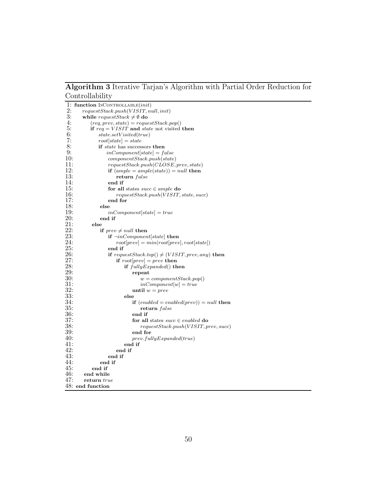Algorithm 3 Iterative Tarjan's Algorithm with Partial Order Reduction for Controllability

|     | 1: function $\textsc{IsControulable}(init)$                                   |
|-----|-------------------------------------------------------------------------------|
| 2:  | requestStack.push(VISIT, null, init)                                          |
| 3:  | while request Stack $\neq \emptyset$ do                                       |
| 4:  | $(\textit{req}, \textit{prev}, \textit{state}) = \textit{requestStack.pop}()$ |
| 5:  | if $req = VISIT$ and state not visited then                                   |
| 6:  | state.setVisted(true)                                                         |
| 7:  | $root state  = state$                                                         |
| 8:  | if <i>state</i> has successors then                                           |
| 9:  | $inComponent[state] = false$                                                  |
| 10: | component Stack.push(state)                                                   |
| 11: | requestStack.push(CLOSE, prev, state)                                         |
| 12: | if $(ample = ample(state)) = null$ then                                       |
| 13: | return false                                                                  |
| 14: | end if                                                                        |
| 15: | for all states $succ \in ample$ do                                            |
| 16: | requestStack.push(VISIT, state, succ)                                         |
| 17: | end for                                                                       |
| 18: | else                                                                          |
| 19: | $inComponent state  = true$                                                   |
| 20: | end if                                                                        |
| 21: | else                                                                          |
| 22: | if $\mathit{prev} \neq \mathit{null}$ then                                    |
| 23: | if $\neg inComponent state $ then                                             |
| 24: | $root[prev] = min(root[prev], root[state])$                                   |
| 25: | end if                                                                        |
| 26: | if request Stack.top() $\neq$ (VISIT, prev, any) then                         |
| 27: | if $root prev  = prev$ then                                                   |
| 28: | if $fullyExpanded()$ then                                                     |
| 29: | repeat                                                                        |
| 30: | $w = componentStack.pop()$                                                    |
| 31: | $inComponent w  = true$                                                       |
| 32: | until $w = prev$                                                              |
| 33: | else                                                                          |
| 34: | if $(enabled = enabled(prev)) = null$ then                                    |
| 35: | return false                                                                  |
| 36: | end if                                                                        |
| 37: | for all states $succ \in enabled$ do                                          |
| 38: | requestStack.push(VISIT, prev, succ)                                          |
| 39: | end for                                                                       |
| 40: | prev.fully Expanded(true)                                                     |
| 41: | end if                                                                        |
| 42: | end if                                                                        |
| 43: | end if                                                                        |
| 44: | end if                                                                        |
| 45: | end if                                                                        |
| 46: | end while                                                                     |
| 47: | return true                                                                   |
|     | $48:$ end function                                                            |
|     |                                                                               |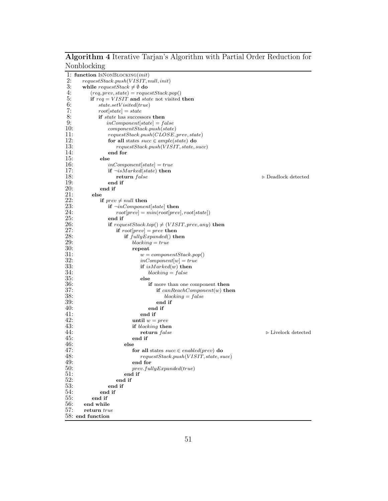#### Algorithm 4 Iterative Tarjan's Algorithm with Partial Order Reduction for Nonblocking

|            | 1: function ISNONBLOCKING(init)                                               |                                    |
|------------|-------------------------------------------------------------------------------|------------------------------------|
| 2:         | requestStack.push(VISIT, null, init)                                          |                                    |
| 3:         | while request Stack $\neq \emptyset$ do                                       |                                    |
| 4:         | $(\textit{req}, \textit{prev}, \textit{state}) = \textit{requestStack.pop}()$ |                                    |
| 5:         | if $req = VISIT$ and <i>state</i> not visited then                            |                                    |
| 6:         | state.setVisted(true)                                                         |                                    |
| 7:         | $root[state] = state$                                                         |                                    |
| 8:         | if <i>state</i> has successors then                                           |                                    |
| 9:         | $inComponent[state] = false$                                                  |                                    |
| 10:        | component Stack.push(state)                                                   |                                    |
| 11:        | requestStack.push(CLOSE, prev, state)                                         |                                    |
| 12:        | for all states $succ \in ample(state)$ do                                     |                                    |
| 13:        | requestStack.push(VISIT, state, succ)                                         |                                    |
| 14:        | end for                                                                       |                                    |
| 15:        | else                                                                          |                                    |
| 16:        | $inComponent[state] = true$                                                   |                                    |
| 17:        | if $\neg$ isMarked(state) then                                                |                                    |
| 18:        | return false                                                                  | $\triangleright$ Deadlock detected |
| 19:        | end if                                                                        |                                    |
| 20:        | end if                                                                        |                                    |
| 21:        | else                                                                          |                                    |
| 22:        | if $prev \neq null$ then                                                      |                                    |
| 23:        | <b>if</b> $\neg inComponent[state]$ then                                      |                                    |
| 24:        | $root[prev] = min(root[prev], root[state])$                                   |                                    |
| <b>25:</b> | end if                                                                        |                                    |
| 26:        | if request Stack.top() $\neq$ (VISIT, prev, any) then                         |                                    |
| 27:        | if $root prev  = prev$ then                                                   |                                    |
| 28:        | if $fullyExpanded()$ then                                                     |                                    |
| 29:        | $blocking = true$                                                             |                                    |
| 30:        | repeat                                                                        |                                    |
| 31:        | $w = componentStack.pop()$                                                    |                                    |
| 32:        | $inComponent w  = true$                                                       |                                    |
| 33:        | if $isMarked(w)$ then                                                         |                                    |
| 34:        | $blocking = false$                                                            |                                    |
| 35:        | else                                                                          |                                    |
| 36:        | if more than one component then                                               |                                    |
| 37:        | if $canReachComponent(w)$ then                                                |                                    |
| 38:        | blocking $= false$                                                            |                                    |
| 39:        | end if                                                                        |                                    |
| 40:        | end if                                                                        |                                    |
| 41:        | end if                                                                        |                                    |
| 42:        | until $w = prev$                                                              |                                    |
| 43:        | if blocking then                                                              |                                    |
| 44:        | return false                                                                  | $\triangleright$ Livelock detected |
| 45:        | end if                                                                        |                                    |
| 46:        | else                                                                          |                                    |
| 47:        | for all states $succ \in enabled(prev)$ do                                    |                                    |
| 48:        | requestStack.push(VISIT, state, succ)                                         |                                    |
| 49:<br>50: | end for                                                                       |                                    |
| 51:        | prev.fully Expanded(true)<br>end if                                           |                                    |
| 52:        | end if                                                                        |                                    |
| 53:        | end if                                                                        |                                    |
| 54:        | end if                                                                        |                                    |
| 55:        | end if                                                                        |                                    |
| 56:        | end while                                                                     |                                    |
| 57:        | return true                                                                   |                                    |
|            | 58: end function                                                              |                                    |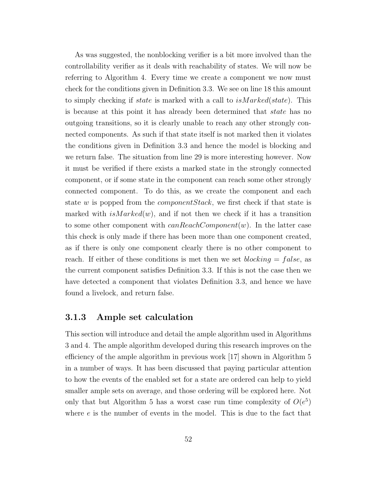As was suggested, the nonblocking verifier is a bit more involved than the controllability verifier as it deals with reachability of states. We will now be referring to Algorithm 4. Every time we create a component we now must check for the conditions given in Definition 3.3. We see on line 18 this amount to simply checking if state is marked with a call to isMarked(state). This is because at this point it has already been determined that state has no outgoing transitions, so it is clearly unable to reach any other strongly connected components. As such if that state itself is not marked then it violates the conditions given in Definition 3.3 and hence the model is blocking and we return false. The situation from line 29 is more interesting however. Now it must be verified if there exists a marked state in the strongly connected component, or if some state in the component can reach some other strongly connected component. To do this, as we create the component and each state w is popped from the *component Stack*, we first check if that state is marked with  $isMarked(w)$ , and if not then we check if it has a transition to some other component with  $canReachComponent(w)$ . In the latter case this check is only made if there has been more than one component created, as if there is only one component clearly there is no other component to reach. If either of these conditions is met then we set  $blocking = false$ , as the current component satisfies Definition 3.3. If this is not the case then we have detected a component that violates Definition 3.3, and hence we have found a livelock, and return false.

### 3.1.3 Ample set calculation

This section will introduce and detail the ample algorithm used in Algorithms 3 and 4. The ample algorithm developed during this research improves on the efficiency of the ample algorithm in previous work [17] shown in Algorithm 5 in a number of ways. It has been discussed that paying particular attention to how the events of the enabled set for a state are ordered can help to yield smaller ample sets on average, and those ordering will be explored here. Not only that but Algorithm 5 has a worst case run time complexity of  $O(e^5)$ where e is the number of events in the model. This is due to the fact that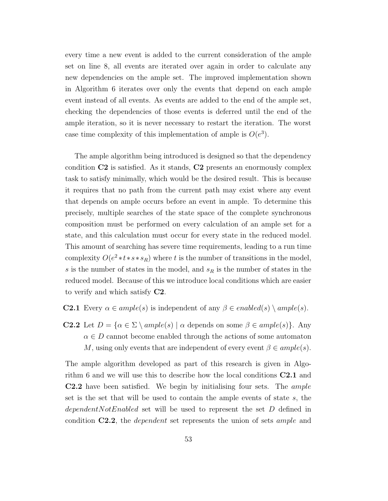every time a new event is added to the current consideration of the ample set on line 8, all events are iterated over again in order to calculate any new dependencies on the ample set. The improved implementation shown in Algorithm 6 iterates over only the events that depend on each ample event instead of all events. As events are added to the end of the ample set, checking the dependencies of those events is deferred until the end of the ample iteration, so it is never necessary to restart the iteration. The worst case time complexity of this implementation of ample is  $O(e^3)$ .

The ample algorithm being introduced is designed so that the dependency condition  $C2$  is satisfied. As it stands,  $C2$  presents an enormously complex task to satisfy minimally, which would be the desired result. This is because it requires that no path from the current path may exist where any event that depends on ample occurs before an event in ample. To determine this precisely, multiple searches of the state space of the complete synchronous composition must be performed on every calculation of an ample set for a state, and this calculation must occur for every state in the reduced model. This amount of searching has severe time requirements, leading to a run time complexity  $O(e^2 * t * s * s_R)$  where t is the number of transitions in the model, s is the number of states in the model, and  $s_R$  is the number of states in the reduced model. Because of this we introduce local conditions which are easier to verify and which satisfy C2.

#### **C2.1** Every  $\alpha \in ample(s)$  is independent of any  $\beta \in enable(d(s) \setminus ample(s)$ .

**C2.2** Let  $D = \{ \alpha \in \Sigma \setminus ample(s) \mid \alpha \text{ depends on some } \beta \in ample(s) \}.$  Any  $\alpha \in D$  cannot become enabled through the actions of some automaton M, using only events that are independent of every event  $\beta \in ample(s)$ .

The ample algorithm developed as part of this research is given in Algorithm 6 and we will use this to describe how the local conditions C2.1 and C2.2 have been satisfied. We begin by initialising four sets. The ample set is the set that will be used to contain the ample events of state s, the dependent Not Enabled set will be used to represent the set  $D$  defined in condition C2.2, the dependent set represents the union of sets ample and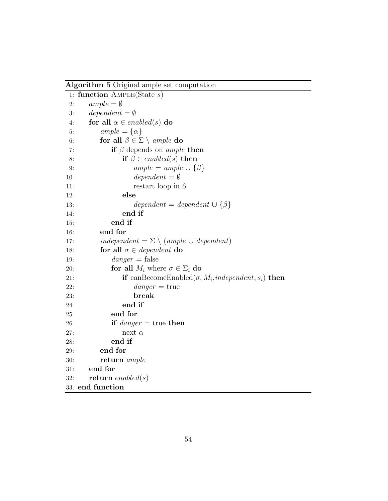Algorithm 5 Original ample set computation

| 1:  | function $\text{AmPLE}(\text{State } s)$                              |
|-----|-----------------------------------------------------------------------|
| 2:  | $ample = \emptyset$                                                   |
| 3:  | $dependent = \emptyset$                                               |
| 4:  | for all $\alpha \in enabled(s)$ do                                    |
| 5:  | $ample = {\alpha}$                                                    |
| 6:  | for all $\beta \in \Sigma \setminus \mathit{ample}$ do                |
| 7:  | if $\beta$ depends on <i>ample</i> then                               |
| 8:  | if $\beta \in enabled(s)$ then                                        |
| 9:  | $ample = ample \cup {\beta}$                                          |
| 10: | $dependent = \emptyset$                                               |
| 11: | restart loop in 6                                                     |
| 12: | else                                                                  |
| 13: | $dependent = dependent \cup {\beta}$                                  |
| 14: | end if                                                                |
| 15: | end if                                                                |
| 16: | end for                                                               |
| 17: | independent = $\Sigma \setminus$ (ample $\cup$ dependent)             |
| 18: | for all $\sigma \in dependent$ do                                     |
| 19: | $danger = false$                                                      |
| 20: | for all $M_i$ where $\sigma \in \Sigma_i$ do                          |
| 21: | if can<br>BecomeEnabled( $\sigma$ , $M_i$ , independent, $s_i$ ) then |
| 22: | $danger = true$                                                       |
| 23: | break                                                                 |
| 24: | end if                                                                |
| 25: | end for                                                               |
| 26: | if <i>danger</i> = true then                                          |
| 27: | next $\alpha$                                                         |
| 28: | end if                                                                |
| 29: | end for                                                               |
| 30: | return ample                                                          |
| 31: | end for                                                               |
| 32: | return enabled(s)                                                     |
|     | 33: end function                                                      |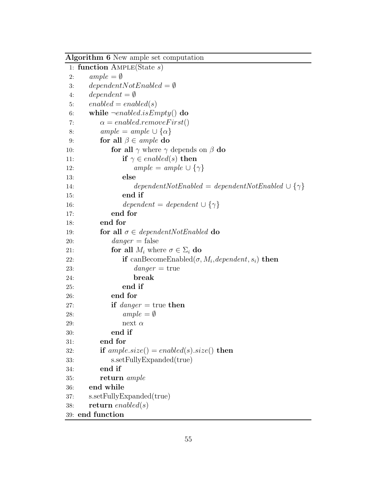|     | Algorithm 6 New ample set computation                               |
|-----|---------------------------------------------------------------------|
|     | 1: function $\text{AmPLE}(\text{State } s)$                         |
| 2:  | $ample = \emptyset$                                                 |
| 3:  | $dependentNotEnabeled = \emptyset$                                  |
| 4:  | $dependent = \emptyset$                                             |
| 5:  | $enabeled = enabled(s)$                                             |
| 6:  | while $\neg enabled.isEmpty()$ do                                   |
| 7:  | $\alpha = enabled$ : <i>removeFirst</i> ()                          |
| 8:  | $ample = ample \cup {\alpha}$                                       |
| 9:  | for all $\beta \in \mathit{ample}$ do                               |
| 10: | for all $\gamma$ where $\gamma$ depends on $\beta$ do               |
| 11: | if $\gamma \in enabled(s)$ then                                     |
| 12: | $ample = ample \cup {\gamma}$                                       |
| 13: | else                                                                |
| 14: | $dependentNotEnable d = dependent NotEnable d \cup {\gamma}$        |
| 15: | end if                                                              |
| 16: | $dependent = dependent \cup {\gamma}$                               |
| 17: | end for                                                             |
| 18: | end for                                                             |
| 19: | for all $\sigma \in dependentNotEnabeled$ do                        |
| 20: | $danger = false$                                                    |
| 21: | for all $M_i$ where $\sigma \in \Sigma_i$ do                        |
| 22: | if can<br>BecomeEnabled( $\sigma$ , $M_i$ , dependent, $s_i$ ) then |
| 23: | $danger = true$                                                     |
| 24: | break                                                               |
| 25: | end if                                                              |
| 26: | end for                                                             |
| 27: | if $\text{danger} = \text{true}$ then                               |
| 28: | $ample = \emptyset$                                                 |
| 29: | next $\alpha$                                                       |
| 30: | end if                                                              |
| 31: | end for                                                             |
| 32: | if $ample.size() = enabled(s).size()$ then                          |
| 33: | s.setFullyExpanded(true)                                            |
| 34: | end if                                                              |
| 35: | return <i>ample</i>                                                 |
| 36: | end while                                                           |
| 37: | s.setFullyExpanded(true)                                            |
| 38: | return enabled $(s)$                                                |
|     | 39: end function                                                    |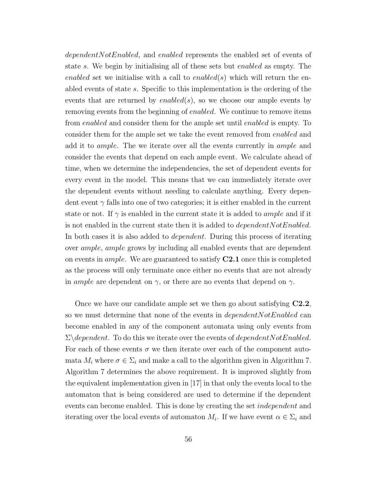dependent Not Enabled, and enabled represents the enabled set of events of state s. We begin by initialising all of these sets but enabled as empty. The enabled set we initialise with a call to enabled(s) which will return the enabled events of state s. Specific to this implementation is the ordering of the events that are returned by  $enabled(s)$ , so we choose our ample events by removing events from the beginning of enabled. We continue to remove items from enabled and consider them for the ample set until enabled is empty. To consider them for the ample set we take the event removed from enabled and add it to ample. The we iterate over all the events currently in ample and consider the events that depend on each ample event. We calculate ahead of time, when we determine the independencies, the set of dependent events for every event in the model. This means that we can immediately iterate over the dependent events without needing to calculate anything. Every dependent event  $\gamma$  falls into one of two categories; it is either enabled in the current state or not. If  $\gamma$  is enabled in the current state it is added to *ample* and if it is not enabled in the current state then it is added to *dependent NotEnabled*. In both cases it is also added to dependent. During this process of iterating over ample, ample grows by including all enabled events that are dependent on events in *ample*. We are guaranteed to satisfy  $C2.1$  once this is completed as the process will only terminate once either no events that are not already in ample are dependent on  $\gamma$ , or there are no events that depend on  $\gamma$ .

Once we have our candidate ample set we then go about satisfying  $C<sub>2.2</sub>$ , so we must determine that none of the events in  $dependentNotEnabled$  can become enabled in any of the component automata using only events from  $\Sigma\backslash dependent$ . To do this we iterate over the events of *dependentNotEnabled*. For each of these events  $\sigma$  we then iterate over each of the component automata  $M_i$  where  $\sigma \in \Sigma_i$  and make a call to the algorithm given in Algorithm 7. Algorithm 7 determines the above requirement. It is improved slightly from the equivalent implementation given in [17] in that only the events local to the automaton that is being considered are used to determine if the dependent events can become enabled. This is done by creating the set *independent* and iterating over the local events of automaton  $M_i$ . If we have event  $\alpha \in \Sigma_i$  and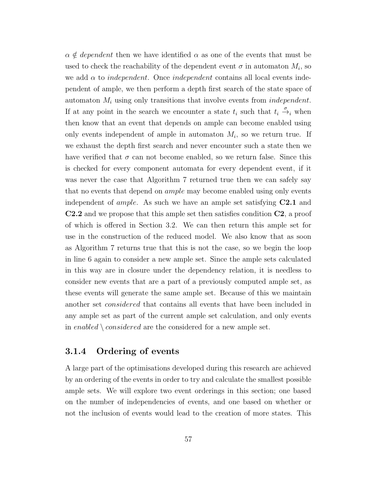$\alpha \notin dependent$  then we have identified  $\alpha$  as one of the events that must be used to check the reachability of the dependent event  $\sigma$  in automaton  $M_i$ , so we add  $\alpha$  to *independent*. Once *independent* contains all local events independent of ample, we then perform a depth first search of the state space of automaton  $M_i$  using only transitions that involve events from *independent*. If at any point in the search we encounter a state  $t_i$  such that  $t_i \stackrel{\sigma}{\rightarrow}_i$  when then know that an event that depends on ample can become enabled using only events independent of ample in automaton  $M_i$ , so we return true. If we exhaust the depth first search and never encounter such a state then we have verified that  $\sigma$  can not become enabled, so we return false. Since this is checked for every component automata for every dependent event, if it was never the case that Algorithm 7 returned true then we can safely say that no events that depend on ample may become enabled using only events independent of *ample*. As such we have an ample set satisfying  $C2.1$  and C2.2 and we propose that this ample set then satisfies condition C2, a proof of which is offered in Section 3.2. We can then return this ample set for use in the construction of the reduced model. We also know that as soon as Algorithm 7 returns true that this is not the case, so we begin the loop in line 6 again to consider a new ample set. Since the ample sets calculated in this way are in closure under the dependency relation, it is needless to consider new events that are a part of a previously computed ample set, as these events will generate the same ample set. Because of this we maintain another set considered that contains all events that have been included in any ample set as part of the current ample set calculation, and only events in enabled  $\setminus considered$  are the considered for a new ample set.

#### 3.1.4 Ordering of events

A large part of the optimisations developed during this research are achieved by an ordering of the events in order to try and calculate the smallest possible ample sets. We will explore two event orderings in this section; one based on the number of independencies of events, and one based on whether or not the inclusion of events would lead to the creation of more states. This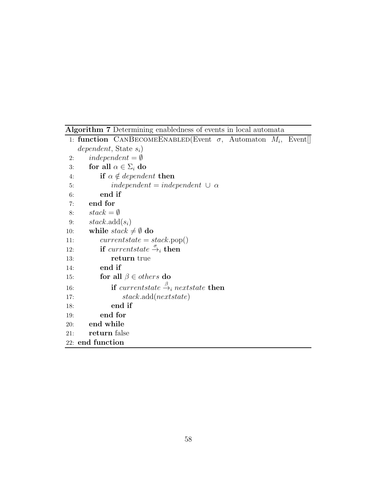Algorithm 7 Determining enabledness of events in local automata

```
1: function CANBECOMEENABLED(Event \sigma, Automaton M_i, Event
   dependent, State s_i)
2: independent = \emptyset3: for all \alpha \in \Sigma_i do
4: if \alpha \notin dependent then
5: independent = independent ∪ \alpha6: end if
7: end for
8: stack = \emptyset9: stack.add(s_i)10: while stack \neq \emptyset do
11: currentstate = stack.pop()12: if currentstate \stackrel{\sigma}{\rightarrow}_i then
13: return true
14: end if
15: for all \beta \in others do
16: if currentstate \stackrel{\beta}{\rightarrow}_i nextstate then
17: stack.add(nextstate)
18: end if
19: end for
20: end while
21: return false
22: end function
```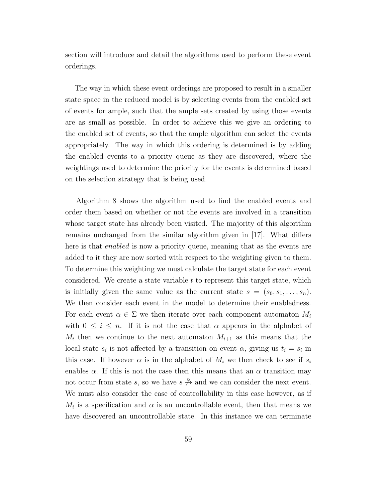section will introduce and detail the algorithms used to perform these event orderings.

The way in which these event orderings are proposed to result in a smaller state space in the reduced model is by selecting events from the enabled set of events for ample, such that the ample sets created by using those events are as small as possible. In order to achieve this we give an ordering to the enabled set of events, so that the ample algorithm can select the events appropriately. The way in which this ordering is determined is by adding the enabled events to a priority queue as they are discovered, where the weightings used to determine the priority for the events is determined based on the selection strategy that is being used.

Algorithm 8 shows the algorithm used to find the enabled events and order them based on whether or not the events are involved in a transition whose target state has already been visited. The majority of this algorithm remains unchanged from the similar algorithm given in [17]. What differs here is that *enabled* is now a priority queue, meaning that as the events are added to it they are now sorted with respect to the weighting given to them. To determine this weighting we must calculate the target state for each event considered. We create a state variable  $t$  to represent this target state, which is initially given the same value as the current state  $s = (s_0, s_1, \ldots, s_n)$ . We then consider each event in the model to determine their enabledness. For each event  $\alpha \in \Sigma$  we then iterate over each component automaton  $M_i$ with  $0 \leq i \leq n$ . If it is not the case that  $\alpha$  appears in the alphabet of  $M_i$  then we continue to the next automaton  $M_{i+1}$  as this means that the local state  $s_i$  is not affected by a transition on event  $\alpha$ , giving us  $t_i = s_i$  in this case. If however  $\alpha$  is in the alphabet of  $M_i$  we then check to see if  $s_i$ enables  $\alpha$ . If this is not the case then this means that an  $\alpha$  transition may not occur from state s, so we have  $s \stackrel{\alpha}{\rightarrow}$  and we can consider the next event. We must also consider the case of controllability in this case however, as if  $M_i$  is a specification and  $\alpha$  is an uncontrollable event, then that means we have discovered an uncontrollable state. In this instance we can terminate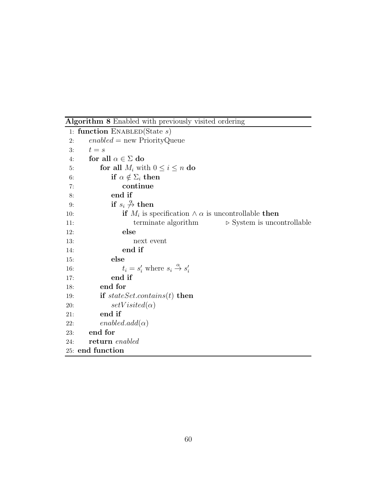Algorithm 8 Enabled with previously visited ordering

```
1: function ENABLED(State s)
2: enabeled = new PriorityQueue3: t = s4: for all \alpha \in \Sigma do
5: for all M_i with 0 \le i \le n do
6: if \alpha \notin \Sigma_i then
7: continue
8: end if
 9: if s_i \overset{\alpha}{\rightarrow} then
10: if M_i is specification \wedge \alpha is uncontrollable then
11: terminate algorithm ⊳ System is uncontrollable
12: else
13: next event
14: end if
15: else
16: t_i = s'_i where s_i \stackrel{\alpha}{\rightarrow} s'_i17: end if
18: end for
19: if stateSet. contains(t) then
20: setVisited(\alpha)21: end if
22: enabeled.add(\alpha)23: end for
24: return enabled
25: end function
```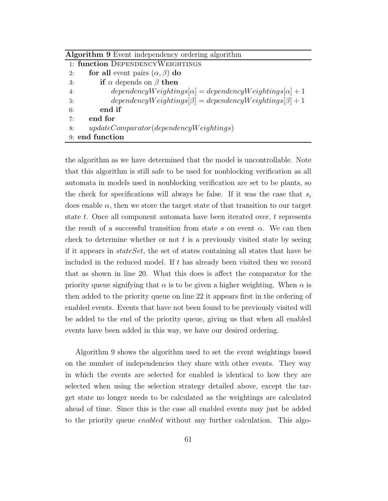| <b>Algorithm 9</b> Event independency ordering algorithm |                                                                     |
|----------------------------------------------------------|---------------------------------------------------------------------|
|                                                          | 1: function DEPENDENCYWEIGHTINGS                                    |
| 2:                                                       | for all event pairs $(\alpha, \beta)$ do                            |
| 3:                                                       | if $\alpha$ depends on $\beta$ then                                 |
| 4:                                                       | $dependency Weightings[\alpha] = dependency Weightings[\alpha] + 1$ |
| 5:                                                       | $dependency Weightings[\beta] = dependency Weightings[\beta] + 1$   |
| 6:                                                       | end if                                                              |
| 7:                                                       | end for                                                             |
| 8:                                                       | $updateComparator (dependency Weightings)$                          |
|                                                          | 9: end function                                                     |

the algorithm as we have determined that the model is uncontrollable. Note that this algorithm is still safe to be used for nonblocking verification as all automata in models used in nonblocking verification are set to be plants, so the check for specifications will always be false. If it was the case that  $s_i$ does enable  $\alpha$ , then we store the target state of that transition to our target state t. Once all component automata have been iterated over, t represents the result of a successful transition from state s on event  $\alpha$ . We can then check to determine whether or not  $t$  is a previously visited state by seeing if it appears in stateSet, the set of states containing all states that have be included in the reduced model. If  $t$  has already been visited then we record that as shown in line 20. What this does is affect the comparator for the priority queue signifying that  $\alpha$  is to be given a higher weighting. When  $\alpha$  is then added to the priority queue on line 22 it appears first in the ordering of enabled events. Events that have not been found to be previously visited will be added to the end of the priority queue, giving us that when all enabled events have been added in this way, we have our desired ordering.

Algorithm 9 shows the algorithm used to set the event weightings based on the number of independencies they share with other events. They way in which the events are selected for enabled is identical to how they are selected when using the selection strategy detailed above, except the target state no longer needs to be calculated as the weightings are calculated ahead of time. Since this is the case all enabled events may just be added to the priority queue *enabled* without any further calculation. This algo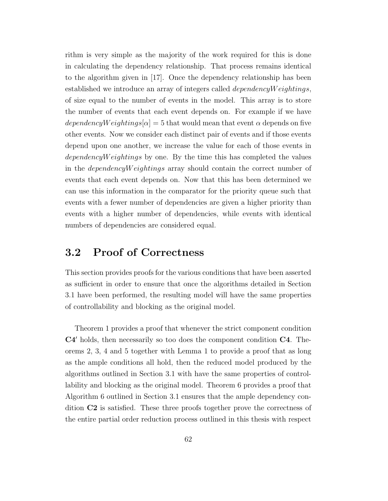rithm is very simple as the majority of the work required for this is done in calculating the dependency relationship. That process remains identical to the algorithm given in [17]. Once the dependency relationship has been established we introduce an array of integers called *dependencyW eightings*, of size equal to the number of events in the model. This array is to store the number of events that each event depends on. For example if we have dependencyW eightings $|\alpha| = 5$  that would mean that event  $\alpha$  depends on five other events. Now we consider each distinct pair of events and if those events depend upon one another, we increase the value for each of those events in  $dependencyWeightings$  by one. By the time this has completed the values in the dependencyW eightings array should contain the correct number of events that each event depends on. Now that this has been determined we can use this information in the comparator for the priority queue such that events with a fewer number of dependencies are given a higher priority than events with a higher number of dependencies, while events with identical numbers of dependencies are considered equal.

## 3.2 Proof of Correctness

This section provides proofs for the various conditions that have been asserted as sufficient in order to ensure that once the algorithms detailed in Section 3.1 have been performed, the resulting model will have the same properties of controllability and blocking as the original model.

Theorem 1 provides a proof that whenever the strict component condition C4′ holds, then necessarily so too does the component condition C4. Theorems 2, 3, 4 and 5 together with Lemma 1 to provide a proof that as long as the ample conditions all hold, then the reduced model produced by the algorithms outlined in Section 3.1 with have the same properties of controllability and blocking as the original model. Theorem 6 provides a proof that Algorithm 6 outlined in Section 3.1 ensures that the ample dependency condition C2 is satisfied. These three proofs together prove the correctness of the entire partial order reduction process outlined in this thesis with respect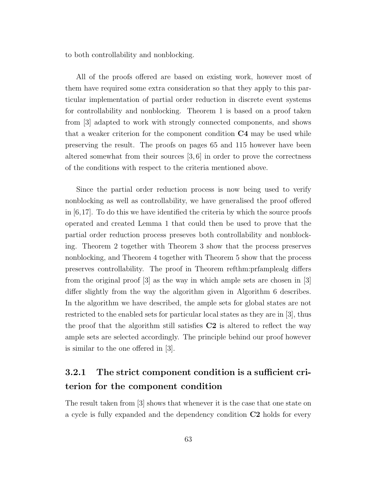to both controllability and nonblocking.

All of the proofs offered are based on existing work, however most of them have required some extra consideration so that they apply to this particular implementation of partial order reduction in discrete event systems for controllability and nonblocking. Theorem 1 is based on a proof taken from [3] adapted to work with strongly connected components, and shows that a weaker criterion for the component condition C4 may be used while preserving the result. The proofs on pages 65 and 115 however have been altered somewhat from their sources [3, 6] in order to prove the correctness of the conditions with respect to the criteria mentioned above.

Since the partial order reduction process is now being used to verify nonblocking as well as controllability, we have generalised the proof offered in  $[6,17]$ . To do this we have identified the criteria by which the source proofs operated and created Lemma 1 that could then be used to prove that the partial order reduction process preseves both controllability and nonblocking. Theorem 2 together with Theorem 3 show that the process preserves nonblocking, and Theorem 4 together with Theorem 5 show that the process preserves controllability. The proof in Theorem refthm:prfamplealg differs from the original proof [3] as the way in which ample sets are chosen in [3] differ slightly from the way the algorithm given in Algorithm 6 describes. In the algorithm we have described, the ample sets for global states are not restricted to the enabled sets for particular local states as they are in [3], thus the proof that the algorithm still satisfies  $C2$  is altered to reflect the way ample sets are selected accordingly. The principle behind our proof however is similar to the one offered in [3].

## 3.2.1 The strict component condition is a sufficient criterion for the component condition

The result taken from [3] shows that whenever it is the case that one state on a cycle is fully expanded and the dependency condition C2 holds for every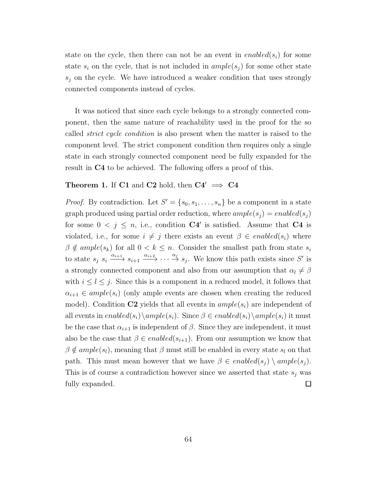state on the cycle, then there can not be an event in  $enabeled(s_i)$  for some state  $s_i$  on the cycle, that is not included in  $ample(s_i)$  for some other state  $s_i$  on the cycle. We have introduced a weaker condition that uses strongly connected components instead of cycles.

It was noticed that since each cycle belongs to a strongly connected component, then the same nature of reachability used in the proof for the so called strict cycle condition is also present when the matter is raised to the component level. The strict component condition then requires only a single state in each strongly connected component need be fully expanded for the result in C4 to be achieved. The following offers a proof of this.

#### **Theorem 1.** If C1 and C2 hold, then  $C4' \implies C4$

*Proof.* By contradiction. Let  $S' = \{s_0, s_1, \ldots, s_n\}$  be a component in a state graph produced using partial order reduction, where  $ample(s_i) = enabled(s_i)$ for some  $0 \leq j \leq n$ , i.e., condition  $C4'$  is satisfied. Assume that  $C4$  is violated, i.e., for some  $i \neq j$  there exists an event  $\beta \in enabled(s_i)$  where  $\beta \notin ample(s_k)$  for all  $0 < k \leq n$ . Consider the smallest path from state  $s_i$ to state  $s_j$   $s_i \xrightarrow{\alpha_{i+1}} s_{i+1} \xrightarrow{\alpha_{i+2}} \cdots \xrightarrow{\alpha_j} s_j$ . We know this path exists since S' is a strongly connected component and also from our assumption that  $\alpha_l \neq \beta$ with  $i \leq l \leq j$ . Since this is a component in a reduced model, it follows that  $\alpha_{i+1} \in ample(s_i)$  (only ample events are chosen when creating the reduced model). Condition C2 yields that all events in  $ample(s_i)$  are independent of all events in  $enabeled(s_i)\setminus ample(s_i)$ . Since  $\beta \in enabled(s_i)\setminus ample(s_i)$  it must be the case that  $\alpha_{i+1}$  is independent of  $\beta$ . Since they are independent, it must also be the case that  $\beta \in enabled(s_{i+1})$ . From our assumption we know that  $\beta \notin ample(s_l)$ , meaning that  $\beta$  must still be enabled in every state  $s_l$  on that path. This must mean however that we have  $\beta \in enabled(s_j) \setminus ample(s_j)$ . This is of course a contradiction however since we asserted that state  $s_i$  was fully expanded.  $\Box$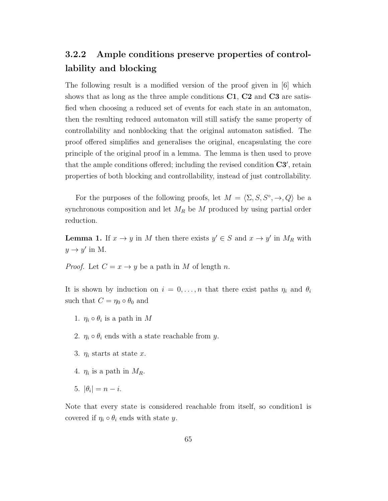# 3.2.2 Ample conditions preserve properties of controllability and blocking

The following result is a modified version of the proof given in [6] which shows that as long as the three ample conditions  $C1$ ,  $C2$  and  $C3$  are satisfied when choosing a reduced set of events for each state in an automaton, then the resulting reduced automaton will still satisfy the same property of controllability and nonblocking that the original automaton satisfied. The proof offered simplifies and generalises the original, encapsulating the core principle of the original proof in a lemma. The lemma is then used to prove that the ample conditions offered; including the revised condition  $C3'$ , retain properties of both blocking and controllability, instead of just controllability.

For the purposes of the following proofs, let  $M = \langle \Sigma, S, S^\circ, \to, Q \rangle$  be a synchronous composition and let  $M_R$  be  $M$  produced by using partial order reduction.

**Lemma 1.** If  $x \to y$  in M then there exists  $y' \in S$  and  $x \to y'$  in  $M_R$  with  $y \to y'$  in M.

*Proof.* Let  $C = x \rightarrow y$  be a path in M of length n.

It is shown by induction on  $i = 0, \ldots, n$  that there exist paths  $\eta_i$  and  $\theta_i$ such that  $C = \eta_0 \circ \theta_0$  and

- 1.  $\eta_i \circ \theta_i$  is a path in M
- 2.  $\eta_i \circ \theta_i$  ends with a state reachable from y.
- 3.  $\eta_i$  starts at state x.
- 4.  $\eta_i$  is a path in  $M_R$ .
- 5.  $|\theta_i| = n i$ .

Note that every state is considered reachable from itself, so condition1 is covered if  $\eta_i \circ \theta_i$  ends with state y.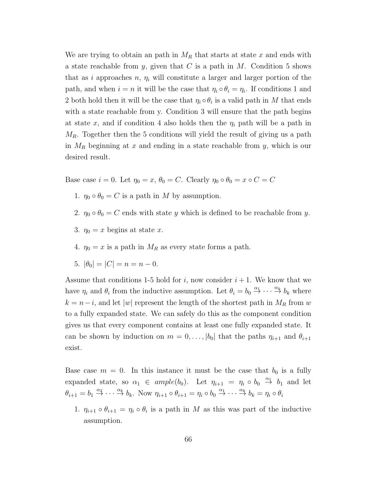We are trying to obtain an path in  $M_R$  that starts at state x and ends with a state reachable from y, given that C is a path in M. Condition 5 shows that as i approaches n,  $\eta_i$  will constitute a larger and larger portion of the path, and when  $i = n$  it will be the case that  $\eta_i \circ \theta_i = \eta_i$ . If conditions 1 and 2 both hold then it will be the case that  $\eta_i \circ \theta_i$  is a valid path in M that ends with a state reachable from y. Condition 3 will ensure that the path begins at state x, and if condition 4 also holds then the  $\eta_i$  path will be a path in  $M_R$ . Together then the 5 conditions will yield the result of giving us a path in  $M_R$  beginning at x and ending in a state reachable from y, which is our desired result.

Base case  $i = 0$ . Let  $\eta_0 = x$ ,  $\theta_0 = C$ . Clearly  $\eta_0 \circ \theta_0 = x \circ C = C$ 

- 1.  $\eta_0 \circ \theta_0 = C$  is a path in M by assumption.
- 2.  $\eta_0 \circ \theta_0 = C$  ends with state y which is defined to be reachable from y.
- 3.  $\eta_0 = x$  begins at state x.
- 4.  $\eta_0 = x$  is a path in  $M_R$  as every state forms a path.
- 5.  $|\theta_0| = |C| = n = n 0.$

Assume that conditions 1-5 hold for i, now consider  $i + 1$ . We know that we have  $\eta_i$  and  $\theta_i$  from the inductive assumption. Let  $\theta_i = b_0 \stackrel{\alpha_1}{\to} \cdots \stackrel{\alpha_k}{\to} b_k$  where  $k = n-i$ , and let |w| represent the length of the shortest path in  $M_R$  from w to a fully expanded state. We can safely do this as the component condition gives us that every component contains at least one fully expanded state. It can be shown by induction on  $m = 0, \ldots, |b_0|$  that the paths  $\eta_{i+1}$  and  $\theta_{i+1}$ exist.

Base case  $m = 0$ . In this instance it must be the case that  $b_0$  is a fully expanded state, so  $\alpha_1 \in ample(b_0)$ . Let  $\eta_{i+1} = \eta_i \circ b_0 \stackrel{\alpha_1}{\rightarrow} b_1$  and let  $\theta_{i+1} = b_1 \stackrel{\alpha_2}{\rightarrow} \cdots \stackrel{\alpha_k}{\rightarrow} b_k$ . Now  $\eta_{i+1} \circ \theta_{i+1} = \eta_i \circ b_0 \stackrel{\alpha_1}{\rightarrow} \cdots \stackrel{\alpha_k}{\rightarrow} b_k = \eta_i \circ \theta_i$ 

1.  $\eta_{i+1} \circ \theta_{i+1} = \eta_i \circ \theta_i$  is a path in M as this was part of the inductive assumption.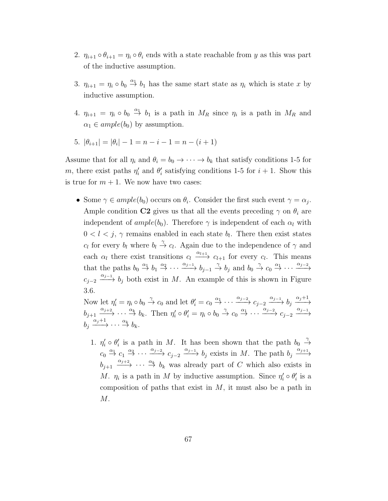- 2.  $\eta_{i+1} \circ \theta_{i+1} = \eta_i \circ \theta_i$  ends with a state reachable from y as this was part of the inductive assumption.
- 3.  $\eta_{i+1} = \eta_i \circ b_0 \stackrel{\alpha_1}{\rightarrow} b_1$  has the same start state as  $\eta_i$  which is state x by inductive assumption.
- 4.  $\eta_{i+1} = \eta_i \circ b_0 \stackrel{\alpha_1}{\rightarrow} b_1$  is a path in  $M_R$  since  $\eta_i$  is a path in  $M_R$  and  $\alpha_1 \in ample(b_0)$  by assumption.
- 5.  $|\theta_{i+1}| = |\theta_i| 1 = n i 1 = n (i + 1)$

Assume that for all  $\eta_i$  and  $\theta_i = b_0 \rightarrow \cdots \rightarrow b_k$  that satisfy conditions 1-5 for m, there exist paths  $\eta'_i$  and  $\theta'_i$  satisfying conditions 1-5 for  $i + 1$ . Show this is true for  $m + 1$ . We now have two cases:

• Some  $\gamma \in ample(b_0)$  occurs on  $\theta_i$ . Consider the first such event  $\gamma = \alpha_j$ . Ample condition C2 gives us that all the events preceding  $\gamma$  on  $\theta_i$  are independent of  $ample(b_0)$ . Therefore  $\gamma$  is independent of each  $\alpha_l$  with  $0 < l < j$ ,  $\gamma$  remains enabled in each state  $b_l$ . There then exist states  $c_l$  for every  $b_l$  where  $b_l \stackrel{\gamma}{\rightarrow} c_l$ . Again due to the independence of  $\gamma$  and each  $\alpha_l$  there exist transitions  $c_l \xrightarrow{\alpha_{l+1}} c_{l+1}$  for every  $c_l$ . This means that the paths  $b_0 \stackrel{\alpha_1}{\rightarrow} b_1 \stackrel{\alpha_2}{\rightarrow} \cdots \stackrel{\alpha_{j-1}}{\rightarrow} b_{j-1} \stackrel{\gamma}{\rightarrow} b_j$  and  $b_0 \stackrel{\gamma}{\rightarrow} c_0 \stackrel{\alpha_1}{\rightarrow} \cdots \stackrel{\alpha_{j-2}}{\rightarrow}$  $c_{j-2} \xrightarrow{\alpha_{j-1}} b_j$  both exist in M. An example of this is shown in Figure 3.6.

Now let  $\eta'_i = \eta_i \circ b_0 \stackrel{\gamma}{\to} c_0$  and let  $\theta'_i = c_0 \stackrel{\alpha_1}{\to} \cdots \stackrel{\alpha_{j-2}}{\longrightarrow} c_{j-2} \stackrel{\alpha_{j-1}}{\longrightarrow} b_j \stackrel{\alpha_j+1}{\longrightarrow}$  $b_{j+1} \xrightarrow{\alpha_{j+2}} \cdots \xrightarrow{\alpha_k} b_k$ . Then  $\eta'_i \circ \theta'_i = \eta_i \circ b_0 \xrightarrow{\gamma} c_0 \xrightarrow{\alpha_1} \cdots \xrightarrow{\alpha_{j-2}} c_{j-2} \xrightarrow{\alpha_{j-1}}$  $b_j \xrightarrow{\alpha_j+1} \cdots \xrightarrow{\alpha_k} b_k.$ 

1.  $\eta'_i \circ \theta'_i$  is a path in M. It has been shown that the path  $b_0 \stackrel{\gamma}{\rightarrow}$  $c_0 \stackrel{\alpha_1}{\rightarrow} c_1 \stackrel{\alpha_2}{\rightarrow} \cdots \stackrel{\alpha_{j-2}}{\rightarrow} c_{j-2} \stackrel{\alpha_{j-1}}{\rightarrow} b_j$  exists in M. The path  $b_j \stackrel{\alpha_{j+1}}{\rightarrow}$  $b_{j+1} \xrightarrow{\alpha_{j+2}} \cdots \xrightarrow{\alpha_k} b_k$  was already part of C which also exists in M.  $\eta_i$  is a path in M by inductive assumption. Since  $\eta'_i \circ \theta'_i$  is a composition of paths that exist in  $M$ , it must also be a path in M.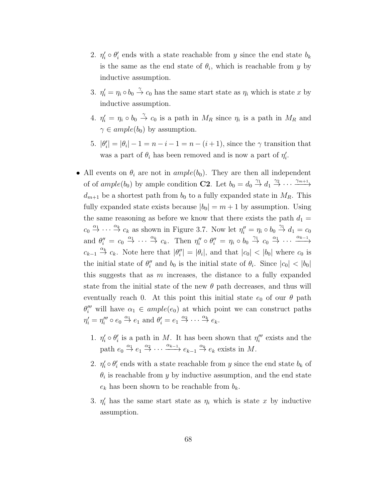- 2.  $\eta'_i \circ \theta'_i$  ends with a state reachable from y since the end state  $b_k$ is the same as the end state of  $\theta_i$ , which is reachable from y by inductive assumption.
- 3.  $\eta'_i = \eta_i \circ b_0 \stackrel{\gamma}{\to} c_0$  has the same start state as  $\eta_i$  which is state x by inductive assumption.
- 4.  $\eta'_i = \eta_i \circ b_0 \stackrel{\gamma}{\to} c_0$  is a path in  $M_R$  since  $\eta_i$  is a path in  $M_R$  and  $\gamma \in ample(b_0)$  by assumption.
- 5.  $|\theta'_i| = |\theta_i| 1 = n i 1 = n (i + 1)$ , since the  $\gamma$  transition that was a part of  $\theta_i$  has been removed and is now a part of  $\eta'_i$ .
- All events on  $\theta_i$  are not in  $ample(b_0)$ . They are then all independent of of  $ample(b_0)$  by ample condition **C2**. Let  $b_0 = d_0 \stackrel{\gamma_1}{\rightarrow} d_1 \stackrel{\gamma_2}{\rightarrow} \cdots \stackrel{\gamma_{m+1}}{\rightarrow}$  $d_{m+1}$  be a shortest path from  $b_0$  to a fully expanded state in  $M_R$ . This fully expanded state exists because  $|b_0| = m + 1$  by assumption. Using the same reasoning as before we know that there exists the path  $d_1 =$  $c_0 \stackrel{\alpha_1}{\rightarrow} \cdots \stackrel{\alpha_k}{\rightarrow} c_k$  as shown in Figure 3.7. Now let  $\eta''_i = \eta_i \circ b_0 \stackrel{\gamma_1}{\rightarrow} d_1 = c_0$ and  $\theta''_i = c_0 \stackrel{\alpha_1}{\to} \cdots \stackrel{\alpha_k}{\to} c_k$ . Then  $\eta''_i \circ \theta''_i = \eta_i \circ b_0 \stackrel{\gamma_1}{\to} c_0 \stackrel{\alpha_1}{\to} \cdots \stackrel{\alpha_{k-1}}{\to}$  $c_{k-1} \stackrel{\alpha_k}{\to} c_k$ . Note here that  $|\theta''_i| = |\theta_i|$ , and that  $|c_0| < |b_0|$  where  $c_0$  is the initial state of  $\theta''_i$  and  $b_0$  is the initial state of  $\theta_i$ . Since  $|c_0| < |b_0|$ this suggests that as  $m$  increases, the distance to a fully expanded state from the initial state of the new  $\theta$  path decreases, and thus will eventually reach 0. At this point this initial state  $e_0$  of our  $\theta$  path  $\theta''_i$  will have  $\alpha_1 \in ample(e_0)$  at which point we can construct paths  $\eta_i' = \eta_i''' \circ e_0 \stackrel{\alpha_1}{\to} e_1 \text{ and } \theta_i' = e_1 \stackrel{\alpha_2}{\to} \cdots \stackrel{\alpha_k}{\to} e_k.$ 
	- 1.  $\eta'_i \circ \theta'_i$  is a path in M. It has been shown that  $\eta''_i$  exists and the path  $e_0 \stackrel{\alpha_1}{\rightarrow} e_1 \stackrel{\alpha_2}{\rightarrow} \cdots \stackrel{\alpha_{k-1}}{\rightarrow} e_{k-1} \stackrel{\alpha_k}{\rightarrow} e_k$  exists in M.
	- 2.  $\eta'_i \circ \theta'_i$  ends with a state reachable from y since the end state  $b_k$  of  $\theta_i$  is reachable from y by inductive assumption, and the end state  $e_k$  has been shown to be reachable from  $b_k$ .
	- 3.  $\eta'_i$  has the same start state as  $\eta_i$  which is state x by inductive assumption.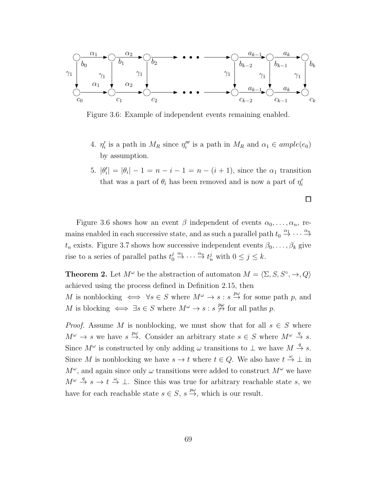

Figure 3.6: Example of independent events remaining enabled.

- 4.  $\eta'_i$  is a path in  $M_R$  since  $\eta''_i$  is a path in  $M_R$  and  $\alpha_1 \in ample(e_0)$ by assumption.
- 5.  $|\theta'_{i}| = |\theta_{i}| 1 = n i 1 = n (i + 1)$ , since the  $\alpha_1$  transition that was a part of  $\theta_i$  has been removed and is now a part of  $\eta'_i$

Figure 3.6 shows how an event  $\beta$  independent of events  $\alpha_0, \ldots, \alpha_n$ , remains enabled in each successive state, and as such a parallel path  $t_0 \stackrel{\alpha_1}{\rightarrow} \cdots \stackrel{\alpha_n}{\rightarrow}$  $t_n$  exists. Figure 3.7 shows how successive independent events  $\beta_0, \ldots, \beta_k$  give rise to a series of parallel paths  $t_0^j \stackrel{\alpha_1}{\rightarrow} \cdots \stackrel{\alpha_n}{\rightarrow} t_n^j$  with  $0 \le j \le k$ .

> **Theorem 2.** Let  $M^{\omega}$  be the abstraction of automaton  $M = \langle \Sigma, S, S^{\circ}, \to, Q \rangle$ achieved using the process defined in Definition 2.15, then M is nonblocking  $\iff \forall s \in S$  where  $M^{\omega} \to s : s \stackrel{p\omega}{\to}$  for some path p, and M is blocking  $\iff \exists s \in S$  where  $M^{\omega} \to s : s \stackrel{p_{\omega}}{\to}$  for all paths p.

> *Proof.* Assume M is nonblocking, we must show that for all  $s \in S$  where  $M^{\omega} \to s$  we have  $s \stackrel{p\omega}{\to}$ . Consider an arbitrary state  $s \in S$  where  $M^{\omega} \stackrel{q}{\to} s$ . Since  $M^{\omega}$  is constructed by only adding  $\omega$  transitions to  $\perp$  we have  $M \stackrel{q}{\rightarrow} s$ . Since M is nonblocking we have  $s \to t$  where  $t \in Q$ . We also have  $t \stackrel{\omega}{\to} \bot$  in  $M^{\omega}$ , and again since only  $\omega$  transitions were added to construct  $M^{\omega}$  we have  $M^{\omega} \stackrel{q}{\rightarrow} s \rightarrow t \stackrel{\omega}{\rightarrow} \bot$ . Since this was true for arbitrary reachable state s, we have for each reachable state  $s \in S$ ,  $s \stackrel{p\omega}{\rightarrow}$ , which is our result.

 $\Box$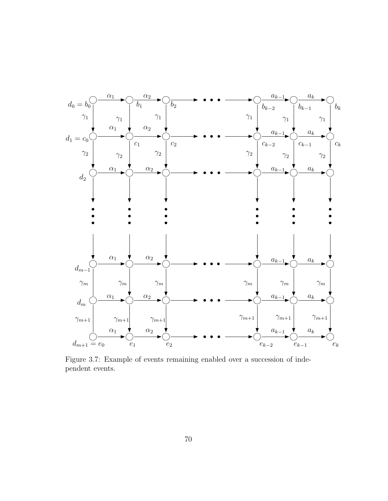

Figure 3.7: Example of events remaining enabled over a succession of independent events.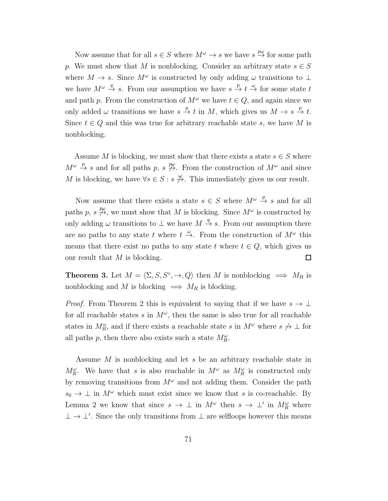Now assume that for all  $s \in S$  where  $M^{\omega} \to s$  we have  $s \stackrel{p\omega}{\to}$  for some path p. We must show that M is nonblocking. Consider an arbitrary state  $s \in S$ where  $M \to s$ . Since  $M^{\omega}$  is constructed by only adding  $\omega$  transitions to  $\perp$ we have  $M^{\omega} \stackrel{q}{\rightarrow} s$ . From our assumption we have  $s \stackrel{p}{\rightarrow} t \stackrel{\omega}{\rightarrow}$  for some state t and path p. From the construction of  $M^{\omega}$  we have  $t \in Q$ , and again since we only added  $\omega$  transitions we have  $s \stackrel{p}{\to} t$  in M, which gives us  $M \to s \stackrel{p}{\to} t$ . Since  $t \in Q$  and this was true for arbitrary reachable state s, we have M is nonblocking.

Assume M is blocking, we must show that there exists a state  $s \in S$  where  $M^{\omega} \stackrel{p}{\rightarrow} s$  and for all paths p,  $s \not\stackrel{p\omega}{\rightarrow}$ . From the construction of  $M^{\omega}$  and since M is blocking, we have  $\forall s \in S : s \stackrel{\omega}{\nrightarrow}$ . This immediately gives us our result.

Now assume that there exists a state  $s \in S$  where  $M^{\omega} \stackrel{p}{\rightarrow} s$  and for all paths p,  $s \not\stackrel{p\omega}{\rightarrow}$ , we must show that M is blocking. Since  $M^{\omega}$  is constructed by only adding  $\omega$  transitions to  $\perp$  we have  $M \stackrel{q}{\rightarrow} s$ . From our assumption there are no paths to any state t where  $t \stackrel{\omega}{\rightarrow}$ . From the construction of  $M^{\omega}$  this means that there exist no paths to any state t where  $t \in Q$ , which gives us our result that  $M$  is blocking.  $\Box$ 

**Theorem 3.** Let  $M = \langle \Sigma, S, S^\circ, \to, Q \rangle$  then M is nonblocking  $\implies M_R$  is nonblocking and M is blocking  $\implies M_R$  is blocking.

*Proof.* From Theorem 2 this is equivalent to saying that if we have  $s \to \bot$ for all reachable states s in  $M^{\omega}$ , then the same is also true for all reachable states in  $M_R^{\omega}$ , and if there exists a reachable state s in  $M^{\omega}$  where  $s \nleftrightarrow \bot$  for all paths p, then there also exists such a state  $M_R^{\omega}$ .

Assume M is nonblocking and let s be an arbitrary reachable state in  $M_R^{\omega}$ . We have that s is also reachable in  $M^{\omega}$  as  $M_R^{\omega}$  is constructed only by removing transitions from  $M^{\omega}$  and not adding them. Consider the path  $s_0 \to \perp$  in  $M^{\omega}$  which must exist since we know that s is co-reachable. By Lemma 2 we know that since  $s \to \perp$  in  $M^{\omega}$  then  $s \to \perp'$  in  $M^{\omega}_R$  where  $\perp \rightarrow \perp'$ . Since the only transitions from  $\perp$  are selfloops however this means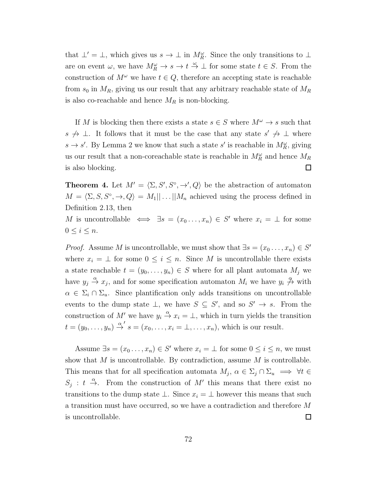that  $\perp' = \perp$ , which gives us  $s \to \perp$  in  $M_R^{\omega}$ . Since the only transitions to  $\perp$ are on event  $\omega$ , we have  $M_R^{\omega} \to s \to t \stackrel{\omega}{\to} \bot$  for some state  $t \in S$ . From the construction of  $M^{\omega}$  we have  $t \in Q$ , therefore an accepting state is reachable from  $s_0$  in  $M_R$ , giving us our result that any arbitrary reachable state of  $M_R$ is also co-reachable and hence  $M_R$  is non-blocking.

If M is blocking then there exists a state  $s \in S$  where  $M^{\omega} \to s$  such that s  $\rightarrow \bot$ . It follows that it must be the case that any state s'  $\rightarrow \bot$  where  $s \to s'$ . By Lemma 2 we know that such a state s' is reachable in  $M_R^{\omega}$ , giving us our result that a non-coreachable state is reachable in  $M_R^{\omega}$  and hence  $M_R$ is also blocking.  $\Box$ 

**Theorem 4.** Let  $M' = \langle \Sigma, S', S^{\circ}, \to', Q \rangle$  be the abstraction of automaton  $M = \langle \Sigma, S, S^\circ, \to, Q \rangle = M_1 || \dots || M_n$  achieved using the process defined in Definition 2.13, then

M is uncontrollable  $\iff \exists s = (x_0 \dots, x_n) \in S'$  where  $x_i = \bot$  for some  $0 \leq i \leq n$ .

*Proof.* Assume M is uncontrollable, we must show that  $\exists s = (x_0, \ldots, x_n) \in S'$ where  $x_i = \perp$  for some  $0 \leq i \leq n$ . Since M is uncontrollable there exists a state reachable  $t = (y_0, \ldots, y_n) \in S$  where for all plant automata  $M_j$  we have  $y_j \stackrel{\alpha}{\to} x_j$ , and for some specification automaton  $M_i$  we have  $y_i \stackrel{\alpha}{\to} x_j$  with  $\alpha \in \Sigma_i \cap \Sigma_u$ . Since plantification only adds transitions on uncontrollable events to the dump state  $\bot$ , we have  $S \subseteq S'$ , and so  $S' \to s$ . From the construction of M' we have  $y_i \stackrel{\alpha}{\rightarrow} x_i = \perp$ , which in turn yields the transition  $t=(y_0,\ldots,y_n)\stackrel{\alpha'}{\rightarrow} s=(x_0,\ldots,x_i=\bot,\ldots,x_n),$  which is our result.

Assume  $\exists s = (x_0 \dots, x_n) \in S'$  where  $x_i = \bot$  for some  $0 \le i \le n$ , we must show that  $M$  is uncontrollable. By contradiction, assume  $M$  is controllable. This means that for all specification automata  $M_j$ ,  $\alpha \in \Sigma_j \cap \Sigma_u \implies \forall t \in$  $S_j : t \stackrel{\alpha}{\to}$ . From the construction of M' this means that there exist no transitions to the dump state  $\bot$ . Since  $x_i = \bot$  however this means that such a transition must have occurred, so we have a contradiction and therefore M is uncontrollable.  $\Box$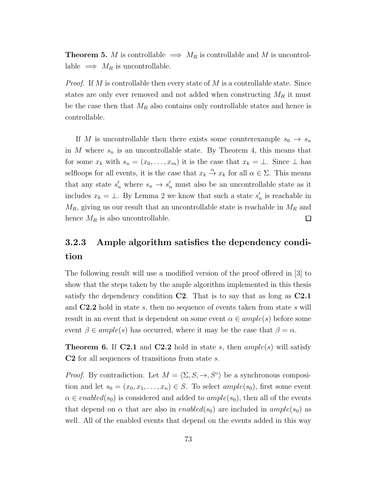**Theorem 5.** M is controllable  $\implies M_R$  is controllable and M is uncontrollable  $\implies M_R$  is uncontrollable.

*Proof.* If M is controllable then every state of M is a controllable state. Since states are only ever removed and not added when constructing  $M_R$  it must be the case then that  $M_R$  also contains only controllable states and hence is controllable.

If M is uncontrollable then there exists some counterexample  $s_0 \rightarrow s_n$ in M where  $s_n$  is an uncontrollable state. By Theorem 4, this means that for some  $x_k$  with  $s_n = (x_0, \ldots, x_m)$  it is the case that  $x_k = \bot$ . Since  $\bot$  has selfloops for all events, it is the case that  $x_k \stackrel{\alpha}{\to} x_k$  for all  $\alpha \in \Sigma$ . This means that any state  $s'_n$  where  $s_n \to s'_n$  must also be an uncontrollable state as it includes  $x_k = \perp$ . By Lemma 2 we know that such a state  $s'_n$  is reachable in  $M_R$ , giving us our result that an uncontrollable state is reachable in  $M_R$  and hence  $M_R$  is also uncontrollable.  $\Box$ 

# 3.2.3 Ample algorithm satisfies the dependency condition

The following result will use a modified version of the proof offered in [3] to show that the steps taken by the ample algorithm implemented in this thesis satisfy the dependency condition C2. That is to say that as long as C2.1 and  $C2.2$  hold in state s, then no sequence of events taken from state s will result in an event that is dependent on some event  $\alpha \in ample(s)$  before some event  $\beta \in ample(s)$  has occurred, where it may be the case that  $\beta = \alpha$ .

**Theorem 6.** If **C2.1** and **C2.2** hold in state s, then  $ample(s)$  will satisfy C2 for all sequences of transitions from state s.

*Proof.* By contradiction. Let  $M = \langle \Sigma, S, \to, S^{\circ} \rangle$  be a synchronous composition and let  $s_0 = (x_0, x_1, \ldots, x_n) \in S$ . To select  $ample(s_0)$ , first some event  $\alpha \in enabled(s_0)$  is considered and added to  $ample(s_0)$ , then all of the events that depend on  $\alpha$  that are also in *enabled*( $s_0$ ) are included in *ample*( $s_0$ ) as well. All of the enabled events that depend on the events added in this way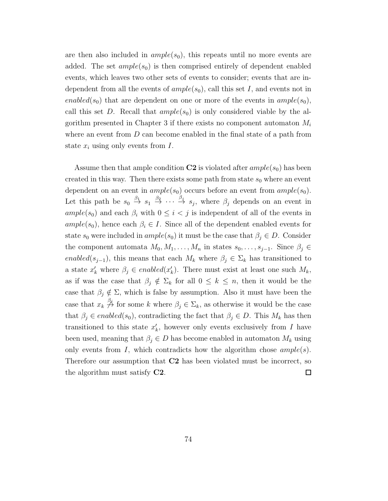are then also included in  $ample(s_0)$ , this repeats until no more events are added. The set  $ample(s_0)$  is then comprised entirely of dependent enabled events, which leaves two other sets of events to consider; events that are independent from all the events of  $ample(s_0)$ , call this set I, and events not in enabled(s<sub>0</sub>) that are dependent on one or more of the events in  $ample(s_0)$ , call this set D. Recall that  $ample(s_0)$  is only considered viable by the algorithm presented in Chapter 3 if there exists no component automaton  $M_i$ where an event from  $D$  can become enabled in the final state of a path from state  $x_i$  using only events from  $I$ .

Assume then that ample condition  $C2$  is violated after  $ample(s_0)$  has been created in this way. Then there exists some path from state  $s_0$  where an event dependent on an event in  $ample(s_0)$  occurs before an event from  $ample(s_0)$ . Let this path be  $s_0 \stackrel{\beta_1}{\rightarrow} s_1 \stackrel{\beta_2}{\rightarrow} \cdots \stackrel{\beta_j}{\rightarrow} s_j$ , where  $\beta_j$  depends on an event in ample(s<sub>0</sub>) and each  $\beta_i$  with  $0 \leq i < j$  is independent of all of the events in  $ample(s_0)$ , hence each  $\beta_i \in I$ . Since all of the dependent enabled events for state  $s_0$  were included in  $ample(s_0)$  it must be the case that  $\beta_i \in D$ . Consider the component automata  $M_0, M_1, \ldots, M_n$  in states  $s_0, \ldots, s_{j-1}$ . Since  $\beta_j \in$ enabled(s<sub>j-1</sub>), this means that each  $M_k$  where  $\beta_j \in \Sigma_k$  has transitioned to a state  $x'_k$  where  $\beta_j \in enabled(x'_k)$ . There must exist at least one such  $M_k$ , as if was the case that  $\beta_j \notin \Sigma_k$  for all  $0 \leq k \leq n$ , then it would be the case that  $\beta_j \notin \Sigma$ , which is false by assumption. Also it must have been the case that  $x_k \stackrel{\beta_j}{\to}$  for some k where  $\beta_j \in \Sigma_k$ , as otherwise it would be the case that  $\beta_i \in enabled(s_0)$ , contradicting the fact that  $\beta_i \in D$ . This  $M_k$  has then transitioned to this state  $x'_{k}$ , however only events exclusively from I have been used, meaning that  $\beta_j \in D$  has become enabled in automaton  $M_k$  using only events from I, which contradicts how the algorithm chose  $ample(s)$ . Therefore our assumption that C2 has been violated must be incorrect, so the algorithm must satisfy C2.  $\Box$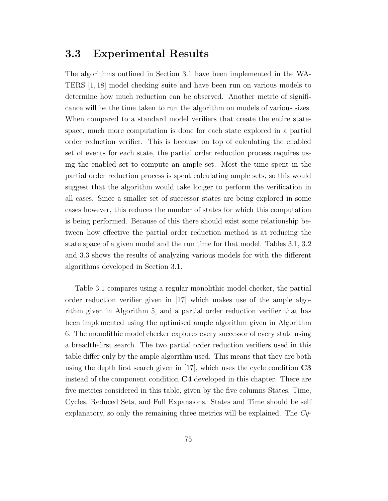### 3.3 Experimental Results

The algorithms outlined in Section 3.1 have been implemented in the WA-TERS [1, 18] model checking suite and have been run on various models to determine how much reduction can be observed. Another metric of significance will be the time taken to run the algorithm on models of various sizes. When compared to a standard model verifiers that create the entire statespace, much more computation is done for each state explored in a partial order reduction verifier. This is because on top of calculating the enabled set of events for each state, the partial order reduction process requires using the enabled set to compute an ample set. Most the time spent in the partial order reduction process is spent calculating ample sets, so this would suggest that the algorithm would take longer to perform the verification in all cases. Since a smaller set of successor states are being explored in some cases however, this reduces the number of states for which this computation is being performed. Because of this there should exist some relationship between how effective the partial order reduction method is at reducing the state space of a given model and the run time for that model. Tables 3.1, 3.2 and 3.3 shows the results of analyzing various models for with the different algorithms developed in Section 3.1.

Table 3.1 compares using a regular monolithic model checker, the partial order reduction verifier given in [17] which makes use of the ample algorithm given in Algorithm 5, and a partial order reduction verifier that has been implemented using the optimised ample algorithm given in Algorithm 6. The monolithic model checker explores every successor of every state using a breadth-first search. The two partial order reduction verifiers used in this table differ only by the ample algorithm used. This means that they are both using the depth first search given in  $[17]$ , which uses the cycle condition  $C3$ instead of the component condition  $C_4$  developed in this chapter. There are five metrics considered in this table, given by the five columns States, Time, Cycles, Reduced Sets, and Full Expansions. States and Time should be self explanatory, so only the remaining three metrics will be explained. The Cy-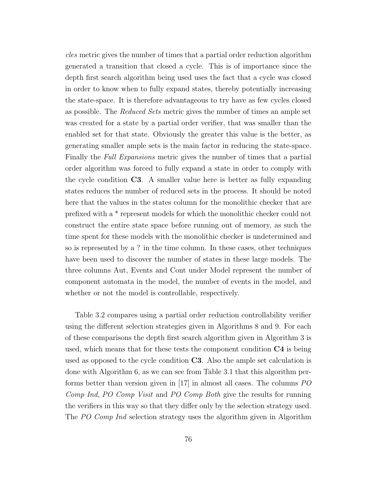cles metric gives the number of times that a partial order reduction algorithm generated a transition that closed a cycle. This is of importance since the depth first search algorithm being used uses the fact that a cycle was closed in order to know when to fully expand states, thereby potentially increasing the state-space. It is therefore advantageous to try have as few cycles closed as possible. The Reduced Sets metric gives the number of times an ample set was created for a state by a partial order verifier, that was smaller than the enabled set for that state. Obviously the greater this value is the better, as generating smaller ample sets is the main factor in reducing the state-space. Finally the Full Expansions metric gives the number of times that a partial order algorithm was forced to fully expand a state in order to comply with the cycle condition C3. A smaller value here is better as fully expanding states reduces the number of reduced sets in the process. It should be noted here that the values in the states column for the monolithic checker that are prefixed with a \* represent models for which the monolithic checker could not construct the entire state space before running out of memory, as such the time spent for these models with the monolithic checker is undetermined and so is represented by a ? in the time column. In these cases, other techniques have been used to discover the number of states in these large models. The three columns Aut, Events and Cont under Model represent the number of component automata in the model, the number of events in the model, and whether or not the model is controllable, respectively.

Table 3.2 compares using a partial order reduction controllability verifier using the different selection strategies given in Algorithms 8 and 9. For each of these comparisons the depth first search algorithm given in Algorithm 3 is used, which means that for these tests the component condition  $C4$  is being used as opposed to the cycle condition C3. Also the ample set calculation is done with Algorithm 6, as we can see from Table 3.1 that this algorithm performs better than version given in [17] in almost all cases. The columns PO Comp Ind, PO Comp Visit and PO Comp Both give the results for running the verifiers in this way so that they differ only by the selection strategy used. The PO Comp Ind selection strategy uses the algorithm given in Algorithm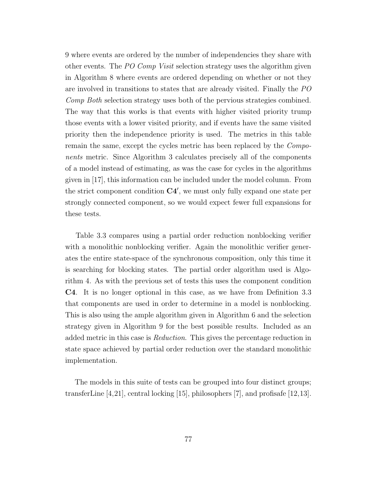9 where events are ordered by the number of independencies they share with other events. The PO Comp Visit selection strategy uses the algorithm given in Algorithm 8 where events are ordered depending on whether or not they are involved in transitions to states that are already visited. Finally the PO Comp Both selection strategy uses both of the pervious strategies combined. The way that this works is that events with higher visited priority trump those events with a lower visited priority, and if events have the same visited priority then the independence priority is used. The metrics in this table remain the same, except the cycles metric has been replaced by the Components metric. Since Algorithm 3 calculates precisely all of the components of a model instead of estimating, as was the case for cycles in the algorithms given in [17], this information can be included under the model column. From the strict component condition C4′ , we must only fully expand one state per strongly connected component, so we would expect fewer full expansions for these tests.

Table 3.3 compares using a partial order reduction nonblocking verifier with a monolithic nonblocking verifier. Again the monolithic verifier generates the entire state-space of the synchronous composition, only this time it is searching for blocking states. The partial order algorithm used is Algorithm 4. As with the previous set of tests this uses the component condition C4. It is no longer optional in this case, as we have from Definition 3.3 that components are used in order to determine in a model is nonblocking. This is also using the ample algorithm given in Algorithm 6 and the selection strategy given in Algorithm 9 for the best possible results. Included as an added metric in this case is Reduction. This gives the percentage reduction in state space achieved by partial order reduction over the standard monolithic implementation.

The models in this suite of tests can be grouped into four distinct groups; transferLine [4,21], central locking [15], philosophers [7], and profisafe [12,13].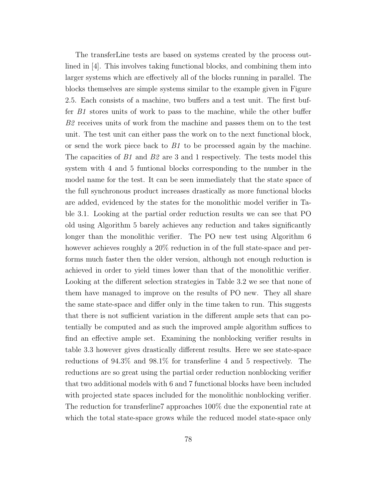The transferLine tests are based on systems created by the process outlined in [4]. This involves taking functional blocks, and combining them into larger systems which are effectively all of the blocks running in parallel. The blocks themselves are simple systems similar to the example given in Figure 2.5. Each consists of a machine, two buffers and a test unit. The first buffer B1 stores units of work to pass to the machine, while the other buffer B2 receives units of work from the machine and passes them on to the test unit. The test unit can either pass the work on to the next functional block, or send the work piece back to  $B1$  to be processed again by the machine. The capacities of  $B1$  and  $B2$  are 3 and 1 respectively. The tests model this system with 4 and 5 funtional blocks corresponding to the number in the model name for the test. It can be seen immediately that the state space of the full synchronous product increases drastically as more functional blocks are added, evidenced by the states for the monolithic model verifier in Table 3.1. Looking at the partial order reduction results we can see that PO old using Algorithm 5 barely achieves any reduction and takes significantly longer than the monolithic verifier. The PO new test using Algorithm 6 however achieves roughly a  $20\%$  reduction in of the full state-space and performs much faster then the older version, although not enough reduction is achieved in order to yield times lower than that of the monolithic verifier. Looking at the different selection strategies in Table 3.2 we see that none of them have managed to improve on the results of PO new. They all share the same state-space and differ only in the time taken to run. This suggests that there is not sufficient variation in the different ample sets that can potentially be computed and as such the improved ample algorithm suffices to find an effective ample set. Examining the nonblocking verifier results in table 3.3 however gives drastically different results. Here we see state-space reductions of 94.3% and 98.1% for transferline 4 and 5 respectively. The reductions are so great using the partial order reduction nonblocking verifier that two additional models with 6 and 7 functional blocks have been included with projected state spaces included for the monolithic nonblocking verifier. The reduction for transferline7 approaches 100% due the exponential rate at which the total state-space grows while the reduced model state-space only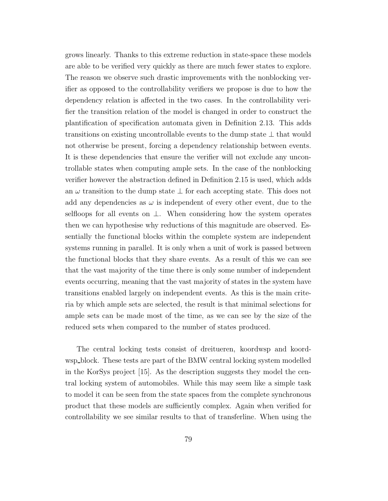grows linearly. Thanks to this extreme reduction in state-space these models are able to be verified very quickly as there are much fewer states to explore. The reason we observe such drastic improvements with the nonblocking verifier as opposed to the controllability verifiers we propose is due to how the dependency relation is affected in the two cases. In the controllability verifier the transition relation of the model is changed in order to construct the plantification of specification automata given in Definition 2.13. This adds transitions on existing uncontrollable events to the dump state ⊥ that would not otherwise be present, forcing a dependency relationship between events. It is these dependencies that ensure the verifier will not exclude any uncontrollable states when computing ample sets. In the case of the nonblocking verifier however the abstraction defined in Definition 2.15 is used, which adds an  $\omega$  transition to the dump state  $\perp$  for each accepting state. This does not add any dependencies as  $\omega$  is independent of every other event, due to the selfloops for all events on  $\perp$ . When considering how the system operates then we can hypothesise why reductions of this magnitude are observed. Essentially the functional blocks within the complete system are independent systems running in parallel. It is only when a unit of work is passed between the functional blocks that they share events. As a result of this we can see that the vast majority of the time there is only some number of independent events occurring, meaning that the vast majority of states in the system have transitions enabled largely on independent events. As this is the main criteria by which ample sets are selected, the result is that minimal selections for ample sets can be made most of the time, as we can see by the size of the reduced sets when compared to the number of states produced.

The central locking tests consist of dreitueren, koordwsp and koordwsp block. These tests are part of the BMW central locking system modelled in the KorSys project [15]. As the description suggests they model the central locking system of automobiles. While this may seem like a simple task to model it can be seen from the state spaces from the complete synchronous product that these models are sufficiently complex. Again when verified for controllability we see similar results to that of transferline. When using the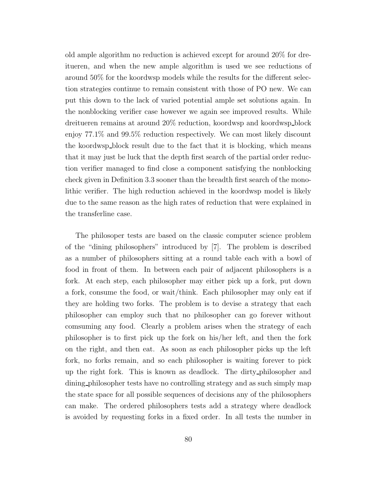old ample algorithm no reduction is achieved except for around 20% for dreitueren, and when the new ample algorithm is used we see reductions of around 50% for the koordwsp models while the results for the different selection strategies continue to remain consistent with those of PO new. We can put this down to the lack of varied potential ample set solutions again. In the nonblocking verifier case however we again see improved results. While dreitueren remains at around 20% reduction, koordwsp and koordwsp block enjoy 77.1% and 99.5% reduction respectively. We can most likely discount the koordwsp block result due to the fact that it is blocking, which means that it may just be luck that the depth first search of the partial order reduction verifier managed to find close a component satisfying the nonblocking check given in Definition 3.3 sooner than the breadth first search of the monolithic verifier. The high reduction achieved in the koordwsp model is likely due to the same reason as the high rates of reduction that were explained in the transferline case.

The philosoper tests are based on the classic computer science problem of the "dining philosophers" introduced by [7]. The problem is described as a number of philosophers sitting at a round table each with a bowl of food in front of them. In between each pair of adjacent philosophers is a fork. At each step, each philosopher may either pick up a fork, put down a fork, consume the food, or wait/think. Each philosopher may only eat if they are holding two forks. The problem is to devise a strategy that each philosopher can employ such that no philosopher can go forever without comsuming any food. Clearly a problem arises when the strategy of each philosopher is to first pick up the fork on his/her left, and then the fork on the right, and then eat. As soon as each philosopher picks up the left fork, no forks remain, and so each philosopher is waiting forever to pick up the right fork. This is known as deadlock. The dirty philosopher and dining philosopher tests have no controlling strategy and as such simply map the state space for all possible sequences of decisions any of the philosophers can make. The ordered philosophers tests add a strategy where deadlock is avoided by requesting forks in a fixed order. In all tests the number in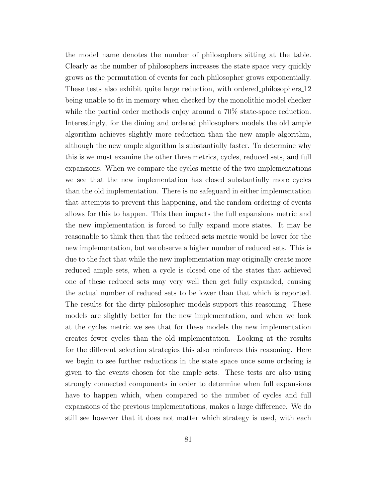the model name denotes the number of philosophers sitting at the table. Clearly as the number of philosophers increases the state space very quickly grows as the permutation of events for each philosopher grows exponentially. These tests also exhibit quite large reduction, with ordered philosophers 12 being unable to fit in memory when checked by the monolithic model checker while the partial order methods enjoy around a  $70\%$  state-space reduction. Interestingly, for the dining and ordered philosophers models the old ample algorithm achieves slightly more reduction than the new ample algorithm, although the new ample algorithm is substantially faster. To determine why this is we must examine the other three metrics, cycles, reduced sets, and full expansions. When we compare the cycles metric of the two implementations we see that the new implementation has closed substantially more cycles than the old implementation. There is no safeguard in either implementation that attempts to prevent this happening, and the random ordering of events allows for this to happen. This then impacts the full expansions metric and the new implementation is forced to fully expand more states. It may be reasonable to think then that the reduced sets metric would be lower for the new implementation, but we observe a higher number of reduced sets. This is due to the fact that while the new implementation may originally create more reduced ample sets, when a cycle is closed one of the states that achieved one of these reduced sets may very well then get fully expanded, causing the actual number of reduced sets to be lower than that which is reported. The results for the dirty philosopher models support this reasoning. These models are slightly better for the new implementation, and when we look at the cycles metric we see that for these models the new implementation creates fewer cycles than the old implementation. Looking at the results for the different selection strategies this also reinforces this reasoning. Here we begin to see further reductions in the state space once some ordering is given to the events chosen for the ample sets. These tests are also using strongly connected components in order to determine when full expansions have to happen which, when compared to the number of cycles and full expansions of the previous implementations, makes a large difference. We do still see however that it does not matter which strategy is used, with each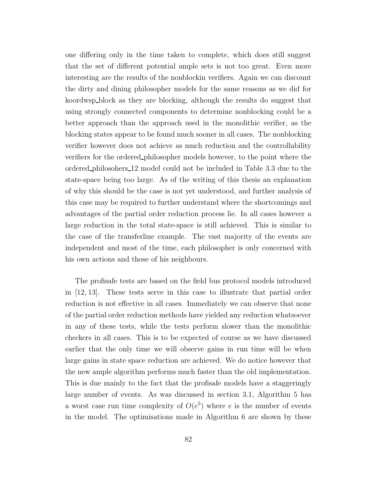one differing only in the time taken to complete, which does still suggest that the set of different potential ample sets is not too great. Even more interesting are the results of the nonblockin verifiers. Again we can discount the dirty and dining philosopher models for the same reasons as we did for koordwsp block as they are blocking, although the results do suggest that using strongly connected components to determine nonblocking could be a better approach than the approach used in the monolithic verifier, as the blocking states appear to be found much sooner in all cases. The nonblocking verifier however does not achieve as much reduction and the controllability verifiers for the ordered philosopher models however, to the point where the ordered philosohers 12 model could not be included in Table 3.3 due to the state-space being too large. As of the writing of this thesis an explanation of why this should be the case is not yet understood, and further analysis of this case may be required to further understand where the shortcomings and advantages of the partial order reduction process lie. In all cases however a large reduction in the total state-space is still achieved. This is similar to the case of the transferline example. The vast majority of the events are independent and most of the time, each philosopher is only concerned with his own actions and those of his neighbours.

The profisafe tests are based on the field bus protocol models introduced in [12, 13]. These tests serve in this case to illustrate that partial order reduction is not effective in all cases. Immediately we can observe that none of the partial order reduction methods have yielded any reduction whatsoever in any of these tests, while the tests perform slower than the monolithic checkers in all cases. This is to be expected of course as we have discussed earlier that the only time we will observe gains in run time will be when large gains in state space reduction are achieved. We do notice however that the new ample algorithm performs much faster than the old implementation. This is due mainly to the fact that the profisafe models have a staggeringly large number of events. As was discussed in section 3.1, Algorithm 5 has a worst case run time complexity of  $O(e^5)$  where e is the number of events in the model. The optimisations made in Algorithm 6 are shown by these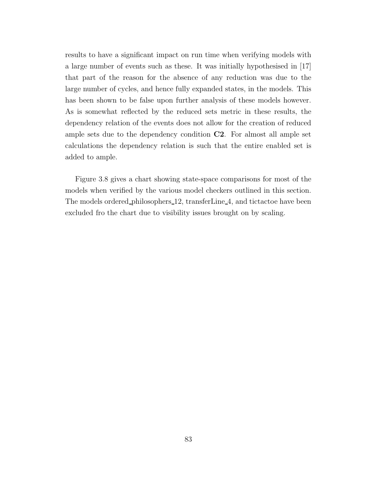results to have a significant impact on run time when verifying models with a large number of events such as these. It was initially hypothesised in [17] that part of the reason for the absence of any reduction was due to the large number of cycles, and hence fully expanded states, in the models. This has been shown to be false upon further analysis of these models however. As is somewhat reflected by the reduced sets metric in these results, the dependency relation of the events does not allow for the creation of reduced ample sets due to the dependency condition C2. For almost all ample set calculations the dependency relation is such that the entire enabled set is added to ample.

Figure 3.8 gives a chart showing state-space comparisons for most of the models when verified by the various model checkers outlined in this section. The models ordered philosophers 12, transferLine 4, and tictactoe have been excluded fro the chart due to visibility issues brought on by scaling.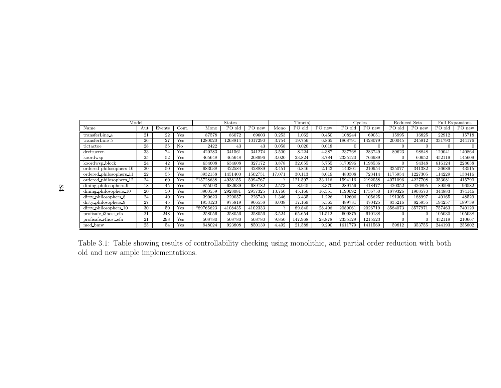| Model                   | <b>States</b> |        |       | Time(s)   |         |         | Cycles   |             | Reduced Sets |         | Full Expansions     |         |                     |        |                |
|-------------------------|---------------|--------|-------|-----------|---------|---------|----------|-------------|--------------|---------|---------------------|---------|---------------------|--------|----------------|
| Name                    | Aut           | Events | Cont. | Mono      | PO olo  | PO new  | Mono     | PO old      | PO new       | PO old  | $\overline{P}O$ new | PO old  | $\overline{P}O$ new | PO old | PO new         |
| transferLine 4          | 21            | 22     | Yes   | 87578     | 86072   | 69603   | 0.253    | 1.062       | 0.450        | 108244  | 69051               | 15995   | 16825               | 22912  | 15718          |
| transferLine 5          | 26            | 27     | Yes   | 1280020   | 1268814 | 1017290 | 3.754    | 19.756      | 6.865        | 1868791 | 1428079             | 200045  | 245912              | 331793 | 244176         |
| tictactoe               | 28            | 35     | No.   | 2422      | 43      | 43      | 0.058    | 0.020       | 0.018        |         |                     |         |                     | 0      | $\overline{0}$ |
| dreitueren              | 33            | 74     | Yes   | 420283    | 341561  | 341274  | 3.500    | 8.224       | 4.387        | 237768  | 283749              | 89623   | 98848               | 129041 | 140864         |
| koordwsp                | 25            | 52     | Yes   | 465648    | 465648  | 208996  | 3.020    | 23.824      | 3.784        | 2335120 | 766989              |         | 60652               | 452119 | 145609         |
| koordwsp_block          | 24            | 42     | Yes   | 634608    | 634608  | 327172  | 3.878    | 32.655      | 5.755        | 3170996 | 198536              |         | 94348               | 616124 | 228638         |
| ordered_philosophers_10 | 20            | 50     | Yes   | 983038    | 422584  | 428889  | 3.451    | 6.846       | 2.143        | 140301  | 210954              | 335077  | 341382              | 36689  | 43515          |
| ordered philosophers 11 | 22            | 55     | Yes   | 3932158   | 1451400 | 1502751 | 17.071   | 30.113      | 8.019        | 480308  | 723414              | 1175954 | 1227305             | 114229 | 138416         |
| ordered_philosophers_12 | 24            | 60     | Yes   | *15728638 | 4938155 | 5094767 | $\Omega$ | .597<br>121 | 33.116       | 1594116 | 2192058             | 4071096 | 4227708             | 353081 | 415790         |
| dining philosophers 9   | 18            | 45     | Yes   | 855093    | 682639  | 689182  | 2.573    | 8.945       | 3.370        | 289159  | 418477              | 420352  | 426895              | 89599  | 96582          |
| dining philosophers 10  | 20            | 50     | Yes   | 3900559   | 292808  | 2957325 | 13.760   | 45.166      | 16.551       | 1190092 | 736750              | 1879326 | 1908570             | 344883 | 374146         |
| dirty philosophers 8    | 24            | 40     | Yes   | 390623    | 229057  | 226749  | l.346    | 3.435       | .226         | 112606  | 105625              | 191305  | 188997              | 49165  | 48529          |
| dirty_philosophers_9    | 27            | 45     | Yes   | 1953123   | 975819  | 966558  | 8.038    | 17.169      | 5.565        | 489781  | 470425              | 835216  | 825955              | 194257 | 189739         |
| dirty philosophers 10   | 30            | 50     | Yes   | *89765623 | 4108435 | 4102333 | $\Omega$ | 89.840      | 28.496       | 2089061 | 2026719             | 3584073 | 3577971             | 757463 | 740129         |
| profisafe_i3host_efa    | 21            | 248    | Yes   | 258056    | 258056  | 258056  | 3.524    | 65.654      | 11.512       | 609875  | 610138              |         |                     | 105030 | 105038         |
| profisafe i4host efa    | 21            | 298    | Yes   | 508780    | 508780  | 508780  | 9.850    | 147.968     | 28.878       | 2335129 | 1215523             |         |                     | 452119 | 210667         |
| med_bmw                 | 25            | 54     | Yes   | 948024    | 923808  | 850139  | 4.492    | 21.588      | 9.290        | 1611779 | 1411569             | 59812   | 353755              | 244193 | 255802         |

| Table 3.1: Table showing results of controllability checking using monolithic, and partial order reduction with both |
|----------------------------------------------------------------------------------------------------------------------|
|                                                                                                                      |
| old and new ample implementations.                                                                                   |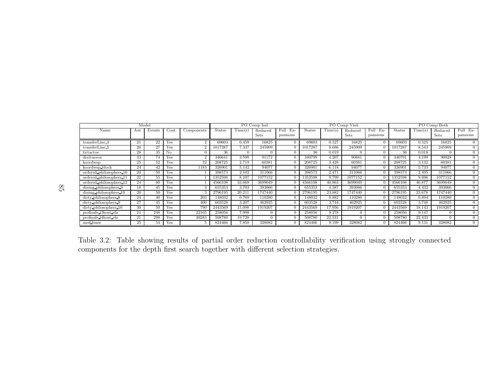| Model                   |     |        |       |                |               | PO Comp Ind |             |                |               |        | PO Comp Visit |              | PO Comp Both  |         |             |                |
|-------------------------|-----|--------|-------|----------------|---------------|-------------|-------------|----------------|---------------|--------|---------------|--------------|---------------|---------|-------------|----------------|
| Name                    | Aut | Events | Cont. | Components     | <b>States</b> | Time(s)     | Reduced     | Full Ex-       | <b>States</b> | Time(s | Reduced       | Full.<br>Ex- | <b>States</b> | Time(s) | Reduced     | Full Ex-       |
|                         |     |        |       |                |               |             | <b>Sets</b> | pansions       |               |        | Sets          | pansions     |               |         | <b>Sets</b> | pansions       |
| transferLine 4          | 21  | 22     | Yes   | റ              | 69603         | 0.459       | 16825       |                | 69603         | 0.527  | 16825         |              | 69603         | 0.525   | 16825       |                |
| transferLine 5          | 26  | 27     | Yes   | 2              | 1017287       | 7.337       | 245909      |                | 1017287       | 8.686  | 245909        |              | 1017287       | 8.543   | 245909      | $\Omega$       |
| tictactoe               | 28  | 35     | No    |                | 36            |             | $\Omega$    |                | 36            | 0.019  | $\Omega$      |              | 36            | 0.018   |             | $\Omega$       |
| dreitueren              | 33  | 74     | Yes   | $\overline{2}$ | 340641        | 3.598       | 91172       |                | 340799        | 4.207  | 90881         |              | 340791        | 4.199   | 90928       | $\Omega$       |
| koordwsp                | 25  | 52     | Yes   | 32             | 208725        | 2.719       | 60381       | $\Omega$       | 208725        | 3.428  | 60381         |              | 208725        | 3.132   | 60381       | $\theta$       |
| koordwsp block          | 24  | 42     | Yes   | 1183           | 326901        | 5.142       | 94077       | 0              | 326901        | 6.118  | 94077         |              | 326901        | 5.733   | 94077       | $\overline{0}$ |
| ordered philosophers 10 | 20  | 50     | Yes   |                | 398573        | 2.102       | 311066      | $\overline{0}$ | 398573        | 2.471  | 311066        |              | 398573        | 2.495   | 311066      | $\theta$       |
| ordered philosophers 11 | 22  | 55     | Yes   |                | 1352598       | 8.107       | 1077152     |                | 1352598       | 9.799  | 1077152       |              | 1352598       | 9.696   | 1077152     | $\overline{0}$ |
| ordered philosophers 12 | 24  | 60     | Yes   |                | 4566108       | 33.669      | 3699049     |                | 4566108       | 40.863 | 3699049       |              | 4566108       | 40.877  | 3699049     | $\overline{0}$ |
| dining philosophers 9   | 18  | 45     | Yes   | 3              | 655353        | 3.703       | 393066      | 0              | 655353        | 4.387  | 393066        |              | 655353        | 4.432   | 393066      | $\Omega$       |
| dining philosophers 10  | 20  | 50     | Yes   |                | 2796195       | 20.211      | 1747440     |                | 2796195       | 23.882 | 1747440       |              | 2796195       | 23.678  | 1747440     | $\Omega$       |
| dirty philosophers 8    | 24  | 40     | Yes   | 203            | 148032        | 0.769       | 110280      |                | 148032        | 0.882  | 110280        |              | 148032        | 0.894   | 110280      | $\Omega$       |
| dirty philosophers 9    | 27  | 45     | Yes   | 400            | 603528        | 3.207       | 462925      |                | 603528        | 3.744  | 462925        |              | 603528        | 3.748   | 462925      | $\Omega$       |
| dirty philosophers 10   | 30  | 50     | Yes   | 790            | 2443569       | 15.098      | 1919207     |                | 2443569       | 17.956 | 1919207       |              | 2443569       | 18.143  | 1919207     | $\Omega$       |
| profisafe i3host efa    | 21  | 248    | Yes   | 22165          | 258056        | 7.998       | 0           |                | 258056        | 9.278  | $\Omega$      |              | 258056        | 9.147   |             | $\Omega$       |
| profisafe i4host efa    | 21  | 298    | Yes   | 30283          | 508780        | 19.728      | $\Omega$    | 0              | 508780        | 22.531 |               |              | 508780        | 22.433  |             | $\theta$       |
| med bmw                 | 25  | 54     | Yes   |                | 824466        | 7.858       | 328082      | 0              | 824466        | 9.199  | 328082        |              | 824466        | 9.131   | 328082      | $\theta$       |

Table 3.2: Table showing results of partial order reduction controllability verification using strongly connectedcomponents for the depth first search together with different selection strategies.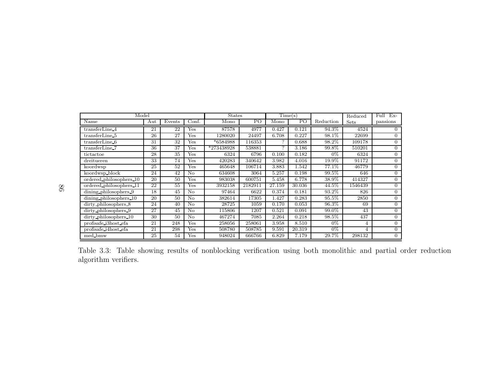| Model                        |     |        | <b>States</b> |            | Time(s)        |               | Reduced        | $Ex-$<br>Full |         |                |
|------------------------------|-----|--------|---------------|------------|----------------|---------------|----------------|---------------|---------|----------------|
| Name                         | Aut | Events | Conf.         | Mono       | P <sub>O</sub> | Mono          | P <sub>O</sub> | Reduction     | Sets    | pansions       |
| transferLine 4               | 21  | 22     | Yes           | 87578      | 4977           | 0.427         | 0.121          | 94.3%         | 4524    | $\theta$       |
| transferLine 5               | 26  | 27     | Yes           | 1280020    | 24497          | 6.708         | 0.227          | 98.1%         | 22699   | $\overline{0}$ |
| transferLine 6               | 31  | 32     | Yes           | *6584988   | 116353         | $\mathcal{P}$ | 0.688          | 98.2%         | 109178  | $\Omega$       |
| transferLine_7               | 36  | 37     | Yes           | *273438928 | 538881         | ?             | 3.186          | 99.8%         | 510201  | $\Omega$       |
| tictactoe                    | 28  | 35     | Yes           | 6324       | 6796           | 0.100         | 0.182          | $0\%$         | 6324    | $\Omega$       |
| dreitueren                   | 33  | 74     | Yes           | 420283     | 340642         | 3.982         | 4.016          | 19.9%         | 91172   | $\Omega$       |
| koordwsp                     | 25  | 52     | Yes           | 465648     | 106714         | 3.883         | 1.542          | 77.1%         | 46779   | $\overline{0}$ |
| $k$ oordwsp_block            | 24  | 42     | No            | 634608     | 3064           | 5.257         | 0.198          | 99.5%         | 646     | $\overline{0}$ |
| ordered_philosophers_10      | 20  | 50     | Yes           | 983038     | 600751         | 5.458         | 6.778          | 38.9%         | 414327  | $\Omega$       |
| ordered_philosophers_11      | 22  | 55     | Yes           | 3932158    | 2182911        | 27.159        | 30.036         | 44.5%         | 1546439 | $\Omega$       |
| dining_philosophers_9        | 18  | 45     | No            | 97464      | 6622           | 0.374         | 0.181          | 93.2%         | 826     | $\Omega$       |
| $\dim$ ing philosophers $10$ | 20  | 50     | No            | 382614     | 17305          | 1.427         | 0.283          | 95.5%         | 2850    | $\theta$       |
| dirty philosophers 8         | 24  | 40     | No            | 28725      | 1059           | 0.170         | 0.053          | 96.3%         | 69      | $\overline{0}$ |
| dirty_philosophers_9         | 27  | 45     | $\rm No$      | 115806     | 1207           | 0.521         | 0.091          | 99.0%         | 43      | $\Omega$       |
| dirty_philosophers_10        | 30  | 50     | No            | 467274     | 7085           | 2.264         | 0.218          | 98.5%         | 437     | $\Omega$       |
| profisafe_i3host_efa         | 21  | 248    | Yes           | 258056     | 258061         | 3.958         | 8.510          | $0\%$         | 4       | $\Omega$       |
| profisafe_i4host_efa         | 21  | 298    | Yes           | 508780     | 508785         | 9.591         | 20.319         | $0\%$         | 4       | $\Omega$       |
| med_bmw                      | 25  | 54     | Yes           | 948024     | 666766         | 6.829         | 7.179          | 29.7%         | 298132  | $\overline{0}$ |

Table 3.3: Table showing results of nonblocking verification using both monolithic and partial order reduction algorithm verifiers.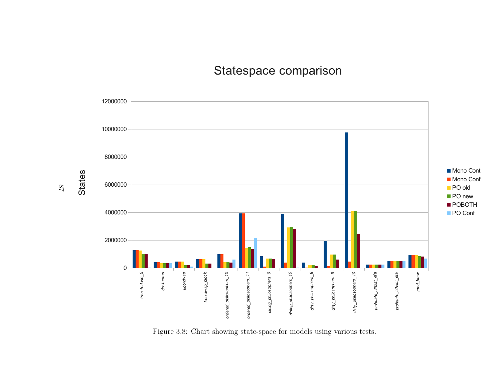# Statespace comparison



Figure 3.8: Chart showing state-space for models using various tests.

87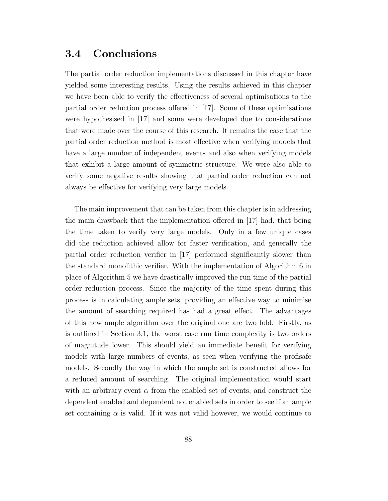### 3.4 Conclusions

The partial order reduction implementations discussed in this chapter have yielded some interesting results. Using the results achieved in this chapter we have been able to verify the effectiveness of several optimisations to the partial order reduction process offered in [17]. Some of these optimisations were hypothesised in [17] and some were developed due to considerations that were made over the course of this research. It remains the case that the partial order reduction method is most effective when verifying models that have a large number of independent events and also when verifying models that exhibit a large amount of symmetric structure. We were also able to verify some negative results showing that partial order reduction can not always be effective for verifying very large models.

The main improvement that can be taken from this chapter is in addressing the main drawback that the implementation offered in [17] had, that being the time taken to verify very large models. Only in a few unique cases did the reduction achieved allow for faster verification, and generally the partial order reduction verifier in [17] performed significantly slower than the standard monolithic verifier. With the implementation of Algorithm 6 in place of Algorithm 5 we have drastically improved the run time of the partial order reduction process. Since the majority of the time spent during this process is in calculating ample sets, providing an effective way to minimise the amount of searching required has had a great effect. The advantages of this new ample algorithm over the original one are two fold. Firstly, as is outlined in Section 3.1, the worst case run time complexity is two orders of magnitude lower. This should yield an immediate benefit for verifying models with large numbers of events, as seen when verifying the profisafe models. Secondly the way in which the ample set is constructed allows for a reduced amount of searching. The original implementation would start with an arbitrary event  $\alpha$  from the enabled set of events, and construct the dependent enabled and dependent not enabled sets in order to see if an ample set containing  $\alpha$  is valid. If it was not valid however, we would continue to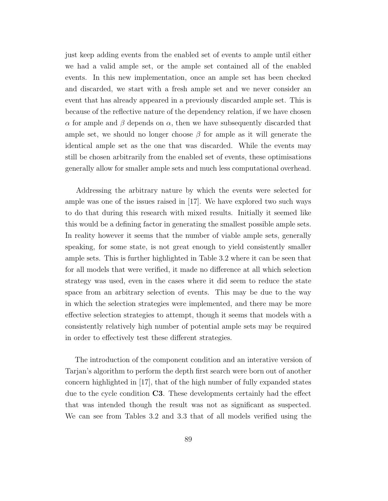just keep adding events from the enabled set of events to ample until either we had a valid ample set, or the ample set contained all of the enabled events. In this new implementation, once an ample set has been checked and discarded, we start with a fresh ample set and we never consider an event that has already appeared in a previously discarded ample set. This is because of the reflective nature of the dependency relation, if we have chosen  $\alpha$  for ample and β depends on  $\alpha$ , then we have subsequently discarded that ample set, we should no longer choose  $\beta$  for ample as it will generate the identical ample set as the one that was discarded. While the events may still be chosen arbitrarily from the enabled set of events, these optimisations generally allow for smaller ample sets and much less computational overhead.

Addressing the arbitrary nature by which the events were selected for ample was one of the issues raised in [17]. We have explored two such ways to do that during this research with mixed results. Initially it seemed like this would be a defining factor in generating the smallest possible ample sets. In reality however it seems that the number of viable ample sets, generally speaking, for some state, is not great enough to yield consistently smaller ample sets. This is further highlighted in Table 3.2 where it can be seen that for all models that were verified, it made no difference at all which selection strategy was used, even in the cases where it did seem to reduce the state space from an arbitrary selection of events. This may be due to the way in which the selection strategies were implemented, and there may be more effective selection strategies to attempt, though it seems that models with a consistently relatively high number of potential ample sets may be required in order to effectively test these different strategies.

The introduction of the component condition and an interative version of Tarjan's algorithm to perform the depth first search were born out of another concern highlighted in [17], that of the high number of fully expanded states due to the cycle condition C3. These developments certainly had the effect that was intended though the result was not as significant as suspected. We can see from Tables 3.2 and 3.3 that of all models verified using the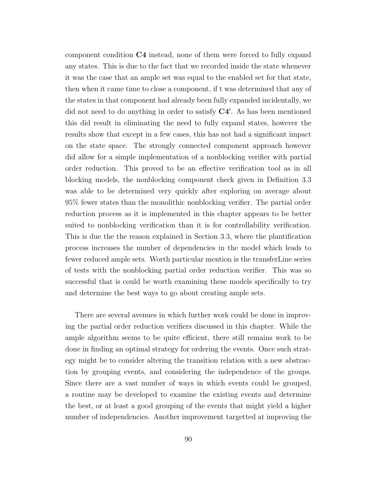component condition C4 instead, none of them were forced to fully expand any states. This is due to the fact that we recorded inside the state whenever it was the case that an ample set was equal to the enabled set for that state, then when it came time to close a component, if t was determined that any of the states in that component had already been fully expanded incidentally, we did not need to do anything in order to satisfy  $C4'$ . As has been mentioned this did result in eliminating the need to fully expand states, however the results show that except in a few cases, this has not had a significant impact on the state space. The strongly connected component approach however did allow for a simple implementation of a nonblocking verifier with partial order reduction. This proved to be an effective verification tool as in all blocking models, the nonblocking component check given in Definition 3.3 was able to be determined very quickly after exploring on average about 95% fewer states than the monolithic nonblocking verifier. The partial order reduction process as it is implemented in this chapter appears to be better suited to nonblocking verification than it is for controllability verification. This is due the the reason explained in Section 3.3, where the plantification process increases the number of dependencies in the model which leads to fewer reduced ample sets. Worth particular mention is the transferLine series of tests with the nonblocking partial order reduction verifier. This was so successful that is could be worth examining these models specifically to try and determine the best ways to go about creating ample sets.

There are several avenues in which further work could be done in improving the partial order reduction verifiers discussed in this chapter. While the ample algorithm seems to be quite efficient, there still remains work to be done in finding an optimal strategy for ordering the events. Once such strategy might be to consider altering the transition relation with a new abstraction by grouping events, and considering the independence of the groups. Since there are a vast number of ways in which events could be grouped, a routine may be developed to examine the existing events and determine the best, or at least a good grouping of the events that might yield a higher number of independencies. Another improvement targetted at improving the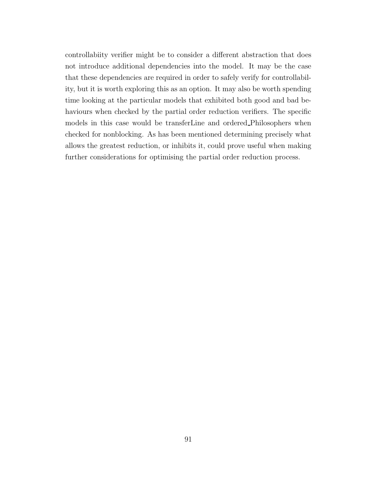controllabiity verifier might be to consider a different abstraction that does not introduce additional dependencies into the model. It may be the case that these dependencies are required in order to safely verify for controllability, but it is worth exploring this as an option. It may also be worth spending time looking at the particular models that exhibited both good and bad behaviours when checked by the partial order reduction verifiers. The specific models in this case would be transferLine and ordered Philosophers when checked for nonblocking. As has been mentioned determining precisely what allows the greatest reduction, or inhibits it, could prove useful when making further considerations for optimising the partial order reduction process.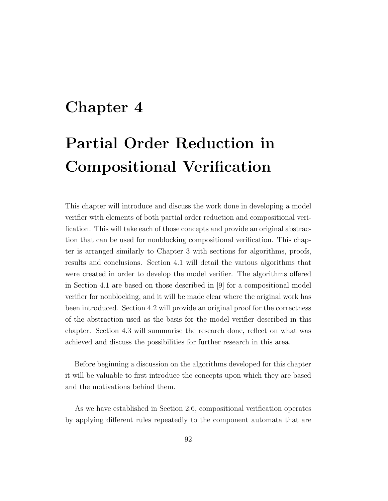# Chapter 4

# Partial Order Reduction in Compositional Verification

This chapter will introduce and discuss the work done in developing a model verifier with elements of both partial order reduction and compositional verification. This will take each of those concepts and provide an original abstraction that can be used for nonblocking compositional verification. This chapter is arranged similarly to Chapter 3 with sections for algorithms, proofs, results and conclusions. Section 4.1 will detail the various algorithms that were created in order to develop the model verifier. The algorithms offered in Section 4.1 are based on those described in [9] for a compositional model verifier for nonblocking, and it will be made clear where the original work has been introduced. Section 4.2 will provide an original proof for the correctness of the abstraction used as the basis for the model verifier described in this chapter. Section 4.3 will summarise the research done, reflect on what was achieved and discuss the possibilities for further research in this area.

Before beginning a discussion on the algorithms developed for this chapter it will be valuable to first introduce the concepts upon which they are based and the motivations behind them.

As we have established in Section 2.6, compositional verification operates by applying different rules repeatedly to the component automata that are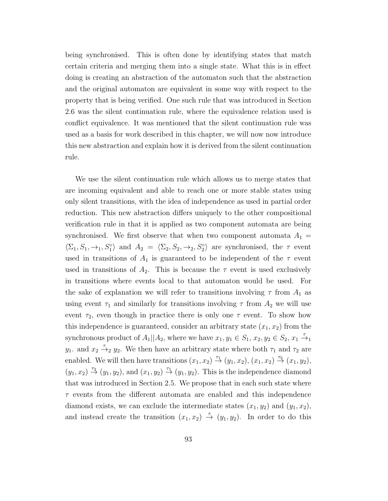being synchronised. This is often done by identifying states that match certain criteria and merging them into a single state. What this is in effect doing is creating an abstraction of the automaton such that the abstraction and the original automaton are equivalent in some way with respect to the property that is being verified. One such rule that was introduced in Section 2.6 was the silent continuation rule, where the equivalence relation used is conflict equivalence. It was mentioned that the silent continuation rule was used as a basis for work described in this chapter, we will now now introduce this new abstraction and explain how it is derived from the silent continuation rule.

We use the silent continuation rule which allows us to merge states that are incoming equivalent and able to reach one or more stable states using only silent transitions, with the idea of independence as used in partial order reduction. This new abstraction differs uniquely to the other compositional verification rule in that it is applied as two component automata are being synchronised. We first observe that when two component automata  $A_1 =$  $\langle \Sigma_1, S_1, \rightarrow_1, S_1^{\circ} \rangle$  and  $A_2 = \langle \Sigma_2, S_2, \rightarrow_2, S_2^{\circ} \rangle$  are synchronised, the  $\tau$  event used in transitions of  $A_1$  is guaranteed to be independent of the  $\tau$  event used in transitions of  $A_2$ . This is because the  $\tau$  event is used exclusively in transitions where events local to that automaton would be used. For the sake of explanation we will refer to transitions involving  $\tau$  from  $A_1$  as using event  $\tau_1$  and similarly for transitions involving  $\tau$  from  $A_2$  we will use event  $\tau_2$ , even though in practice there is only one  $\tau$  event. To show how this independence is guaranteed, consider an arbitrary state  $(x_1, x_2)$  from the synchronous product of  $A_1||A_2$ , where we have  $x_1, y_1 \in S_1$ ,  $x_2, y_2 \in S_2$ ,  $x_1 \stackrel{\tau}{\rightarrow}_1$  $y_1$ . and  $x_2 \stackrel{\tau}{\rightarrow}_2 y_2$ . We then have an arbitrary state where both  $\tau_1$  and  $\tau_2$  are enabled. We will then have transitions  $(x_1, x_2) \stackrel{\tau_1}{\rightarrow} (y_1, x_2), (x_1, x_2) \stackrel{\tau_2}{\rightarrow} (x_1, y_2),$  $(y_1, x_2) \stackrel{\tau_2}{\rightarrow} (y_1, y_2)$ , and  $(x_1, y_2) \stackrel{\tau_1}{\rightarrow} (y_1, y_2)$ . This is the independence diamond that was introduced in Section 2.5. We propose that in each such state where  $\tau$  events from the different automata are enabled and this independence diamond exists, we can exclude the intermediate states  $(x_1, y_2)$  and  $(y_1, x_2)$ , and instead create the transition  $(x_1, x_2) \stackrel{\tau}{\rightarrow} (y_1, y_2)$ . In order to do this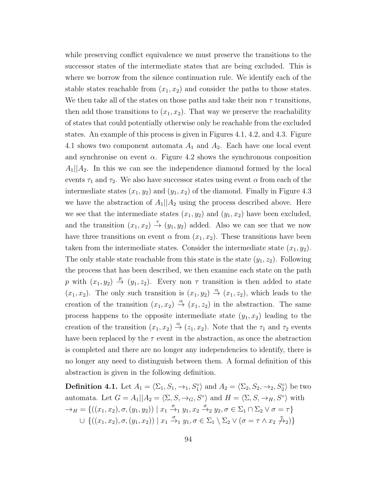while preserving conflict equivalence we must preserve the transitions to the successor states of the intermediate states that are being excluded. This is where we borrow from the silence continuation rule. We identify each of the stable states reachable from  $(x_1, x_2)$  and consider the paths to those states. We then take all of the states on those paths and take their non  $\tau$  transitions, then add those transitions to  $(x_1, x_2)$ . That way we preserve the reachability of states that could potentially otherwise only be reachable from the excluded states. An example of this process is given in Figures 4.1, 4.2, and 4.3. Figure 4.1 shows two component automata  $A_1$  and  $A_2$ . Each have one local event and synchronise on event  $\alpha$ . Figure 4.2 shows the synchronous conposition  $A_1||A_2$ . In this we can see the independence diamond formed by the local events  $\tau_1$  and  $\tau_2$ . We also have successor states using event  $\alpha$  from each of the intermediate states  $(x_1, y_2)$  and  $(y_1, x_2)$  of the diamond. Finally in Figure 4.3 we have the abstraction of  $A_1||A_2$  using the process described above. Here we see that the intermediate states  $(x_1, y_2)$  and  $(y_1, x_2)$  have been excluded, and the transition  $(x_1, x_2) \stackrel{\tau}{\rightarrow} (y_1, y_2)$  added. Also we can see that we now have three transitions on event  $\alpha$  from  $(x_1, x_2)$ . These transitions have been taken from the intermediate states. Consider the intermediate state  $(x_1, y_2)$ . The only stable state reachable from this state is the state  $(y_1, z_2)$ . Following the process that has been described, we then examine each state on the path p with  $(x_1, y_2) \stackrel{p}{\rightarrow} (y_1, z_2)$ . Every non  $\tau$  transition is then added to state  $(x_1, x_2)$ . The only such transition is  $(x_1, y_2) \stackrel{\alpha}{\rightarrow} (x_1, z_2)$ , which leads to the creation of the transition  $(x_1, x_2) \stackrel{\alpha}{\rightarrow} (x_1, z_2)$  in the abstraction. The same process happens to the opposite intermediate state  $(y_1, x_2)$  leading to the creation of the transition  $(x_1, x_2) \stackrel{\alpha}{\rightarrow} (z_1, x_2)$ . Note that the  $\tau_1$  and  $\tau_2$  events have been replaced by the  $\tau$  event in the abstraction, as once the abstraction is completed and there are no longer any independencies to identify, there is no longer any need to distinguish between them. A formal definition of this abstraction is given in the following definition.

**Definition 4.1.** Let  $A_1 = \langle \Sigma_1, S_1, \to_1, S_1^\circ \rangle$  and  $A_2 = \langle \Sigma_2, S_2, \to_2, S_2^\circ \rangle$  be two automata. Let  $G = A_1 || A_2 = \langle \Sigma, S, \rightarrow_G, S^\circ \rangle$  and  $H = \langle \Sigma, S, \rightarrow_H, S^\circ \rangle$  with  $\rightarrow_H \; = \{((x_1, x_2), \sigma, (y_1, y_2)) \mid x_1 \stackrel{\sigma}{\rightarrow}_1 y_1, x_2 \stackrel{\sigma}{\rightarrow}_2 y_2, \sigma \in \Sigma_1 \cap \Sigma_2 \vee \sigma = \tau\}$  $\cup$  { $((x_1, x_2), \sigma, (y_1, x_2)) | x_1 \stackrel{\sigma}{\rightarrow}_1 y_1, \sigma \in \Sigma_1 \setminus \Sigma_2 \vee (\sigma = \tau \wedge x_2 \not\stackrel{\tau}{\rightarrow}_2)$ }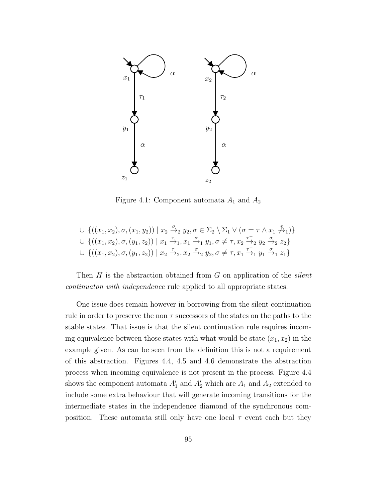

Figure 4.1: Component automata  $A_1$  and  $A_2$ 

$$
\cup \{((x_1, x_2), \sigma, (x_1, y_2)) \mid x_2 \xrightarrow{\sigma} x_2, y_2, \sigma \in \Sigma_2 \setminus \Sigma_1 \vee (\sigma = \tau \wedge x_1 \xrightarrow{\tau} 1)\} \n\cup \{((x_1, x_2), \sigma, (y_1, z_2)) \mid x_1 \xrightarrow{\tau} x_1, x_1 \xrightarrow{\sigma} x_1, y_1, \sigma \neq \tau, x_2 \xrightarrow{\tau} 2 y_2 \xrightarrow{\sigma} x_2 z_2\} \n\cup \{((x_1, x_2), \sigma, (y_1, z_2)) \mid x_2 \xrightarrow{\tau} x_2, x_2 \xrightarrow{\sigma} x_2, y_2, \sigma \neq \tau, x_1 \xrightarrow{\tau} x_1 \xrightarrow{\sigma} x_1 z_1\}
$$

Then  $H$  is the abstraction obtained from  $G$  on application of the *silent* continuaton with independence rule applied to all appropriate states.

One issue does remain however in borrowing from the silent continuation rule in order to preserve the non  $\tau$  successors of the states on the paths to the stable states. That issue is that the silent continuation rule requires incoming equivalence between those states with what would be state  $(x_1, x_2)$  in the example given. As can be seen from the definition this is not a requirement of this abstraction. Figures 4.4, 4.5 and 4.6 demonstrate the abstraction process when incoming equivalence is not present in the process. Figure 4.4 shows the component automata  $A'_1$  and  $A'_2$  which are  $A_1$  and  $A_2$  extended to include some extra behaviour that will generate incoming transitions for the intermediate states in the independence diamond of the synchronous composition. These automata still only have one local  $\tau$  event each but they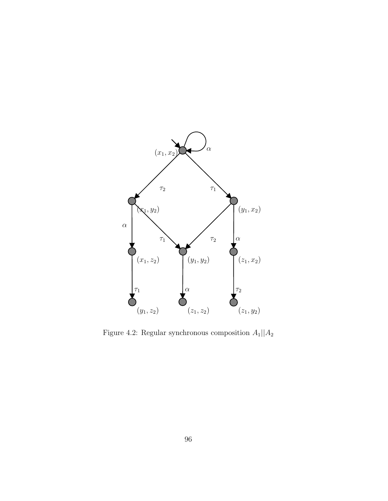

Figure 4.2: Regular synchronous composition  ${\cal A}_1 || {\cal A}_2$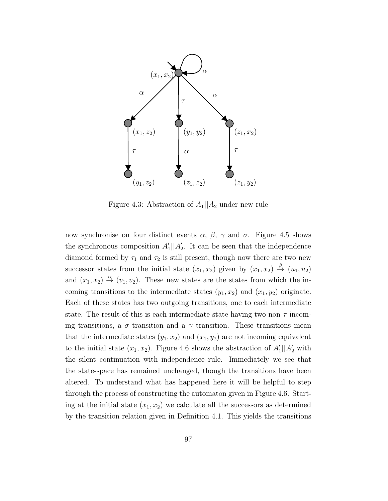

Figure 4.3: Abstraction of  $A_1||A_2$  under new rule

now synchronise on four distinct events  $\alpha$ ,  $\beta$ ,  $\gamma$  and  $\sigma$ . Figure 4.5 shows the synchronous composition  $A'_1||A'_2$ . It can be seen that the independence diamond formed by  $\tau_1$  and  $\tau_2$  is still present, though now there are two new successor states from the initial state  $(x_1, x_2)$  given by  $(x_1, x_2) \stackrel{\beta}{\rightarrow} (u_1, u_2)$ and  $(x_1, x_2) \stackrel{\alpha}{\rightarrow} (v_1, v_2)$ . These new states are the states from which the incoming transitions to the intermediate states  $(y_1, x_2)$  and  $(x_1, y_2)$  originate. Each of these states has two outgoing transitions, one to each intermediate state. The result of this is each intermediate state having two non  $\tau$  incoming transitions, a  $\sigma$  transition and a  $\gamma$  transition. These transitions mean that the intermediate states  $(y_1, x_2)$  and  $(x_1, y_2)$  are not incoming equivalent to the initial state  $(x_1, x_2)$ . Figure 4.6 shows the abstraction of  $A'_1 || A'_2$  with the silent continuation with independence rule. Immediately we see that the state-space has remained unchanged, though the transitions have been altered. To understand what has happened here it will be helpful to step through the process of constructing the automaton given in Figure 4.6. Starting at the initial state  $(x_1, x_2)$  we calculate all the successors as determined by the transition relation given in Definition 4.1. This yields the transitions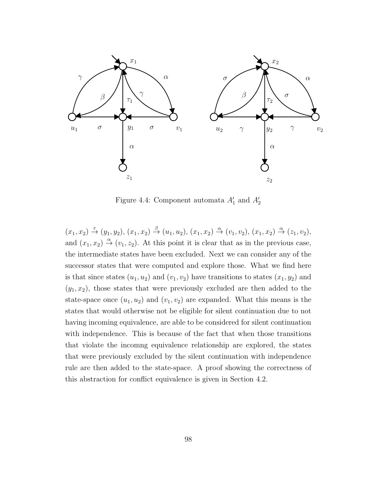

Figure 4.4: Component automata  $A'_1$  and  $A'_2$ 

 $(x_1, x_2) \stackrel{\tau}{\to} (y_1, y_2), (x_1, x_2) \stackrel{\beta}{\to} (u_1, u_2), (x_1, x_2) \stackrel{\alpha}{\to} (v_1, v_2), (x_1, x_2) \stackrel{\alpha}{\to} (z_1, v_2),$ and  $(x_1, x_2) \stackrel{\alpha}{\rightarrow} (v_1, z_2)$ . At this point it is clear that as in the previous case, the intermediate states have been excluded. Next we can consider any of the successor states that were computed and explore those. What we find here is that since states  $(u_1, u_2)$  and  $(v_1, v_2)$  have transitions to states  $(x_1, y_2)$  and  $(y_1, x_2)$ , those states that were previously excluded are then added to the state-space once  $(u_1, u_2)$  and  $(v_1, v_2)$  are expanded. What this means is the states that would otherwise not be eligible for silent continuation due to not having incoming equivalence, are able to be considered for silent continuation with independence. This is because of the fact that when those transitions that violate the incomng equivalence relationship are explored, the states that were previously excluded by the silent continuation with independence rule are then added to the state-space. A proof showing the correctness of this abstraction for conflict equivalence is given in Section 4.2.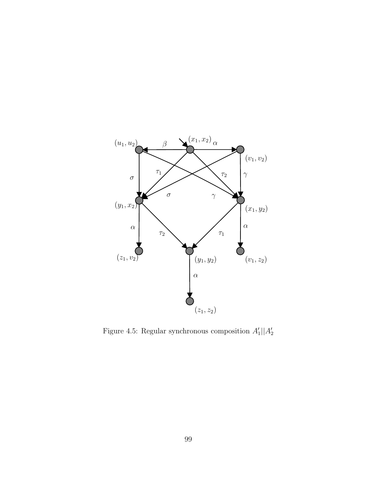

Figure 4.5: Regular synchronous composition  $A'_1||A'_2$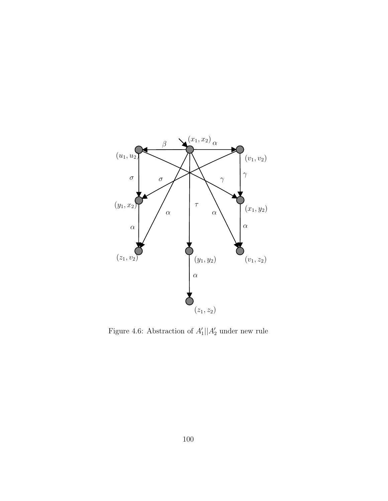

Figure 4.6: Abstraction of  $A'_1 || A'_2$  under new rule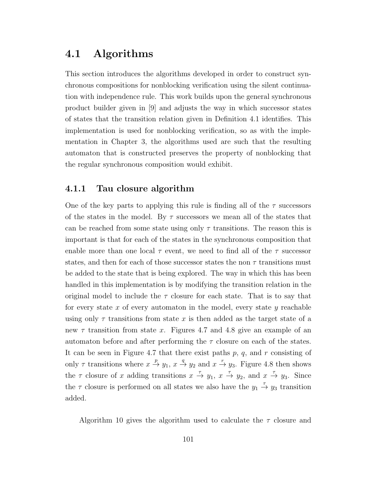## 4.1 Algorithms

This section introduces the algorithms developed in order to construct synchronous compositions for nonblocking verification using the silent continuation with independence rule. This work builds upon the general synchronous product builder given in [9] and adjusts the way in which successor states of states that the transition relation given in Definition 4.1 identifies. This implementation is used for nonblocking verification, so as with the implementation in Chapter 3, the algorithms used are such that the resulting automaton that is constructed preserves the property of nonblocking that the regular synchronous composition would exhibit.

#### 4.1.1 Tau closure algorithm

One of the key parts to applying this rule is finding all of the  $\tau$  successors of the states in the model. By  $\tau$  successors we mean all of the states that can be reached from some state using only  $\tau$  transitions. The reason this is important is that for each of the states in the synchronous composition that enable more than one local  $\tau$  event, we need to find all of the  $\tau$  successor states, and then for each of those successor states the non  $\tau$  transitions must be added to the state that is being explored. The way in which this has been handled in this implementation is by modifying the transition relation in the original model to include the  $\tau$  closure for each state. That is to say that for every state  $x$  of every automaton in the model, every state  $y$  reachable using only  $\tau$  transitions from state x is then added as the target state of a new  $\tau$  transition from state x. Figures 4.7 and 4.8 give an example of an automaton before and after performing the  $\tau$  closure on each of the states. It can be seen in Figure 4.7 that there exist paths  $p, q$ , and  $r$  consisting of only  $\tau$  transitions where  $x \stackrel{p}{\to} y_1$ ,  $x \stackrel{q}{\to} y_2$  and  $x \stackrel{r}{\to} y_3$ . Figure 4.8 then shows the  $\tau$  closure of x adding transitions  $x \stackrel{\tau}{\to} y_1$ ,  $x \stackrel{\tau}{\to} y_2$ , and  $x \stackrel{\tau}{\to} y_3$ . Since the  $\tau$  closure is performed on all states we also have the  $y_1 \stackrel{\tau}{\rightarrow} y_3$  transition added.

Algorithm 10 gives the algorithm used to calculate the  $\tau$  closure and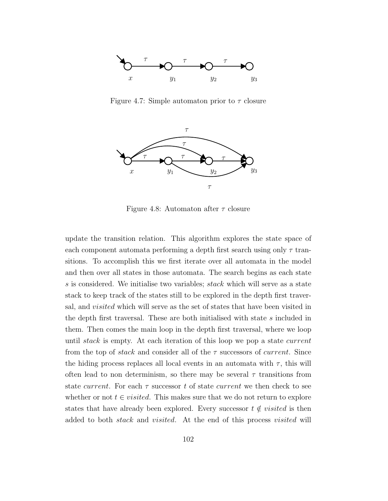

Figure 4.7: Simple automaton prior to  $\tau$  closure



Figure 4.8: Automaton after  $\tau$  closure

update the transition relation. This algorithm explores the state space of each component automata performing a depth first search using only  $\tau$  transitions. To accomplish this we first iterate over all automata in the model and then over all states in those automata. The search begins as each state s is considered. We initialise two variables; stack which will serve as a state stack to keep track of the states still to be explored in the depth first traversal, and visited which will serve as the set of states that have been visited in the depth first traversal. These are both initialised with state s included in them. Then comes the main loop in the depth first traversal, where we loop until *stack* is empty. At each iteration of this loop we pop a state *current* from the top of stack and consider all of the  $\tau$  successors of *current*. Since the hiding process replaces all local events in an automata with  $\tau$ , this will often lead to non determinism, so there may be several  $\tau$  transitions from state *current*. For each  $\tau$  successor t of state *current* we then check to see whether or not  $t \in visited$ . This makes sure that we do not return to explore states that have already been explored. Every successor  $t \notin visited$  is then added to both stack and visited. At the end of this process visited will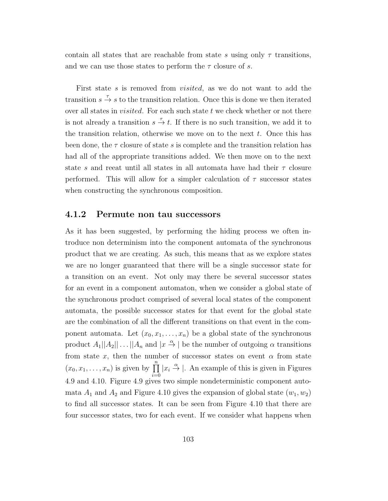contain all states that are reachable from state s using only  $\tau$  transitions, and we can use those states to perform the  $\tau$  closure of s.

First state s is removed from *visited*, as we do not want to add the transition  $s \stackrel{\tau}{\rightarrow} s$  to the transition relation. Once this is done we then iterated over all states in *visited*. For each such state  $t$  we check whether or not there is not already a transition  $s \stackrel{\tau}{\rightarrow} t$ . If there is no such transition, we add it to the transition relation, otherwise we move on to the next  $t$ . Once this has been done, the  $\tau$  closure of state s is complete and the transition relation has had all of the appropriate transitions added. We then move on to the next state s and reeat until all states in all automata have had their  $\tau$  closure performed. This will allow for a simpler calculation of  $\tau$  successor states when constructing the synchronous composition.

#### 4.1.2 Permute non tau successors

As it has been suggested, by performing the hiding process we often introduce non determinism into the component automata of the synchronous product that we are creating. As such, this means that as we explore states we are no longer guaranteed that there will be a single successor state for a transition on an event. Not only may there be several successor states for an event in a component automaton, when we consider a global state of the synchronous product comprised of several local states of the component automata, the possible successor states for that event for the global state are the combination of all the different transitions on that event in the component automata. Let  $(x_0, x_1, \ldots, x_n)$  be a global state of the synchronous product  $A_1||A_2|| \ldots ||A_n$  and  $|x \stackrel{\alpha}{\rightarrow} |$  be the number of outgoing  $\alpha$  transitions from state x, then the number of successor states on event  $\alpha$  from state  $(x_0, x_1, \ldots, x_n)$  is given by  $\prod^n$  $i=0$  $|x_i \stackrel{\alpha}{\rightarrow} |$ . An example of this is given in Figures 4.9 and 4.10. Figure 4.9 gives two simple nondeterministic component automata  $A_1$  and  $A_2$  and Figure 4.10 gives the expansion of global state  $(w_1, w_2)$ to find all successor states. It can be seen from Figure 4.10 that there are four successor states, two for each event. If we consider what happens when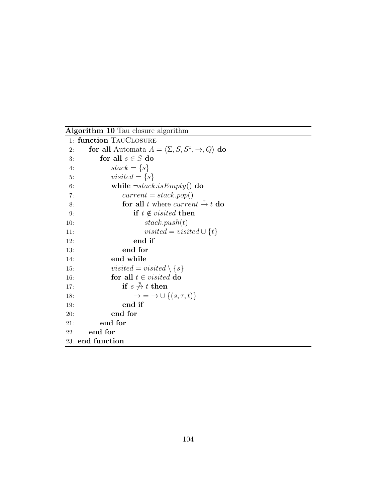Algorithm 10 Tau closure algorithm

|     | 1: function TAUCLOSURE                                                         |
|-----|--------------------------------------------------------------------------------|
| 2:  | for all Automata $A = \langle \Sigma, S, S^{\circ}, \rightarrow, Q \rangle$ do |
| 3:  | for all $s \in S$ do                                                           |
| 4:  | $stack = \{s\}$                                                                |
| 5:  | visited $=\{s\}$                                                               |
| 6:  | while $\neg stack.isEmpty()$ do                                                |
| 7:  | $current = stack.pop()$                                                        |
| 8:  | for all t where current $\stackrel{\tau}{\rightarrow} t$ do                    |
| 9:  | if $t \notin visited$ then                                                     |
| 10: | stack.push(t)                                                                  |
| 11: | visited = visited $\cup \{t\}$                                                 |
| 12: | end if                                                                         |
| 13: | end for                                                                        |
| 14: | end while                                                                      |
| 15: | visited = visited $\setminus \{s\}$                                            |
| 16: | for all $t \in visited$ do                                                     |
| 17: | if $s \nightharpoonup t$ then                                                  |
| 18: | $\rightarrow$ = $\rightarrow \cup$ { $(s, \tau, t)$ }                          |
| 19: | end if                                                                         |
| 20: | end for                                                                        |
| 21: | end for                                                                        |
| 22: | end for                                                                        |
|     | 23: end function                                                               |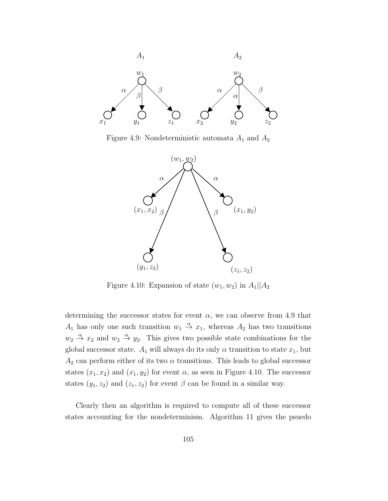

Figure 4.9: Nondeterministic automata  $A_1$  and  $A_2$ 



Figure 4.10: Expansion of state  $(w_1, w_2)$  in  $A_1||A_2$ 

determining the successor states for event  $\alpha$ , we can observe from 4.9 that  $A_1$  has only one such transition  $w_1 \stackrel{\alpha}{\rightarrow} x_1$ , whereas  $A_2$  has two transitions  $w_2 \stackrel{\alpha}{\rightarrow} x_2$  and  $w_2 \stackrel{\alpha}{\rightarrow} y_2$ . This gives two possible state combinations for the global successor state.  $A_1$  will always do its only  $\alpha$  transition to state  $x_1$ , but  $A_2$  can perform either of its two  $\alpha$  transitions. This leads to global successor states  $(x_1, x_2)$  and  $(x_1, y_2)$  for event  $\alpha$ , as seen in Figure 4.10. The successor states  $(y_1, z_2)$  and  $(z_1, z_2)$  for event  $\beta$  can be found in a similar way.

Clearly then an algorithm is required to compute all of these successor states accounting for the nondeterminism. Algorithm 11 gives the psuedo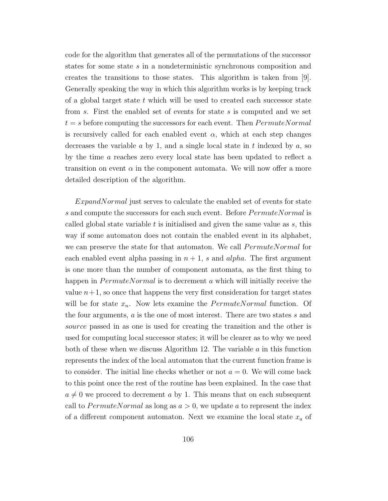code for the algorithm that generates all of the permutations of the successor states for some state s in a nondeterministic synchronous composition and creates the transitions to those states. This algorithm is taken from [9]. Generally speaking the way in which this algorithm works is by keeping track of a global target state  $t$  which will be used to created each successor state from s. First the enabled set of events for state s is computed and we set  $t = s$  before computing the successors for each event. Then  $PermuteNormal$ is recursively called for each enabled event  $\alpha$ , which at each step changes decreases the variable  $a$  by 1, and a single local state in  $t$  indexed by  $a$ , so by the time a reaches zero every local state has been updated to reflect a transition on event  $\alpha$  in the component automata. We will now offer a more detailed description of the algorithm.

ExpandNormal just serves to calculate the enabled set of events for state s and compute the successors for each such event. Before  $PermuteNormal$  is called global state variable  $t$  is initialised and given the same value as  $s$ , this way if some automaton does not contain the enabled event in its alphabet, we can preserve the state for that automaton. We call  $PermuteNormal$  for each enabled event alpha passing in  $n + 1$ , s and alpha. The first argument is one more than the number of component automata, as the first thing to happen in  $PermuteNormal$  is to decrement a which will initially receive the value  $n+1$ , so once that happens the very first consideration for target states will be for state  $x_n$ . Now lets examine the  $PermuteNormal$  function. Of the four arguments, a is the one of most interest. There are two states s and source passed in as one is used for creating the transition and the other is used for computing local successor states; it will be clearer as to why we need both of these when we discuss Algorithm 12. The variable  $a$  in this function represents the index of the local automaton that the current function frame is to consider. The initial line checks whether or not  $a = 0$ . We will come back to this point once the rest of the routine has been explained. In the case that  $a \neq 0$  we proceed to decrement a by 1. This means that on each subsequent call to *PermuteNormal* as long as  $a > 0$ , we update a to represent the index of a different component automaton. Next we examine the local state  $x_a$  of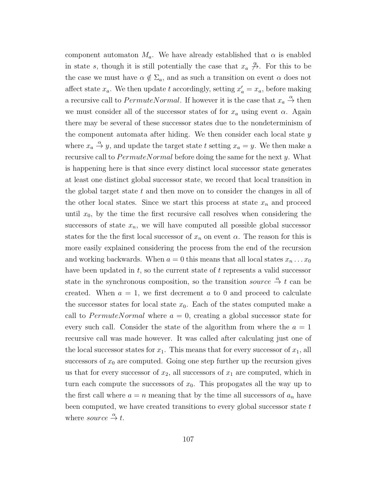component automaton  $M_a$ . We have already established that  $\alpha$  is enabled in state s, though it is still potentially the case that  $x_a \nrightarrow{\alpha}$ . For this to be the case we must have  $\alpha \notin \Sigma_a$ , and as such a transition on event  $\alpha$  does not affect state  $x_a$ . We then update t accordingly, setting  $x'_a = x_a$ , before making a recursive call to  $PermuteNormal$ . If however it is the case that  $x_a \stackrel{\alpha}{\rightarrow}$  then we must consider all of the successor states of for  $x_a$  using event  $\alpha$ . Again there may be several of these successor states due to the nondeterminism of the component automata after hiding. We then consider each local state  $y$ where  $x_a \stackrel{\alpha}{\rightarrow} y$ , and update the target state t setting  $x_a = y$ . We then make a recursive call to  $PermuteNormal$  before doing the same for the next y. What is happening here is that since every distinct local successor state generates at least one distinct global successor state, we record that local transition in the global target state  $t$  and then move on to consider the changes in all of the other local states. Since we start this process at state  $x_n$  and proceed until  $x_0$ , by the time the first recursive call resolves when considering the successors of state  $x_n$ , we will have computed all possible global successor states for the the first local successor of  $x_n$  on event  $\alpha$ . The reason for this is more easily explained considering the process from the end of the recursion and working backwards. When  $a = 0$  this means that all local states  $x_n \dots x_0$ have been updated in  $t$ , so the current state of  $t$  represents a valid successor state in the synchronous composition, so the transition *source*  $\stackrel{\alpha}{\rightarrow} t$  can be created. When  $a = 1$ , we first decrement a to 0 and proceed to calculate the successor states for local state  $x_0$ . Each of the states computed make a call to PermuteNormal where  $a = 0$ , creating a global successor state for every such call. Consider the state of the algorithm from where the  $a = 1$ recursive call was made however. It was called after calculating just one of the local successor states for  $x_1$ . This means that for every successor of  $x_1$ , all successors of  $x_0$  are computed. Going one step further up the recursion gives us that for every successor of  $x_2$ , all successors of  $x_1$  are computed, which in turn each compute the successors of  $x_0$ . This propogates all the way up to the first call where  $a = n$  meaning that by the time all successors of  $a_n$  have been computed, we have created transitions to every global successor state  $t$ where source  $\stackrel{\alpha}{\rightarrow} t$ .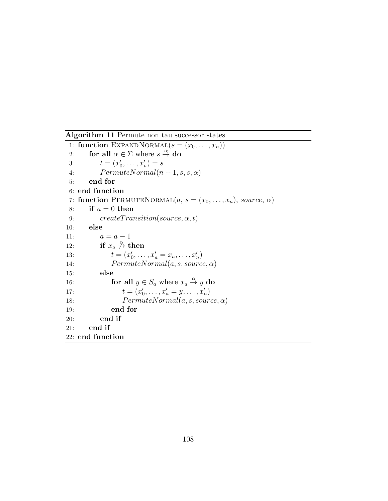Algorithm 11 Permute non tau successor states 1: function EXPANDNORMAL $(s = (x_0, \ldots, x_n))$ 2: for all  $\alpha \in \Sigma$  where  $s \stackrel{\alpha}{\rightarrow}$  do 3:  $t = (x'_0, \ldots, x'_n) = s$ 4:  $PermuteNormal(n + 1, s, s, \alpha)$ 5: end for 6: end function 7: function PERMUTENORMAL $(a, s = (x_0, \ldots, x_n), source, \alpha)$ 8: if  $a = 0$  then 9:  $create Transition(source, \alpha, t)$ 10: else 11:  $a = a - 1$ 12: if  $x_a \overset{\alpha}{\rightarrow}$  then 13:  $t = (x'_0, \ldots, x'_a = x_a, \ldots, x'_n)$ 14:  $PermuteNormal(a, s, source, \alpha)$ 15: else 16: **for all**  $y \in S_a$  where  $x_a \stackrel{\alpha}{\to} y$  do 17:  $t = (x'_0, \ldots, x'_a = y, \ldots, x'_n)$ 18:  $PermuteNormal(a, s, source, \alpha)$ 19: end for 20: end if 21: end if 22: end function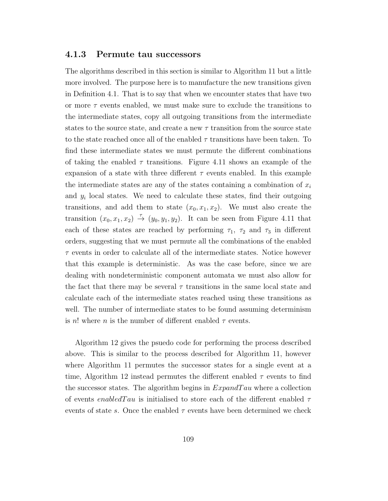#### 4.1.3 Permute tau successors

The algorithms described in this section is similar to Algorithm 11 but a little more involved. The purpose here is to manufacture the new transitions given in Definition 4.1. That is to say that when we encounter states that have two or more  $\tau$  events enabled, we must make sure to exclude the transitions to the intermediate states, copy all outgoing transitions from the intermediate states to the source state, and create a new  $\tau$  transition from the source state to the state reached once all of the enabled  $\tau$  transitions have been taken. To find these intermediate states we must permute the different combinations of taking the enabled  $\tau$  transitions. Figure 4.11 shows an example of the expansion of a state with three different  $\tau$  events enabled. In this example the intermediate states are any of the states containing a combination of  $x_i$ and  $y_i$  local states. We need to calculate these states, find their outgoing transitions, and add them to state  $(x_0, x_1, x_2)$ . We must also create the transition  $(x_0, x_1, x_2) \stackrel{\tau}{\rightarrow} (y_0, y_1, y_2)$ . It can be seen from Figure 4.11 that each of these states are reached by performing  $\tau_1$ ,  $\tau_2$  and  $\tau_3$  in different orders, suggesting that we must permute all the combinations of the enabled  $\tau$  events in order to calculate all of the intermediate states. Notice however that this example is deterministic. As was the case before, since we are dealing with nondeterministic component automata we must also allow for the fact that there may be several  $\tau$  transitions in the same local state and calculate each of the intermediate states reached using these transitions as well. The number of intermediate states to be found assuming determinism is n! where n is the number of different enabled  $\tau$  events.

Algorithm 12 gives the psuedo code for performing the process described above. This is similar to the process described for Algorithm 11, however where Algorithm 11 permutes the successor states for a single event at a time, Algorithm 12 instead permutes the different enabled  $\tau$  events to find the successor states. The algorithm begins in  $ExpandTau$  where a collection of events enabled Tau is initialised to store each of the different enabled  $\tau$ events of state s. Once the enabled  $\tau$  events have been determined we check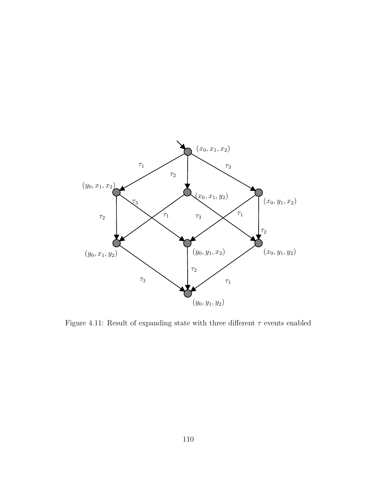

Figure 4.11: Result of expanding state with three different  $\tau$  events enabled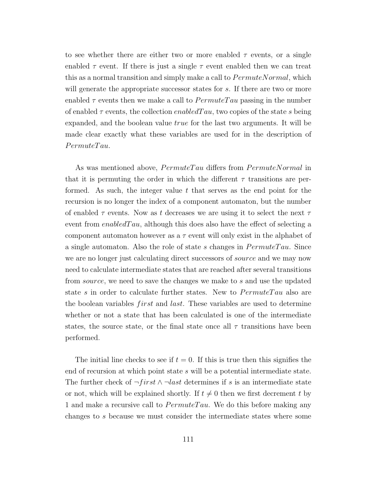to see whether there are either two or more enabled  $\tau$  events, or a single enabled  $\tau$  event. If there is just a single  $\tau$  event enabled then we can treat this as a normal transition and simply make a call to  $PermuteNormal$ , which will generate the appropriate successor states for s. If there are two or more enabled  $\tau$  events then we make a call to  $Permute Tau$  passing in the number of enabled  $\tau$  events, the collection enabled  $Tau$ , two copies of the state s being expanded, and the boolean value true for the last two arguments. It will be made clear exactly what these variables are used for in the description of  $Permute Tau.$ 

As was mentioned above,  $Permute Tau$  differs from  $PermuteNormal$  in that it is permuting the order in which the different  $\tau$  transitions are performed. As such, the integer value  $t$  that serves as the end point for the recursion is no longer the index of a component automaton, but the number of enabled  $\tau$  events. Now as t decreases we are using it to select the next  $\tau$ event from enabled  $Tau$ , although this does also have the effect of selecting a component automaton however as a  $\tau$  event will only exist in the alphabet of a single automaton. Also the role of state s changes in  $Permute Tau$ . Since we are no longer just calculating direct successors of *source* and we may now need to calculate intermediate states that are reached after several transitions from source, we need to save the changes we make to s and use the updated state s in order to calculate further states. New to  $Permute Tau$  also are the boolean variables *first* and *last*. These variables are used to determine whether or not a state that has been calculated is one of the intermediate states, the source state, or the final state once all  $\tau$  transitions have been performed.

The initial line checks to see if  $t = 0$ . If this is true then this signifies the end of recursion at which point state s will be a potential intermediate state. The further check of  $\neg first \wedge \neg last$  determines if s is an intermediate state or not, which will be explained shortly. If  $t \neq 0$  then we first decrement t by 1 and make a recursive call to  $Permute Tau$ . We do this before making any changes to s because we must consider the intermediate states where some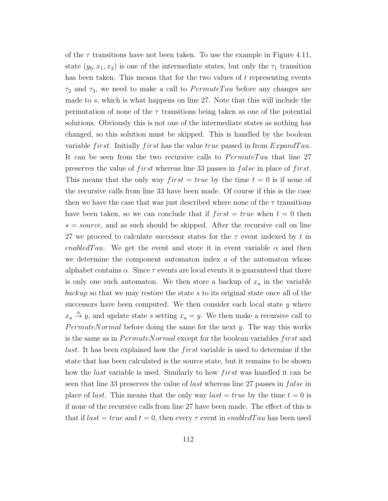of the  $\tau$  transitions have not been taken. To use the example in Figure 4.11, state  $(y_0, x_1, x_2)$  is one of the intermediate states, but only the  $\tau_1$  transition has been taken. This means that for the two values of t representing events  $\tau_2$  and  $\tau_3$ , we need to make a call to  $PermuteTau$  before any changes are made to s, which is what happens on line 27. Note that this will include the permutation of none of the  $\tau$  transitions being taken as one of the potential solutions. Obviously this is not one of the intermediate states as nothing has changed, so this solution must be skipped. This is handled by the boolean variable *first*. Initially *first* has the value *true* passed in from  $ExpandTau$ . It can be seen from the two recursive calls to  $PermuteTau$  that line 27 preserves the value of *f irst* whereas line 33 passes in *false* in place of *f irst*. This means that the only way  $first = true$  by the time  $t = 0$  is if none of the recursive calls from line 33 have been made. Of course if this is the case then we have the case that was just described where none of the  $\tau$  transitions have been taken, so we can conclude that if  $first = true$  when  $t = 0$  then  $s = source$ , and as such should be skipped. After the recursive call on line 27 we proceed to calculate successor states for the  $\tau$  event indexed by t in enabled Tau. We get the event and store it in event variable  $\alpha$  and then we determine the component automaton index a of the automaton whose alphabet contains  $\alpha$ . Since  $\tau$  events are local events it is guaranteed that there is only one such automaton. We then store a backup of  $x_a$  in the variable backup so that we may restore the state s to its original state once all of the successors have been computed. We then consider each local state  $y$  where  $x_a \stackrel{\alpha}{\rightarrow} y$ , and update state s setting  $x_a = y$ . We then make a recursive call to  $PermuteNormal$  before doing the same for the next y. The way this works is the same as in *PermuteNormal* except for the boolean variables *first* and *last*. It has been explained how the *first* variable is used to determine if the state that has been calculated is the source state, but it remains to be shown how the *last* variable is used. Similarly to how *first* was handled it can be seen that line 33 preserves the value of *last* whereas line 27 passes in *false* in place of *last*. This means that the only way *last*  $= true$  by the time  $t = 0$  is if none of the recursive calls from line 27 have been made. The effect of this is that if  $last = true$  and  $t = 0$ , then every  $\tau$  event in enabled Tau has been used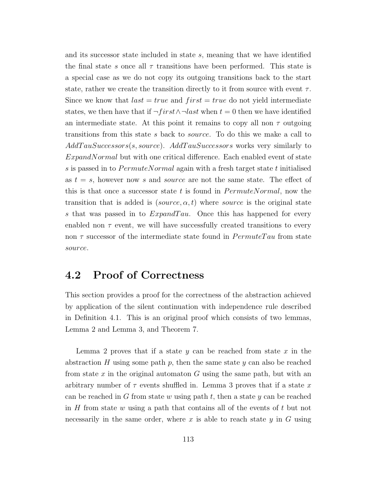and its successor state included in state s, meaning that we have identified the final state s once all  $\tau$  transitions have been performed. This state is a special case as we do not copy its outgoing transitions back to the start state, rather we create the transition directly to it from source with event  $\tau$ . Since we know that  $last = true$  and  $first = true$  do not yield intermediate states, we then have that if  $\neg first \wedge \neg last$  when  $t = 0$  then we have identified an intermediate state. At this point it remains to copy all non  $\tau$  outgoing transitions from this state s back to source. To do this we make a call to  $Add TauSuccessors(s, source)$ .  $Add TauSuccessors$  works very similarly to ExpandNormal but with one critical difference. Each enabled event of state s is passed in to  $PermuteNormal$  again with a fresh target state t initialised as  $t = s$ , however now s and source are not the same state. The effect of this is that once a successor state t is found in  $PermuteNormal$ , now the transition that is added is  $(source, \alpha, t)$  where *source* is the original state s that was passed in to  $ExpandTau$ . Once this has happened for every enabled non  $\tau$  event, we will have successfully created transitions to every non  $\tau$  successor of the intermediate state found in  $PermuteTau$  from state source.

### 4.2 Proof of Correctness

This section provides a proof for the correctness of the abstraction achieved by application of the silent continuation with independence rule described in Definition 4.1. This is an original proof which consists of two lemmas, Lemma 2 and Lemma 3, and Theorem 7.

Lemma 2 proves that if a state  $y$  can be reached from state  $x$  in the abstraction H using some path p, then the same state y can also be reached from state x in the original automaton G using the same path, but with an arbitrary number of  $\tau$  events shuffled in. Lemma 3 proves that if a state x can be reached in G from state w using path  $t$ , then a state y can be reached in  $H$  from state  $w$  using a path that contains all of the events of  $t$  but not necessarily in the same order, where x is able to reach state  $y$  in  $G$  using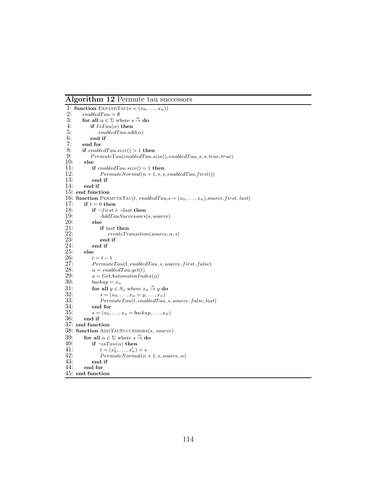Algorithm 12 Permute tau successors

```
1: function EXPANDTAU(s = (x_0, \ldots, x_n))<br>
2: enabledTau = \emptyset<br>
3: for all \alpha \in \Sigma where s \stackrel{\alpha}{\rightarrow} do
           enabled Tau = \emptyset3: for all \alpha \in \Sigma where s \stackrel{\alpha}{\rightarrow} do
 4: if IsTau(\alpha) then<br>5: enabledTau.ad
 5: enable dTau.add(\alpha)<br>6: end if
 6: end if 7: end for
 7: end for 8: if enable
 8: if enable dTau.size() > 1 then<br>9: Permute Tau(enable dTau.s9: PermuteTau(enabled Tau.size(), enabled Tau, s, s, true, true)<br>10: elseelse
11: if enabledTau.size() = 1 then<br>12: PermuteNormal(n + 1, s, s)12: PermuteNormal(n + 1, s, s, enabled Tau.first())<br>13: end if
13: end if<br>14: end if
            end if
15: end function
16: function PERMUTETAU(t, enabledTau,s = (x_0, \ldots, x_n), source, first, last)<br>17: if t = 0 then
            if t = 0 then
18: if \neg first \wedge \neg last then<br>19: AddTauSuccessors
19: \overline{A}ddT \overline{a}uS \overline{u}c \overline{e} s \overline{e} s \overline{e} s<br>20: else
20: else<br>21: i:21: if last then<br>
22: \qquad \qquad \text{createTr}\n22: create Transition(source, \alpha, s)<br>23: end if
23: end if<br>24: end if
24: end if 25: else
\begin{array}{cc} 25: & \text{else} \\ 26: & t \end{array}26: t = t - 1<br>27: Permute27: PermuteTau(t, enabledTau, s, source, first, false)<br>
28: \alpha = enabledTau.get(t)28: \alpha = enabledTau.get(t)<br>29: a = GetAutomatonInc29: a = GetAutomatonIndex(\alpha)<br>30: backup = x_a30: \begin{array}{ll}\n30: & \text{backup} = x_a \\
31: & \text{for all } y \in S\n\end{array}31: for all y \in S_a where x_a \stackrel{\alpha}{\rightarrow} y do
32: s = (x_0, \ldots, x_a = y, \ldots, x_n)<br>33: PermuteTau(t, enabledTau)33: PermuteTau(t, enabledTau, s, source, false, last)<br>34: end for34: end for<br>35: s = (x_0,35: s = (x_0, \ldots, x_a = \text{backup}, \ldots, x_n)<br>36: end if
            36: end if
37: end function
38: function ADDTAUSUCCESSORS(s, source)
39: for all \alpha \in \Sigma where s \stackrel{\alpha}{\rightarrow} do
39: for all \alpha \in \Sigma where s = 40: if \neg isTau(\alpha) then t = (x_0, \ldots, x_n)41: t = (x'_0, \ldots, x'_n) = s42: PermuteNormal(n + 1, s, source, \alpha)<br>43: end if
43: end if 44: end for
            end for
45: end function
```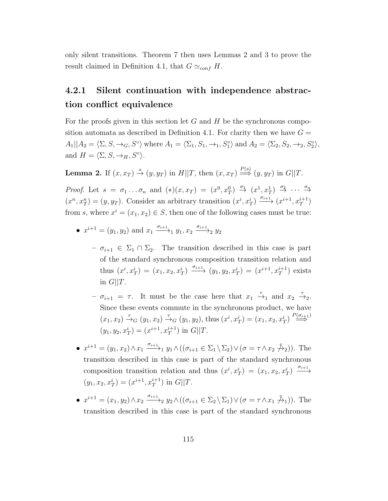only silent transitions. Theorem 7 then uses Lemmas 2 and 3 to prove the result claimed in Definition 4.1, that  $G \simeq_{conf} H$ .

## 4.2.1 Silent continuation with independence abstraction conflict equivalence

For the proofs given in this section let  $G$  and  $H$  be the synchronous composition automata as described in Definition 4.1. For clarity then we have  $G =$  $A_1||A_2 = \langle \Sigma, S, \rightarrow_G, S^\circ \rangle$  where  $A_1 = \langle \Sigma_1, S_1, \rightarrow_1, S^\circ_1 \rangle$  and  $A_2 = \langle \Sigma_2, S_2, \rightarrow_2, S^\circ_2 \rangle$ , and  $H = \langle \Sigma, S, \rightarrow_H, S^\circ \rangle$ .

**Lemma 2.** If  $(x, x_T) \stackrel{s}{\rightarrow} (y, y_T)$  in  $H||T$ , then  $(x, x_T) \stackrel{P(s)}{\Longrightarrow} (y, y_T)$  in  $G||T$ .

Proof. Let  $s = \sigma_1 \dots \sigma_n$  and  $(*) (x, x_T) = (x^0, x_T^0) \stackrel{\sigma_1}{\rightarrow} (x^1, x_T^1) \stackrel{\sigma_2}{\rightarrow} \cdots \stackrel{\sigma_n}{\rightarrow}$  $(x^n, x_T^n) = (y, y_T)$ . Consider an arbitrary transition  $(x^i, x_T^i) \xrightarrow{\sigma_{i+1}} (x^{i+1}, x_T^{i+1})$ from s, where  $x^i = (x_1, x_2) \in S$ , then one of the following cases must be true:

- $x^{i+1} = (y_1, y_2)$  and  $x_1 \xrightarrow{\sigma_{i+1}} y_1, x_2 \xrightarrow{\sigma_{i+1}} y_2$ 
	- $\sigma_{i+1} \in \Sigma_1 \cap \Sigma_2$ . The transition described in this case is part of the standard synchronous composition transition relation and thus  $(x^i, x_T^i) = (x_1, x_2, x_T^i) \xrightarrow{\sigma_{i+1}} (y_1, y_2, x_T^i) = (x^{i+1}, x_T^{i+1})$  exists in  $G||T$ .
	- $-\sigma_{i+1} = \tau$ . It must be the case here that  $x_1 \stackrel{\tau}{\to}_1$  and  $x_2 \stackrel{\tau}{\to}_2$ . Since these events commute in the synchronous product, we have  $(x_1, x_2) \stackrel{\tau}{\to}_G (y_1, x_2) \stackrel{\tau}{\to}_G (y_1, y_2)$ , thus  $(x^i, x^i_T) = (x_1, x_2, x^i_T) \stackrel{P(\sigma_{i+1})}{\Longrightarrow}$  $(y_1, y_2, x_T^i) = (x^{i+1}, x_T^{i+1}) \text{ in } G||T.$
- $x^{i+1} = (y_1, x_2) \wedge x_1 \xrightarrow{\sigma_{i+1}} y_1 \wedge ((\sigma_{i+1} \in \Sigma_1 \setminus \Sigma_2) \vee (\sigma = \tau \wedge x_2 \nrightarrow{\mathcal{F}}_2)).$  The transition described in this case is part of the standard synchronous composition transition relation and thus  $(x^i, x^i) = (x_1, x_2, x^i) \xrightarrow{\sigma_{i+1}}$  $(y_1, x_2, x_T^i) = (x^{i+1}, x_T^{i+1}) \text{ in } G||T.$
- $x^{i+1} = (x_1, y_2) \wedge x_2 \xrightarrow{\sigma_{i+1}} y_2 \wedge ((\sigma_{i+1} \in \Sigma_2 \setminus \Sigma_1) \vee (\sigma = \tau \wedge x_1 \nrightarrow{\tau} 1)).$  The transition described in this case is part of the standard synchronous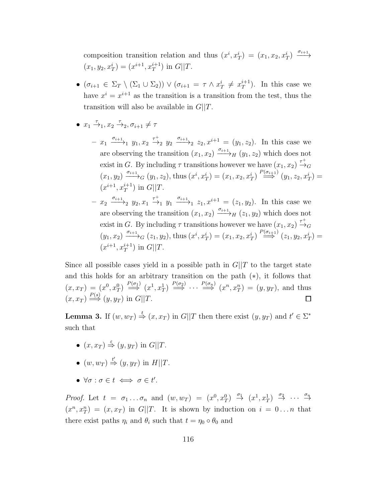composition transition relation and thus  $(x^i, x^i) = (x_1, x_2, x^i) \xrightarrow{\sigma_{i+1}}$  $(x_1, y_2, x_T^i) = (x^{i+1}, x_T^{i+1}) \text{ in } G||T.$ 

- $\bullet$  ( $\sigma_{i+1} \in \Sigma_T \setminus (\Sigma_1 \cup \Sigma_2)$ )  $\vee$  ( $\sigma_{i+1} = \tau \wedge x_T^i \neq x_T^{i+1}$  $\binom{n+1}{T}$ . In this case we have  $x^i = x^{i+1}$  as the transition is a transition from the test, thus the transition will also be available in  $G||T$ .
- $x_1 \stackrel{\tau}{\rightarrow}_1, x_2 \stackrel{\tau}{\rightarrow}_2, \sigma_{i+1} \neq \tau$ 
	- $x_1 \xrightarrow{\sigma_{i+1}} y_1, x_2 \xrightarrow{\tau^+} y_2 \xrightarrow{\sigma_{i+1}} z_2, x^{i+1} = (y_1, z_2).$  In this case we are observing the transition  $(x_1, x_2) \xrightarrow{\sigma_{i+1}} H (y_1, z_2)$  which does not exist in G. By including  $\tau$  transitions however we have  $(x_1, x_2) \stackrel{\tau^+}{\rightarrow}_G$  $(x_1, y_2) \xrightarrow{\sigma_{i+1}} G (y_1, z_2)$ , thus  $(x^i, x^i_T) = (x_1, x_2, x^i_T) \xrightarrow{P(\sigma_{i+1})} (y_1, z_2, x^i_T) =$  $(x^{i+1}, x_T^{i+1})$  in  $G||T$ .
	- $x_2 \xrightarrow{\sigma_{i+1}} y_2, x_1 \xrightarrow{\tau^+} y_1 \xrightarrow{\sigma_{i+1}} z_1, x^{i+1} = (z_1, y_2)$ . In this case we are observing the transition  $(x_1, x_2) \xrightarrow{\sigma_{i+1}} H (z_1, y_2)$  which does not exist in G. By including  $\tau$  transitions however we have  $(x_1, x_2) \stackrel{\tau^+}{\rightarrow}_G$  $(y_1, x_2) \xrightarrow{\sigma_{i+1}} G (z_1, y_2)$ , thus  $(x^i, x^i_T) = (x_1, x_2, x^i_T) \xrightarrow{P(\sigma_{i+1})} (z_1, y_2, x^i_T) =$  $(x^{i+1}, x_T^{i+1})$  in  $G||T$ .

Since all possible cases yield in a possible path in  $G||T$  to the target state and this holds for an arbitrary transition on the path (∗), it follows that  $(x, x_T) = (x^0, x_T^0) \stackrel{P(\sigma_1)}{\Longrightarrow} (x^1, x_T^1) \stackrel{P(\sigma_2)}{\Longrightarrow} \cdots \stackrel{P(\sigma_n)}{\Longrightarrow} (x^n, x_T^n) = (y, y_T)$ , and thus  $(x, x_T) \stackrel{P(s)}{\Longrightarrow} (y, y_T)$  in  $G||T$ .  $\Box$ 

**Lemma 3.** If  $(w, w_T) \stackrel{t}{\Rightarrow} (x, x_T)$  in  $G||T$  then there exist  $(y, y_T)$  and  $t' \in \Sigma^*$ such that

- $(x, x_T) \stackrel{\varepsilon}{\Rightarrow} (y, y_T)$  in  $G||T$ .
- $(w, w_T) \stackrel{t'}{\Rightarrow} (y, y_T)$  in  $H||T$ .
- $\forall \sigma : \sigma \in t \iff \sigma \in t'$ .

Proof. Let  $t = \sigma_1 \dots \sigma_n$  and  $(w, w_T) = (x^0, x_T^0) \stackrel{\sigma_1}{\rightarrow} (x^1, x_T^1) \stackrel{\sigma_2}{\rightarrow} \cdots \stackrel{\sigma_n}{\rightarrow}$  $(x^n, x_T^n) = (x, x_T)$  in G||T. It is shown by induction on  $i = 0...n$  that there exist paths  $\eta_i$  and  $\theta_i$  such that  $t = \eta_0 \circ \theta_0$  and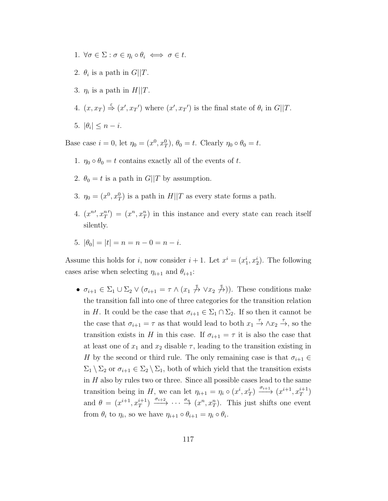- 1.  $\forall \sigma \in \Sigma : \sigma \in \eta_i \circ \theta_i \iff \sigma \in t$ .
- 2.  $\theta_i$  is a path in  $G||T$ .
- 3.  $\eta_i$  is a path in  $H||T$ .
- 4.  $(x, x_T) \stackrel{\epsilon}{\Rightarrow} (x', x_T')$  where  $(x', x_T')$  is the final state of  $\theta_i$  in  $G||T$ .
- 5.  $|\theta_i| \leq n i$ .

Base case  $i = 0$ , let  $\eta_0 = (x^0, x_T^0)$ ,  $\theta_0 = t$ . Clearly  $\eta_0 \circ \theta_0 = t$ .

- 1.  $\eta_0 \circ \theta_0 = t$  contains exactly all of the events of t.
- 2.  $\theta_0 = t$  is a path in  $G||T$  by assumption.
- 3.  $\eta_0 = (x^0, x_T^0)$  is a path in  $H||T$  as every state forms a path.
- 4.  $(x^{n'}, x_T^{n'}) = (x^n, x_T^n)$  in this instance and every state can reach itself silently.
- 5.  $|\theta_0| = |t| = n = n 0 = n i$ .

Assume this holds for *i*, now consider  $i + 1$ . Let  $x^i = (x_1^i, x_2^i)$ . The following cases arise when selecting  $\eta_{i+1}$  and  $\theta_{i+1}$ :

•  $\sigma_{i+1} \in \Sigma_1 \cup \Sigma_2 \vee (\sigma_{i+1} = \tau \wedge (x_1 \not\stackrel{\tau}{\rightarrow} \vee x_2 \not\stackrel{\tau}{\rightarrow})).$  These conditions make the transition fall into one of three categories for the transition relation in H. It could be the case that  $\sigma_{i+1} \in \Sigma_1 \cap \Sigma_2$ . If so then it cannot be the case that  $\sigma_{i+1} = \tau$  as that would lead to both  $x_1 \stackrel{\tau}{\to} \wedge x_2 \stackrel{\tau}{\to}$ , so the transition exists in H in this case. If  $\sigma_{i+1} = \tau$  it is also the case that at least one of  $x_1$  and  $x_2$  disable  $\tau$ , leading to the transition existing in H by the second or third rule. The only remaining case is that  $\sigma_{i+1} \in$  $\Sigma_1 \setminus \Sigma_2$  or  $\sigma_{i+1} \in \Sigma_2 \setminus \Sigma_1$ , both of which yield that the transition exists in  $H$  also by rules two or three. Since all possible cases lead to the same transition being in H, we can let  $\eta_{i+1} = \eta_i \circ (x^i, x_T^i) \xrightarrow{\sigma_{i+1}} (x^{i+1}, x_T^{i+1})$ and  $\theta = (x^{i+1}, x_T^{i+1}) \xrightarrow{\sigma_{i+2}} \cdots \xrightarrow{\sigma_n} (x^n, x_T^n)$ . This just shifts one event from  $\theta_i$  to  $\eta_i$ , so we have  $\eta_{i+1} \circ \theta_{i+1} = \eta_i \circ \theta_i$ .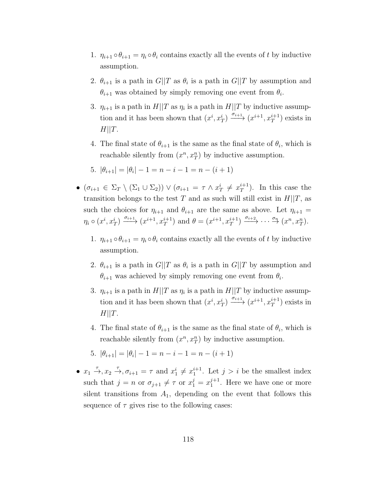- 1.  $\eta_{i+1} \circ \theta_{i+1} = \eta_i \circ \theta_i$  contains exactly all the events of t by inductive assumption.
- 2.  $\theta_{i+1}$  is a path in  $G||T$  as  $\theta_i$  is a path in  $G||T$  by assumption and  $\theta_{i+1}$  was obtained by simply removing one event from  $\theta_i$ .
- 3.  $\eta_{i+1}$  is a path in  $H||T$  as  $\eta_i$  is a path in  $H||T$  by inductive assumption and it has been shown that  $(x^i, x_T^i) \xrightarrow{\sigma_{i+1}} (x^{i+1}, x_T^{i+1})$  exists in  $H||T.$
- 4. The final state of  $\theta_{i+1}$  is the same as the final state of  $\theta_i$ , which is reachable silently from  $(x^n, x_T^n)$  by inductive assumption.

5. 
$$
|\theta_{i+1}| = |\theta_i| - 1 = n - i - 1 = n - (i + 1)
$$

- $\bullet$   $(\sigma_{i+1} \in \Sigma_T \setminus (\Sigma_1 \cup \Sigma_2)) \vee (\sigma_{i+1} = \tau \wedge x_T^i \neq x_T^{i+1})$  $t^{+1}_{T}$ ). In this case the transition belongs to the test T and as such will still exist in  $H||T$ , as such the choices for  $\eta_{i+1}$  and  $\theta_{i+1}$  are the same as above. Let  $\eta_{i+1} =$  $\eta_i \circ (x^i, x_T^i) \xrightarrow{\sigma_{i+1}} (x^{i+1}, x_T^{i+1})$  and  $\theta = (x^{i+1}, x_T^{i+1}) \xrightarrow{\sigma_{i+2}} \cdots \xrightarrow{\sigma_n} (x^n, x_T^n)$ .
	- 1.  $\eta_{i+1} \circ \theta_{i+1} = \eta_i \circ \theta_i$  contains exactly all the events of t by inductive assumption.
	- 2.  $\theta_{i+1}$  is a path in  $G||T$  as  $\theta_i$  is a path in  $G||T$  by assumption and  $\theta_{i+1}$  was achieved by simply removing one event from  $\theta_i$ .
	- 3.  $\eta_{i+1}$  is a path in  $H||T$  as  $\eta_i$  is a path in  $H||T$  by inductive assumption and it has been shown that  $(x^i, x_T^i) \xrightarrow{\sigma_{i+1}} (x^{i+1}, x_T^{i+1})$  exists in  $H||T.$
	- 4. The final state of  $\theta_{i+1}$  is the same as the final state of  $\theta_i$ , which is reachable silently from  $(x^n, x_T^n)$  by inductive assumption.
	- 5.  $|\theta_{i+1}| = |\theta_i| 1 = n i 1 = n (i + 1)$
- $x_1 \stackrel{\tau}{\rightarrow}$ ,  $x_2 \stackrel{\tau}{\rightarrow}$ ,  $\sigma_{i+1} = \tau$  and  $x_1^i \neq x_1^{i+1}$ . Let  $j > i$  be the smallest index such that  $j = n$  or  $\sigma_{j+1} \neq \tau$  or  $x_1^j = x_1^{j+1}$  $_1^{j+1}$ . Here we have one or more silent transitions from  $A_1$ , depending on the event that follows this sequence of  $\tau$  gives rise to the following cases: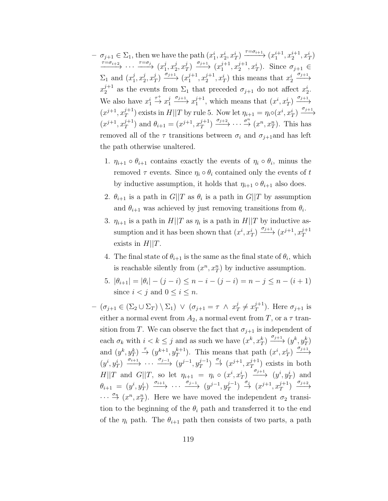- $\sigma_{j+1} \in \Sigma_1$ , then we have the path  $(x_1^i, x_2^i, x_T^i) \xrightarrow{\tau = \sigma_{i+1}} (x_1^{i+1}, x_2^{i+1}, x_T^i)$  $\xrightarrow{\tau=\sigma_{i+2}} \cdots \xrightarrow{\tau=\sigma_j} (x_1^j)$  $\frac{j}{1}, x_2^j$  $_{2}^{j},x_{2}^{j}$  $\frac{j}{T}$ )  $\xrightarrow{\sigma_{j+1}} (x_1^{j+1})$  $j+1, x_2^{j+1}$  $\mathcal{L}_2^{j+1}, \mathcal{L}_T^i$ ). Since  $\sigma_{j+1} \in$  $\Sigma_1$  and  $(x_1^j)$  $\frac{j}{1}, x_2^j$  $\frac{j}{2}, x_1^j$  $\frac{j}{T}$ )  $\xrightarrow{\sigma_{j+1}}$   $\left(x_1^{j+1}\right)$  $j+1, x_2^{j+1}$  $x_2^{j+1}, x_T^i$ ) this means that  $x_2^i \xrightarrow{\sigma_{j+1}}$  $x_2^{j+1}$  as the events from  $\Sigma_1$  that preceded  $\sigma_{j+1}$  do not affect  $x_2^i$ . We also have  $x_1^i$  $\stackrel{\tau^+}{\rightarrow} x_1^j$  $j \xrightarrow{\sigma_{j+1}} x_1^{j+1}$  $j+1$ , which means that  $(x^i, x_T^i) \xrightarrow{\sigma_{j+1}}$  $(x^{j+1}, x_T^{j+1})$  $T^{j+1}$ ) exists in  $H||T$  by rule 5. Now let  $\eta_{i+1} = \eta_i o(x^i, x^i) \xrightarrow{\sigma_{j+1}}$  $(x^{j+1}, x_T^{j+1})$  $\left( \frac{j+1}{T} \right)$  and  $\theta_{i+1} = (x^{j+1}, x_T^{j+1})$  $j+1$   $\longrightarrow$   $\longrightarrow$   $\cdots$   $\longrightarrow$   $\longrightarrow$   $(x^n, x_T^n)$ . This has removed all of the  $\tau$  transitions between  $\sigma_i$  and  $\sigma_{i+1}$ and has left the path otherwise unaltered.
	- 1.  $\eta_{i+1} \circ \theta_{i+1}$  contains exactly the events of  $\eta_i \circ \theta_i$ , minus the removed  $\tau$  events. Since  $\eta_i \circ \theta_i$  contained only the events of t by inductive assumption, it holds that  $\eta_{i+1} \circ \theta_{i+1}$  also does.
	- 2.  $\theta_{i+1}$  is a path in  $G||T$  as  $\theta_i$  is a path in  $G||T$  by assumption and  $\theta_{i+1}$  was achieved by just removing transitions from  $\theta_i$ .
	- 3.  $\eta_{i+1}$  is a path in  $H||T$  as  $\eta_i$  is a path in  $H||T$  by inductive assumption and it has been shown that  $(x^i, x_T^i) \xrightarrow{\sigma_{j+1}} (x^{j+1}, x_T^{j+1})$ T exists in  $H||T$ .
	- 4. The final state of  $\theta_{i+1}$  is the same as the final state of  $\theta_i$ , which is reachable silently from  $(x^n, x_T^n)$  by inductive assumption.
	- 5.  $|\theta_{i+1}| = |\theta_i| (j i) \leq n i (j i) = n j \leq n (i + 1)$ since  $i < j$  and  $0 < i < n$ .
- $(\sigma_{j+1} \in (\Sigma_2 \cup \Sigma_T) \setminus \Sigma_1) \vee (\sigma_{j+1} = \tau \wedge x_2^j)$  $x_T^j \neq x_T^{j+1}$  $T^{j+1}$ ). Here  $\sigma_{j+1}$  is either a normal event from  $A_2$ , a normal event from T, or a  $\tau$  transition from T. We can observe the fact that  $\sigma_{i+1}$  is independent of each  $\sigma_k$  with  $i < k \leq j$  and as such we have  $(x^k, x_T^k) \xrightarrow{\sigma_{j+1}} (y^k, y_T^k)$ and  $(y^k, y_T^k) \stackrel{\tau}{\rightarrow} (y^{k+1}, y_T^{k+1})$ . This means that path  $(x^i, x_T^i) \stackrel{\sigma_{j+1}}{\rightarrow}$  $(y^i, y_T^i) \xrightarrow{\sigma_{i+1}} \cdots \xrightarrow{\sigma_{j-1}} (y^{j-1}, y_T^{j-1})$  $j^{-1}$ )  $\xrightarrow{\sigma_j}$   $(x^{j+1}, x_T^{j+1})$  $\binom{J+1}{T}$  exists in both  $H||T$  and  $G||T$ , so let  $\eta_{i+1} = \eta_i \circ (x^i, x^i_T) \xrightarrow{\sigma_{j+1}} (y^i, y^i_T)$  and  $\theta_{i+1} = (y^i, y_T^i) \xrightarrow{\sigma_{i+1}} \cdots \xrightarrow{\sigma_{j-1}} (y^{j-1}, y_T^{j-1})$  $j^{-1}$   $\rightarrow$   $\alpha^{j+1}, x_T^{j+1}$  $j+1$ <sub>T</sub><sup> $\sigma_{j+2}$ </sup>  $\cdots \stackrel{\sigma_n}{\rightarrow} (x^n, x_T^n)$ . Here we have moved the independent  $\sigma_2$  transition to the beginning of the  $\theta_i$  path and transferred it to the end of the  $\eta_i$  path. The  $\theta_{i+1}$  path then consists of two parts, a path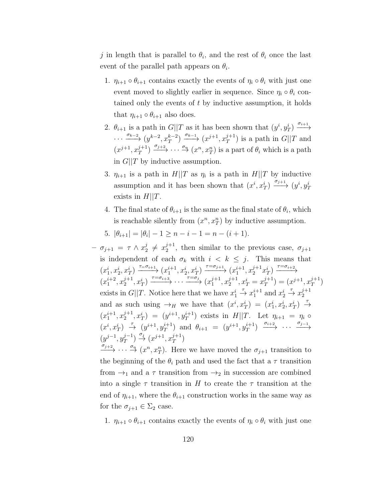j in length that is parallel to  $\theta_i$ , and the rest of  $\theta_i$  once the last event of the parallel path appears on  $\theta_i$ .

- 1.  $\eta_{i+1} \circ \theta_{i+1}$  contains exactly the events of  $\eta_i \circ \theta_i$  with just one event moved to slightly earlier in sequence. Since  $\eta_i \circ \theta_i$  contained only the events of  $t$  by inductive assumption, it holds that  $\eta_{i+1} \circ \theta_{i+1}$  also does.
- 2.  $\theta_{i+1}$  is a path in  $G||T$  as it has been shown that  $(y^i, y^i_T) \xrightarrow{\sigma_{i+1}}$  $\cdots \xrightarrow{\sigma_{k-2}} (y^{k-2}, x_T^{k-2}) \xrightarrow{\sigma_{k-1}} (x^{j+1}, x_T^{j+1})$  $T^{J+1}_{T}$ ) is a path in  $G||T$  and  $(x^{j+1}, x_T^{j+1})$  $\frac{j+1}{T}$   $\longrightarrow$   $\cdots$   $\stackrel{\sigma_n}{\longrightarrow}$   $(x^n, x_T^n)$  is a part of  $\theta_i$  which is a path in  $G||T$  by inductive assumption.
- 3.  $\eta_{i+1}$  is a path in  $H||T$  as  $\eta_i$  is a path in  $H||T$  by inductive assumption and it has been shown that  $(x^i, x_T^i) \xrightarrow{\sigma_{j+1}} (y^i, y_T^i)$ exists in  $H||T$ .
- 4. The final state of  $\theta_{i+1}$  is the same as the final state of  $\theta_i$ , which is reachable silently from  $(x^n, x_T^n)$  by inductive assumption.
- 5.  $|\theta_{i+1}| = |\theta_i| 1 \ge n i 1 = n (i + 1).$
- $\sigma_{j+1} = \tau \wedge x_2^j$  $x_2^j \neq x_2^{j+1}$  $2^{j+1}$ , then similar to the previous case,  $\sigma_{j+1}$ is independent of each  $\sigma_k$  with  $i \leq k \leq j$ . This means that  $(x_1^i, x_2^i, x_T^i) \xrightarrow{\tau = \sigma_{i+1}} (x_1^{i+1}, x_2^i, x_T^i) \xrightarrow{\tau = \sigma_{j+1}} (x_1^{i+1}, x_2^{j+1} x_T^i) \xrightarrow{\tau = \sigma_{i+2}}$  $(x_1^{i+2}, x_2^{j+1})$  $\overline{x}_1^{j+1}, x_T^i$   $\longrightarrow$   $\overline{f} = \sigma_{i+3}$   $\cdots$   $\overline{f} = \sigma_j$   $\overline{x}_1^{j+1}$  $j+1, x_2^{j+1}$  $x_2^{j+1}, x_T^i = x_T^{j+1}$  $j+1$ <sub>T</sub> =  $(x^{j+1}, x_T^{j+1})$  $\binom{J+1}{T}$ exists in  $G||T$ . Notice here that we have  $x_1^i \stackrel{\tau}{\to} x_1^{i+1}$  and  $x_2^i \stackrel{\tau}{\to} x_2^{j+1}$ 2 and as such using  $\rightarrow_H$  we have that  $(x^i, x_T^i) = (x_1^i, x_2^i, x_T^i) \rightarrow$  $(x_1^{i+1}, x_2^{j+1})$  $(y^{i+1}, y_T^{i+1})$  exists in  $H||T$ . Let  $\eta_{i+1} = \eta_i \circ$  $(x^i, x_T^i) \stackrel{\tau}{\rightarrow} (y^{i+1}, y_T^{i+1})$  and  $\theta_{i+1} = (y^{i+1}, y_T^{i+1}) \stackrel{\sigma_{i+2}}{\longrightarrow} \cdots \stackrel{\sigma_{j-1}}{\longrightarrow}$  $(y^{j-1}, y_T^{j-1})$  $j^{-1}_{T}$ )  $\stackrel{\sigma_j}{\rightarrow}$   $(x^{j+1}, x_T^{j+1})$  $\binom{J+1}{T}$

 $\longrightarrow^{\sigma_{j+2}} \cdots \longrightarrow^{\sigma_n} (x^n, x_T^n)$ . Here we have moved the  $\sigma_{j+1}$  transition to the beginning of the  $\theta_i$  path and used the fact that a  $\tau$  transition from  $\rightarrow_1$  and a  $\tau$  transition from  $\rightarrow_2$  in succession are combined into a single  $\tau$  transition in H to create the  $\tau$  transition at the end of  $\eta_{i+1}$ , where the  $\theta_{i+1}$  construction works in the same way as for the  $\sigma_{j+1} \in \Sigma_2$  case.

1.  $\eta_{i+1} \circ \theta_{i+1}$  contains exactly the events of  $\eta_i \circ \theta_i$  with just one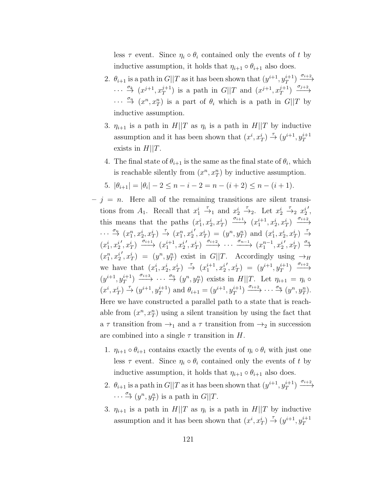less  $\tau$  event. Since  $\eta_i \circ \theta_i$  contained only the events of t by inductive assumption, it holds that  $\eta_{i+1} \circ \theta_{i+1}$  also does.

- 2.  $\theta_{i+1}$  is a path in  $G||T$  as it has been shown that  $(y^{i+1}, y_T^{i+1}) \xrightarrow{\sigma_{i+2}}$  $\cdots \stackrel{\sigma_k}{\rightarrow} (x^{j+1}, x_T^{j+1})$  $j+1$ ) is a path in  $G||T$  and  $(x^{j+1}, x_T^{j+1})$  $j+1$ <sub>7</sub>  $\xrightarrow{\sigma_{j+2}}$  $\cdots \stackrel{\sigma_n}{\rightarrow} (x^n, x_T^n)$  is a part of  $\theta_i$  which is a path in  $G||T$  by inductive assumption.
- 3.  $\eta_{i+1}$  is a path in  $H||T$  as  $\eta_i$  is a path in  $H||T$  by inductive assumption and it has been shown that  $(x^i, x_T^i) \stackrel{\tau}{\rightarrow} (y^{i+1}, y_T^{i+1})$ exists in  $H||T$ .
- 4. The final state of  $\theta_{i+1}$  is the same as the final state of  $\theta_i$ , which is reachable silently from  $(x^n, x_T^n)$  by inductive assumption.
- 5.  $|\theta_{i+1}| = |\theta_i| 2 \le n i 2 = n (i + 2) \le n (i + 1)$ .
- $j = n$ . Here all of the remaining transitions are silent transitions from  $A_1$ . Recall that  $x_1^i \stackrel{\tau}{\to}_1$  and  $x_2^i \stackrel{\tau}{\to}_2$ . Let  $x_2^i \stackrel{\tau}{\to}_2 x_2^i$ ′ , this means that the paths  $(x_1^i, x_2^i, x_T^i) \xrightarrow{\sigma_{i+1}} (x_1^{i+1}, x_2^i, x_T^i) \xrightarrow{\sigma_{i+2}}$  $\cdots \stackrel{\sigma_n}{\rightarrow} (x_1^n, x_2^i, x_T^i) \stackrel{\tau}{\rightarrow} (x_1^n, x_2^i)$  $(y^n, y_T^n) = (y^n, y_T^n)$  and  $(x_1^i, x_2^i, x_T^i) \rightarrow$  $(x_1^i, x_2^i)$  $(x_1^{i+1}, x_2^i) \xrightarrow{\sigma_{i+1}} (x_1^{i+1}, x_2^i)$  $\langle x_1^{i}, x_2^{i} \rangle \xrightarrow{\sigma_{i+2}} \cdots \xrightarrow{\sigma_{n-1}} (x_1^{n-1}, x_2^{i})$  $',x_T^i$ )  $\overset{\sigma_n}{\rightarrow}$  $(x_1^n, x_2^i)$  $(y^n, y_T^n) = (y^n, y_T^n)$  exist in  $G||T$ . Accordingly using  $\rightarrow_H$ we have that  $(x_1^i, x_2^i, x_T^i) \rightarrow (x_1^{i+1}, x_2^i)$  $(y^{i+1}, y_T^{i+1}) \xrightarrow{\sigma_{i+2}}$  $(y^{i+1}, y_T^{i+1}) \xrightarrow{\sigma_{i+3}} \cdots \xrightarrow{\sigma_n} (y^n, y_T^n)$  exists in  $H||T$ . Let  $\eta_{i+1} = \eta_i \circ$  $(x^{i}, x_{T}^{i}) \stackrel{\tau}{\to} (y^{i+1}, y_{T}^{i+1})$  and  $\theta_{i+1} = (y^{i+1}, y_{T}^{i+1}) \stackrel{\sigma_{i+2}}{\to} \cdots \stackrel{\sigma_{n}}{\to} (y^{n}, y_{T}^{n}).$ Here we have constructed a parallel path to a state that is reachable from  $(x^n, x_T^n)$  using a silent transition by using the fact that a  $\tau$  transition from  $\rightarrow_1$  and a  $\tau$  transition from  $\rightarrow_2$  in succession are combined into a single  $\tau$  transition in H.
	- 1.  $\eta_{i+1} \circ \theta_{i+1}$  contains exactly the events of  $\eta_i \circ \theta_i$  with just one less  $\tau$  event. Since  $\eta_i \circ \theta_i$  contained only the events of t by inductive assumption, it holds that  $\eta_{i+1} \circ \theta_{i+1}$  also does.
	- 2.  $\theta_{i+1}$  is a path in  $G||T$  as it has been shown that  $(y^{i+1}, y_T^{i+1}) \xrightarrow{\sigma_{i+2}}$  $\cdots \stackrel{\sigma_n}{\rightarrow} (y^n, y_T^n)$  is a path in  $G||T$ .
	- 3.  $\eta_{i+1}$  is a path in  $H||T$  as  $\eta_i$  is a path in  $H||T$  by inductive assumption and it has been shown that  $(x^i, x_T^i) \stackrel{\tau}{\rightarrow} (y^{i+1}, y_T^{i+1})$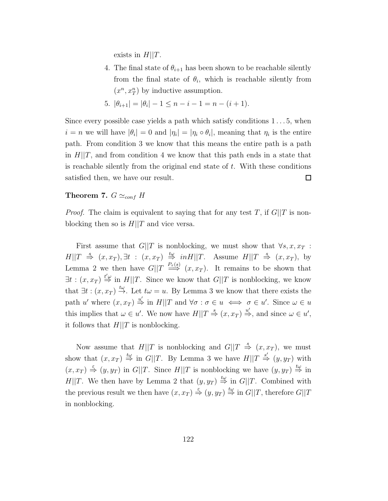exists in  $H||T$ .

4. The final state of  $\theta_{i+1}$  has been shown to be reachable silently from the final state of  $\theta_i$ , which is reachable silently from  $(x^n, x_T^n)$  by inductive assumption.

5. 
$$
|\theta_{i+1}| = |\theta_i| - 1 \leq n - i - 1 = n - (i + 1).
$$

Since every possible case yields a path which satisfy conditions  $1 \dots 5$ , when  $i = n$  we will have  $|\theta_i| = 0$  and  $|\eta_i| = |\eta_i \circ \theta_i|$ , meaning that  $\eta_i$  is the entire path. From condition 3 we know that this means the entire path is a path in  $H||T$ , and from condition 4 we know that this path ends in a state that is reachable silently from the original end state of  $t$ . With these conditions satisfied then, we have our result. □

#### Theorem 7.  $G \simeq_{conf} H$

*Proof.* The claim is equivalent to saying that for any test T, if  $G||T$  is nonblocking then so is  $H||T$  and vice versa.

First assume that  $G||T$  is nonblocking, we must show that  $\forall s, x, x_T$ :  $H||T \stackrel{s}{\Rightarrow} (x, x_T), \exists t : (x, x_T) \stackrel{t\omega}{\Rightarrow} in H||T.$  Assume  $H||T \stackrel{s}{\Rightarrow} (x, x_T),$  by Lemma 2 we then have  $G||T \stackrel{P_{\tau}(s)}{\Longrightarrow} (x, x_T)$ . It remains to be shown that  $\exists t : (x, x_T) \stackrel{t'\omega}{\Rightarrow}$  in  $H||T$ . Since we know that  $G||T$  is nonblocking, we know that  $\exists t : (x, x_T) \stackrel{t\omega}{\rightarrow}$ . Let  $t\omega = u$ . By Lemma 3 we know that there exists the path u' where  $(x, x_T) \stackrel{u'}{\Rightarrow}$  in  $H||T$  and  $\forall \sigma : \sigma \in u \iff \sigma \in u'$ . Since  $\omega \in u$ this implies that  $\omega \in u'$ . We now have  $H||T \stackrel{s}{\Rightarrow} (x, x_T) \stackrel{u'}{\Rightarrow}$ , and since  $\omega \in u'$ , it follows that  $H||T$  is nonblocking.

Now assume that  $H||T$  is nonblocking and  $G||T \stackrel{s}{\Rightarrow} (x, x_T)$ , we must show that  $(x, x_T) \stackrel{t\omega}{\Rightarrow}$  in  $G||T$ . By Lemma 3 we have  $H||T \stackrel{s'}{\Rightarrow} (y, y_T)$  with  $(x, x_T) \stackrel{\epsilon}{\Rightarrow} (y, y_T)$  in  $G||T$ . Since  $H||T$  is nonblocking we have  $(y, y_T) \stackrel{t\omega}{\Rightarrow}$  in  $H||T$ . We then have by Lemma 2 that  $(y, y_T) \stackrel{t\omega}{\Rightarrow}$  in  $G||T$ . Combined with the previous result we then have  $(x, x_T) \stackrel{\epsilon}{\Rightarrow} (y, y_T) \stackrel{t\omega}{\Rightarrow}$  in  $G||T$ , therefore  $G||T$ in nonblocking.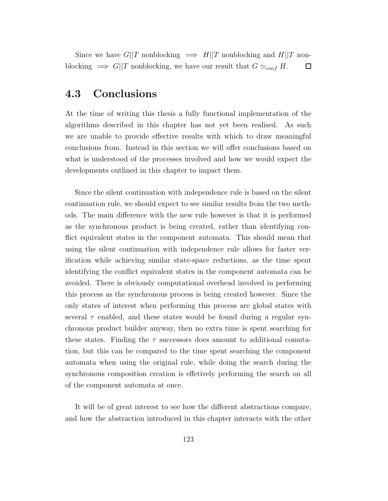Since we have  $G||T$  nonblocking  $\implies H||T$  nonblocking and  $H||T$  nonblocking  $\Rightarrow$  G||T nonblocking, we have our result that  $G \simeq_{conf} H$ .  $\Box$ 

### 4.3 Conclusions

At the time of writing this thesis a fully functional implementation of the algorithms described in this chapter has not yet been realised. As such we are unable to provide effective results with which to draw meaningful conclusions from. Instead in this section we will offer conclusions based on what is understood of the processes involved and how we would expect the developments outlined in this chapter to impact them.

Since the silent continuation with independence rule is based on the silent continuation rule, we should expect to see similar results from the two methods. The main difference with the new rule however is that it is performed as the synchronous product is being created, rather than identifying conflict equivalent states in the component automata. This should mean that using the silent continuation with independence rule allows for faster verification while achieving similar state-space reductions, as the time spent identifying the conflict equivalent states in the component automata can be avoided. There is obviously computational overhead involved in performing this process as the synchronous process is being created however. Since the only states of interest when performing this process are global states with several  $\tau$  enabled, and these states would be found during a regular synchronous product builder anyway, then no extra time is spent searching for these states. Finding the  $\tau$  successors does amount to additional comutation, but this can be compared to the time spent searching the component automata when using the original rule, while doing the search during the synchronous composition creation is effetively performing the search on all of the component automata at once.

It will be of great interest to see how the different abstractions compare, and how the abstraction introduced in this chapter interacts with the other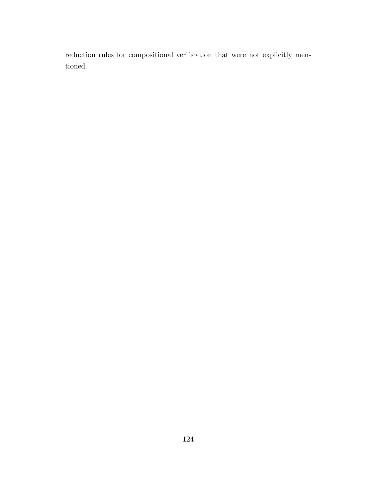reduction rules for compositional verification that were not explicitly mentioned.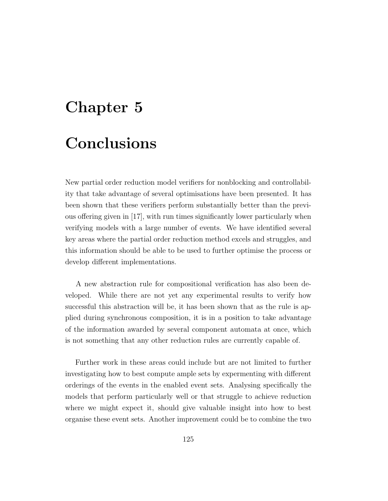# Chapter 5 Conclusions

New partial order reduction model verifiers for nonblocking and controllability that take advantage of several optimisations have been presented. It has been shown that these verifiers perform substantially better than the previous offering given in [17], with run times significantly lower particularly when verifying models with a large number of events. We have identified several key areas where the partial order reduction method excels and struggles, and this information should be able to be used to further optimise the process or develop different implementations.

A new abstraction rule for compositional verification has also been developed. While there are not yet any experimental results to verify how successful this abstraction will be, it has been shown that as the rule is applied during synchronous composition, it is in a position to take advantage of the information awarded by several component automata at once, which is not something that any other reduction rules are currently capable of.

Further work in these areas could include but are not limited to further investigating how to best compute ample sets by expermenting with different orderings of the events in the enabled event sets. Analysing specifically the models that perform particularly well or that struggle to achieve reduction where we might expect it, should give valuable insight into how to best organise these event sets. Another improvement could be to combine the two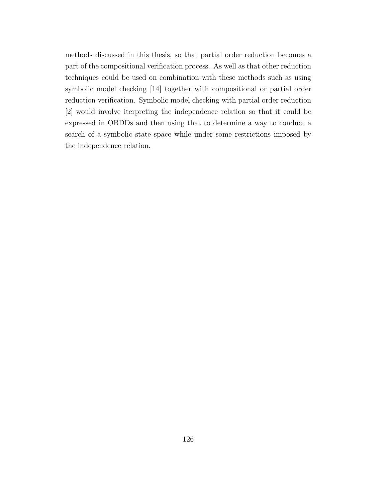methods discussed in this thesis, so that partial order reduction becomes a part of the compositional verification process. As well as that other reduction techniques could be used on combination with these methods such as using symbolic model checking [14] together with compositional or partial order reduction verification. Symbolic model checking with partial order reduction [2] would involve iterpreting the independence relation so that it could be expressed in OBDDs and then using that to determine a way to conduct a search of a symbolic state space while under some restrictions imposed by the independence relation.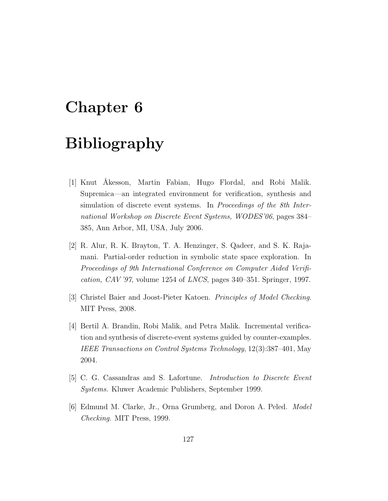## Chapter 6

# Bibliography

- [1] Knut Åkesson, Martin Fabian, Hugo Flordal, and Robi Malik. Supremica—an integrated environment for verification, synthesis and simulation of discrete event systems. In *Proceedings of the 8th Inter*national Workshop on Discrete Event Systems, WODES'06, pages 384– 385, Ann Arbor, MI, USA, July 2006.
- [2] R. Alur, R. K. Brayton, T. A. Henzinger, S. Qadeer, and S. K. Rajamani. Partial-order reduction in symbolic state space exploration. In Proceedings of 9th International Conference on Computer Aided Verifi*cation, CAV* '97, volume 1254 of *LNCS*, pages  $340-351$ . Springer, 1997.
- [3] Christel Baier and Joost-Pieter Katoen. Principles of Model Checking. MIT Press, 2008.
- [4] Bertil A. Brandin, Robi Malik, and Petra Malik. Incremental verification and synthesis of discrete-event systems guided by counter-examples. IEEE Transactions on Control Systems Technology, 12(3):387–401, May 2004.
- [5] C. G. Cassandras and S. Lafortune. Introduction to Discrete Event Systems. Kluwer Academic Publishers, September 1999.
- [6] Edmund M. Clarke, Jr., Orna Grumberg, and Doron A. Peled. Model Checking. MIT Press, 1999.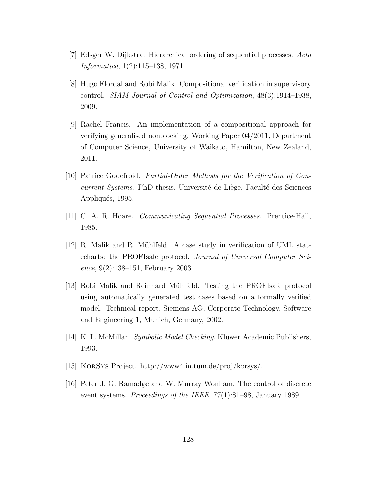- [7] Edsger W. Dijkstra. Hierarchical ordering of sequential processes. Acta Informatica, 1(2):115–138, 1971.
- [8] Hugo Flordal and Robi Malik. Compositional verification in supervisory control. SIAM Journal of Control and Optimization, 48(3):1914–1938, 2009.
- [9] Rachel Francis. An implementation of a compositional approach for verifying generalised nonblocking. Working Paper 04/2011, Department of Computer Science, University of Waikato, Hamilton, New Zealand, 2011.
- [10] Patrice Godefroid. Partial-Order Methods for the Verification of Concurrent Systems. PhD thesis, Université de Liège, Faculté des Sciences Appliqués, 1995.
- [11] C. A. R. Hoare. Communicating Sequential Processes. Prentice-Hall, 1985.
- $[12]$  R. Malik and R. Mühlfeld. A case study in verification of UML statecharts: the PROFIsafe protocol. Journal of Universal Computer Science, 9(2):138–151, February 2003.
- [13] Robi Malik and Reinhard Mühlfeld. Testing the PROFIsafe protocol using automatically generated test cases based on a formally verified model. Technical report, Siemens AG, Corporate Technology, Software and Engineering 1, Munich, Germany, 2002.
- [14] K. L. McMillan. Symbolic Model Checking. Kluwer Academic Publishers, 1993.
- [15] KorSys Project. http://www4.in.tum.de/proj/korsys/.
- [16] Peter J. G. Ramadge and W. Murray Wonham. The control of discrete event systems. Proceedings of the IEEE, 77(1):81–98, January 1989.